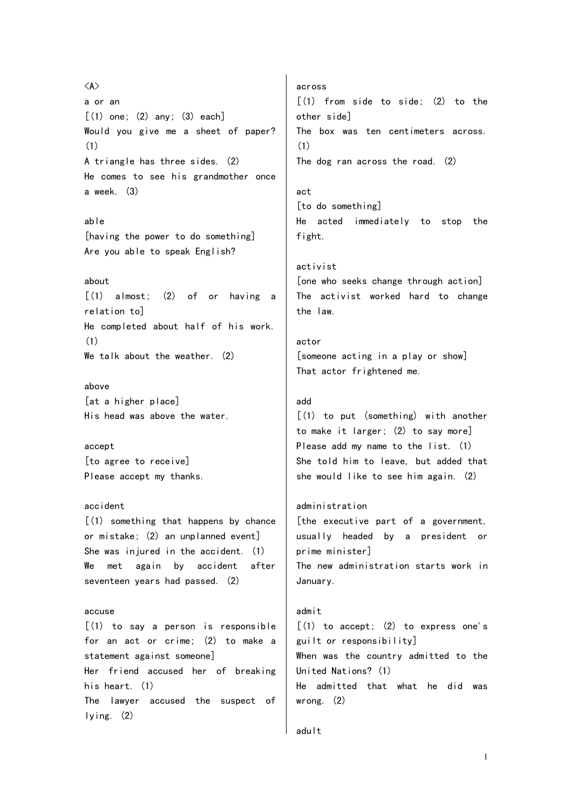<A> a or an  $[(1)$  one;  $(2)$  any;  $(3)$  each] Would you give me a sheet of paper? (1) A triangle has three sides. (2) He comes to see his grandmother once a week. (3)

able [having the power to do something] Are you able to speak English?

## about

[(1) almost; (2) of or having a relation to] He completed about half of his work. (1) We talk about the weather. (2)

## above

[at a higher place] His head was above the water.

accept [to agree to receive] Please accept my thanks.

## accident

[(1) something that happens by chance or mistake; (2) an unplanned event] She was injured in the accident. (1) We met again by accident after seventeen years had passed. (2)

## accuse

[(1) to say a person is responsible for an act or crime; (2) to make a statement against someone] Her friend accused her of breaking his heart. (1) The lawyer accused the suspect of lying. (2)

across [(1) from side to side; (2) to the other side] The box was ten centimeters across. (1) The dog ran across the road. (2)

act [to do something] He acted immediately to stop the fight.

activist

[one who seeks change through action] The activist worked hard to change the law.

actor [someone acting in a play or show] That actor frightened me.

## add

[(1) to put (something) with another to make it larger; (2) to say more] Please add my name to the list. (1) She told him to leave, but added that she would like to see him again. (2)

## administration

[the executive part of a government, usually headed by a president or prime minister] The new administration starts work in January.

## admit

 $[(1)$  to accept;  $(2)$  to express one's guilt or responsibility] When was the country admitted to the United Nations? (1) He admitted that what he did was wrong. (2)

```
adult
```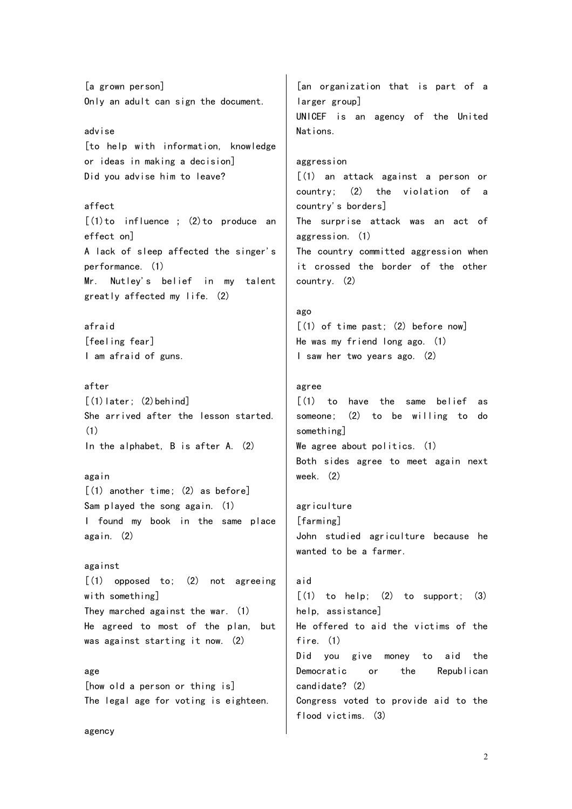[a grown person] Only an adult can sign the document. advise [to help with information, knowledge or ideas in making a decision] Did you advise him to leave? affect  $[(1)$  to influence;  $(2)$  to produce an effect on] A lack of sleep affected the singer's performance. (1) Mr. Nutley's belief in my talent greatly affected my life. (2) afraid [feeling fear] I am afraid of guns. after  $[(1)$  later;  $(2)$  behind] She arrived after the lesson started. (1) In the alphabet, B is after A. (2) again  $(1)$  another time:  $(2)$  as before] Sam played the song again. (1) I found my book in the same place again. (2) against  $\lceil$ (1) opposed to: (2) not agreeing with something] They marched against the war. (1) He agreed to most of the plan, but was against starting it now. (2) age [how old a person or thing is] The legal age for voting is eighteen. [an organization that is part of a larger group] UNICEF is an agency of the United Nations. aggression [(1) an attack against a person or country; (2) the violation of a country's borders] The surprise attack was an act of aggression. (1) The country committed aggression when it crossed the border of the other country. (2) ago  $\lceil$  (1) of time past; (2) before now] He was my friend long ago. (1) I saw her two years ago. (2) agree [(1) to have the same belief as someone; (2) to be willing to do something] We agree about politics. (1) Both sides agree to meet again next week. (2) agriculture [farming] John studied agriculture because he wanted to be a farmer. aid  $\lceil$ (1) to help: (2) to support: (3) help, assistance] He offered to aid the victims of the fire. (1) Did you give money to aid the Democratic or the Republican candidate? (2)

Congress voted to provide aid to the flood victims. (3)

agency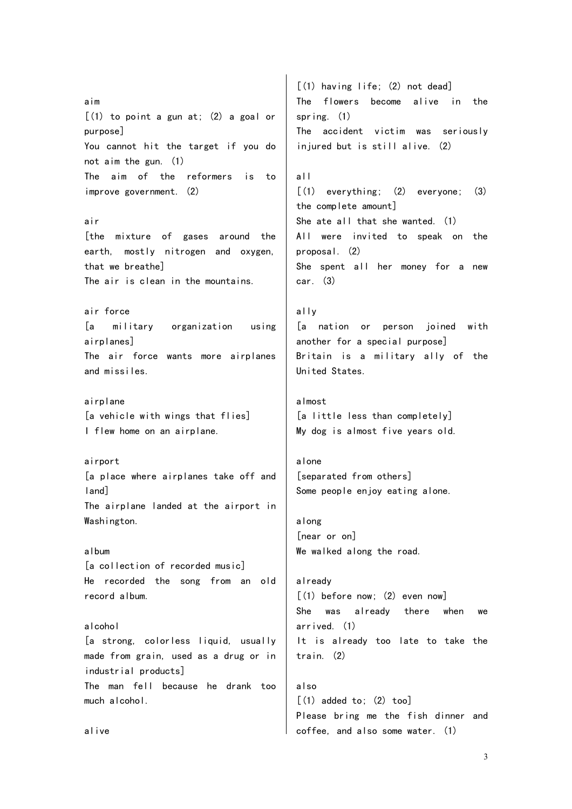aim  $[(1)$  to point a gun at;  $(2)$  a goal or purpose] You cannot hit the target if you do not aim the gun. (1) The aim of the reformers is to improve government. (2) air [the mixture of gases around the earth, mostly nitrogen and oxygen, that we breathe] The air is clean in the mountains. air force [a military organization using airplanes] The air force wants more airplanes and missiles. airplane [a vehicle with wings that flies] I flew home on an airplane. airport [a place where airplanes take off and land] The airplane landed at the airport in Washington. album [a collection of recorded music] He recorded the song from an old record album. alcohol [a strong, colorless liquid, usually made from grain, used as a drug or in industrial products] The man fell because he drank too much alcohol. [(1) having life; (2) not dead] The flowers become alive in the spring. (1) The accident victim was seriously injured but is still alive. (2) all  $\lceil$ (1) everything; (2) everyone; (3) the complete amount] She ate all that she wanted. (1) All were invited to speak on the proposal. (2) She spent all her money for a new car. (3) ally [a nation or person joined with another for a special purpose] Britain is a military ally of the United States. almost [a little less than completely] My dog is almost five years old. alone [separated from others] Some people enjoy eating alone. along [near or on] We walked along the road. already  $\lceil$  (1) before now: (2) even now She was already there when we arrived. (1) It is already too late to take the train. (2) also  $(1)$  added to:  $(2)$  tool Please bring me the fish dinner and coffee, and also some water. (1)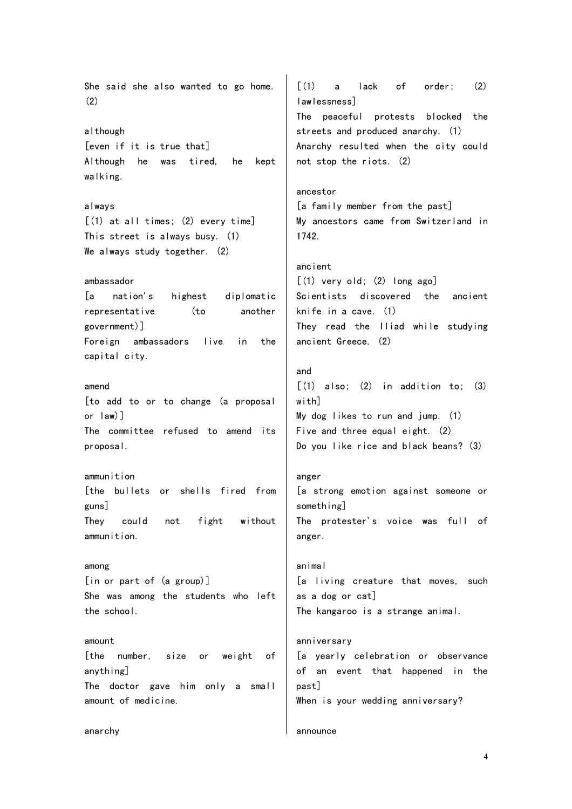She said she also wanted to go home. (2) although [even if it is true that] Although he was tired, he kept walking. always [(1) at all times; (2) every time] This street is always busy. (1) We always study together. (2) ambassador [a nation's highest diplomatic representative (to another government)] Foreign ambassadors live in the capital city. amend [to add to or to change (a proposal or law)] The committee refused to amend its proposal. ammunition [the bullets or shells fired from guns] They could not fight without ammunition. among [in or part of (a group)] She was among the students who left the school. amount [the number, size or weight of anything] The doctor gave him only a small amount of medicine. anarchy  $\lceil$  (1) a lack of order; (2) lawlessness] The peaceful protests blocked the streets and produced anarchy. (1) Anarchy resulted when the city could not stop the riots. (2) ancestor [a family member from the past] My ancestors came from Switzerland in 1742. ancient  $[(1)$  very old;  $(2)$  long ago] Scientists discovered the ancient knife in a cave. (1) They read the Iliad while studying ancient Greece. (2) and  $\lceil$  (1) also: (2) in addition to: (3) with] My dog likes to run and jump. (1) Five and three equal eight. (2) Do you like rice and black beans? (3) anger [a strong emotion against someone or something] The protester's voice was full of anger. animal [a living creature that moves, such as a dog or cat] The kangaroo is a strange animal. anniversary [a yearly celebration or observance of an event that happened in the past] When is your wedding anniversary? announce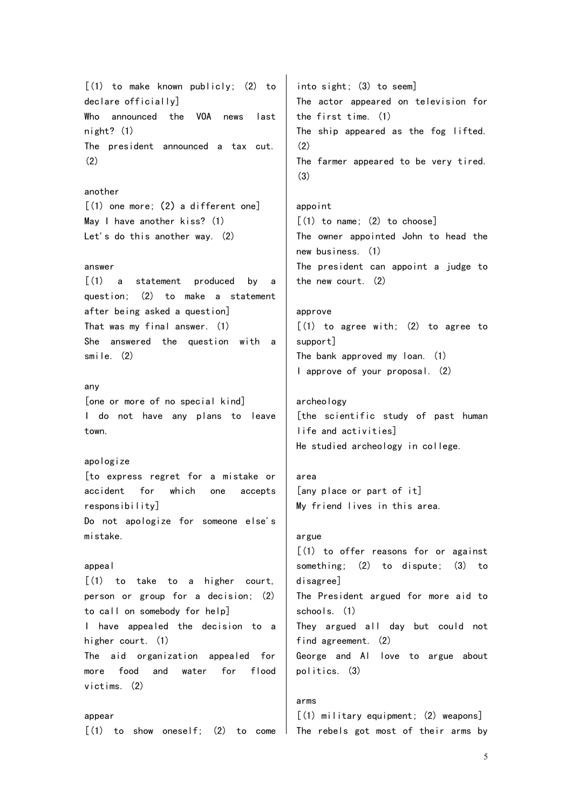[(1) to make known publicly; (2) to declare officially] Who announced the VOA news last night? (1) The president announced a tax cut. (2)

#### another

 $[$ (1) one more; (2) a different one] May I have another kiss? (1) Let's do this another way. (2)

## answer

[(1) a statement produced by a question; (2) to make a statement after being asked a question] That was my final answer. (1) She answered the question with a smile. (2)

## any

[one or more of no special kind] I do not have any plans to leave town.

# apologize

[to express regret for a mistake or accident for which one accepts responsibility] Do not apologize for someone else's mistake.

## appeal

 $(1)$  to take to a higher court, person or group for a decision; (2) to call on somebody for help] I have appealed the decision to a higher court. (1) The aid organization appealed for more food and water for flood victims. (2)

#### appear

into sight; (3) to seem] The actor appeared on television for the first time. (1) The ship appeared as the fog lifted.  $(2)$ The farmer appeared to be very tired. (3)

# appoint  $[(1)$  to name;  $(2)$  to choose] The owner appointed John to head the new business. (1) The president can appoint a judge to the new court. (2)

# approve [(1) to agree with; (2) to agree to support] The bank approved my loan. (1) I approve of your proposal. (2)

archeology [the scientific study of past human life and activities] He studied archeology in college.

# area [any place or part of it] My friend lives in this area.

## argue

[(1) to offer reasons for or against something; (2) to dispute; (3) to disagree] The President argued for more aid to schools. (1) They argued all day but could not find agreement. (2) George and Al love to argue about politics. (3)

## arms

 $\lceil$  (1) to show oneself; (2) to come The rebels got most of their arms by [(1) military equipment; (2) weapons]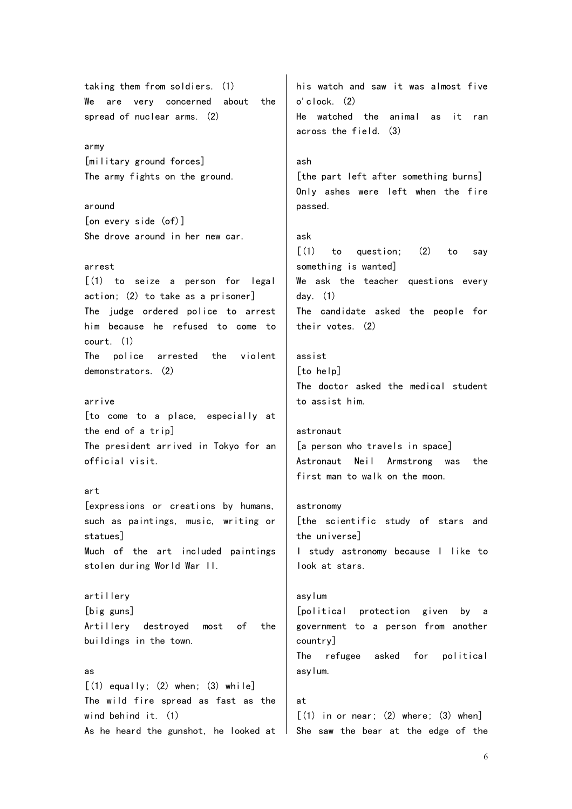taking them from soldiers. (1) We are very concerned about the spread of nuclear arms. (2)

army [military ground forces] The army fights on the ground.

around [on every side (of)] She drove around in her new car.

#### arrest

[(1) to seize a person for legal action; (2) to take as a prisoner] The judge ordered police to arrest him because he refused to come to court. (1) The police arrested the violent demonstrators. (2)

#### arrive

[to come to a place, especially at the end of a trip] The president arrived in Tokyo for an official visit.

## art

[expressions or creations by humans, such as paintings, music, writing or statues] Much of the art included paintings stolen during World War II.

artillery [big guns] Artillery destroyed most of the buildings in the town.

### as

 $[(1)$  equally;  $(2)$  when;  $(3)$  while] The wild fire spread as fast as the wind behind it. (1) As he heard the gunshot, he looked at  $\parallel$ 

his watch and saw it was almost five o'clock. (2) He watched the animal as it ran across the field. (3)

## ash

[the part left after something burns] Only ashes were left when the fire passed.

## ask

 $\lceil$  (1) to question; (2) to say something is wanted] We ask the teacher questions every day. (1) The candidate asked the people for their votes. (2)

assist [to help] The doctor asked the medical student to assist him.

#### astronaut

[a person who travels in space] Astronaut Neil Armstrong was the first man to walk on the moon.

# astronomy [the scientific study of stars and the universe]

I study astronomy because I like to look at stars.

# asylum [political protection given by a government to a person from another country] The refugee asked for political asylum.

at  $[(1)$  in or near;  $(2)$  where;  $(3)$  when] She saw the bear at the edge of the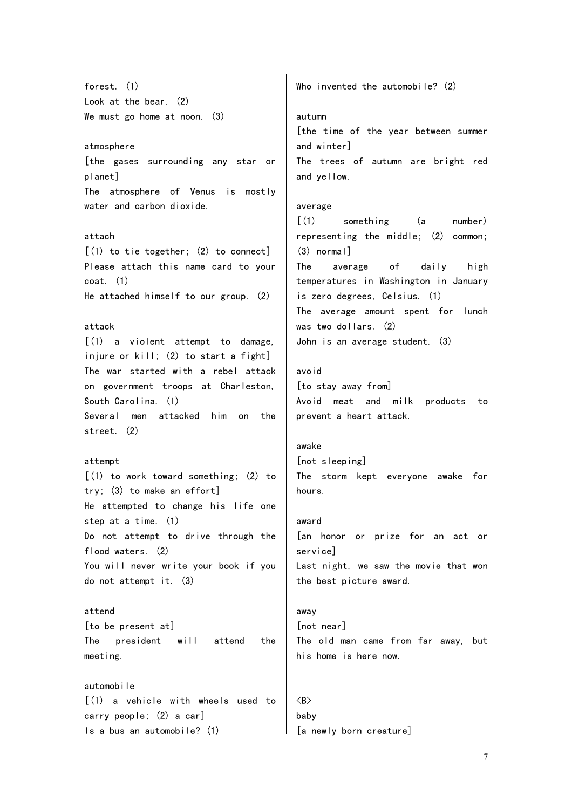forest. (1) Look at the bear. (2) We must go home at noon. (3)

### atmosphere

[the gases surrounding any star or planet] The atmosphere of Venus is mostly water and carbon dioxide.

#### attach

[(1) to tie together; (2) to connect] Please attach this name card to your coat. (1) He attached himself to our group. (2)

## attack

[(1) a violent attempt to damage, injure or  $kill$ : (2) to start a fight] The war started with a rebel attack on government troops at Charleston, South Carolina. (1) Several men attacked him on the street. (2)

#### attempt

[(1) to work toward something; (2) to try; (3) to make an effort] He attempted to change his life one step at a time. (1) Do not attempt to drive through the flood waters. (2) You will never write your book if you do not attempt it. (3)

attend [to be present at] The president will attend the meeting.

automobile  $(1)$  a vehicle with wheels used to carry people; (2) a car] Is a bus an automobile? (1)

Who invented the automobile? (2)

#### autumn

[the time of the year between summer and winter] The trees of autumn are bright red and yellow.

#### average

[(1) something (a number) representing the middle; (2) common; (3) normal] The average of daily high temperatures in Washington in January is zero degrees, Celsius. (1) The average amount spent for lunch was two dollars. (2) John is an average student. (3)

## avoid

[to stay away from] Avoid meat and milk products to prevent a heart attack.

# awake

[not sleeping] The storm kept everyone awake for hours.

# award [an honor or prize for an act or service]

Last night, we saw the movie that won the best picture award.

## away [not near]

The old man came from far away, but his home is here now.

# $\langle B \rangle$ baby [a newly born creature]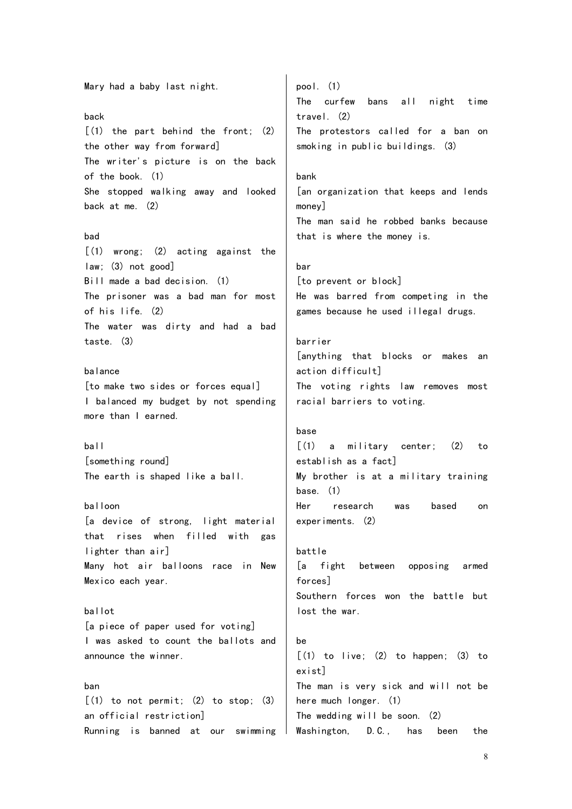Mary had a baby last night.

## back

 $(1)$  the part behind the front;  $(2)$ the other way from forward] The writer's picture is on the back of the book. (1) She stopped walking away and looked back at me. (2)

## bad

[(1) wrong; (2) acting against the law; (3) not good] Bill made a bad decision. (1) The prisoner was a bad man for most of his life. (2) The water was dirty and had a bad taste. (3)

## balance

[to make two sides or forces equal] I balanced my budget by not spending more than I earned.

ball [something round] The earth is shaped like a ball.

## balloon

[a device of strong, light material that rises when filled with gas lighter than air] Many hot air balloons race in New Mexico each year.

#### ballot

[a piece of paper used for voting] I was asked to count the ballots and announce the winner.

#### ban

 $[(1)$  to not permit;  $(2)$  to stop;  $(3)$ an official restriction] Running is banned at our swimming pool. (1) The curfew bans all night time travel. (2) The protestors called for a ban on smoking in public buildings. (3)

## bank

[an organization that keeps and lends money] The man said he robbed banks because that is where the money is.

#### bar

[to prevent or block] He was barred from competing in the games because he used illegal drugs.

## barrier

[anything that blocks or makes an action difficult] The voting rights law removes most racial barriers to voting.

#### base

[(1) a military center; (2) to establish as a fact] My brother is at a military training base. (1) Her research was based on experiments. (2)

battle [a fight between opposing armed forces] Southern forces won the battle but lost the war.

# be  $[(1)$  to live;  $(2)$  to happen;  $(3)$  to exist] The man is very sick and will not be here much longer. (1) The wedding will be soon. (2) Washington, D.C., has been the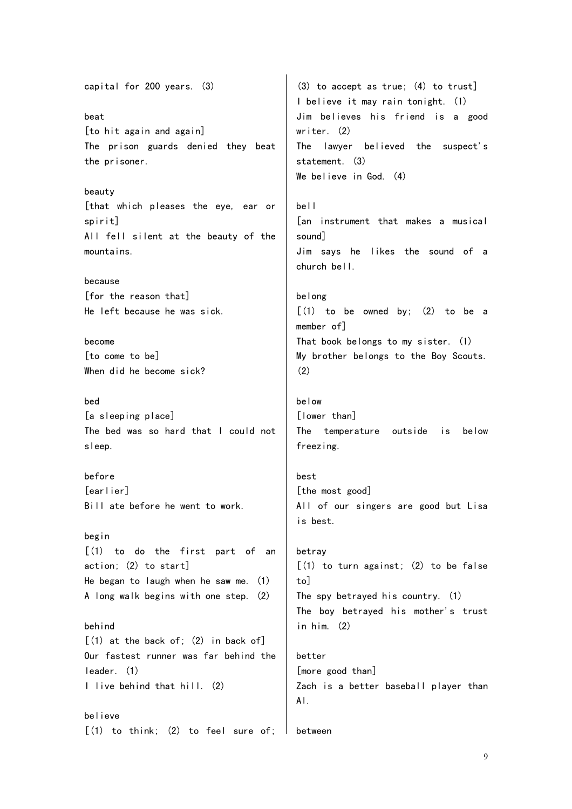capital for 200 years. (3) beat [to hit again and again] The prison guards denied they beat the prisoner. beauty [that which pleases the eye, ear or spirit] All fell silent at the beauty of the mountains. because [for the reason that] He left because he was sick. become [to come to be] When did he become sick? bed [a sleeping place] The bed was so hard that I could not sleep. before [earlier] Bill ate before he went to work. begin [(1) to do the first part of an action; (2) to start] He began to laugh when he saw me. (1) A long walk begins with one step. (2) behind  $[(1)$  at the back of;  $(2)$  in back of] Our fastest runner was far behind the leader. (1) I live behind that hill. (2) believe  $(1)$  to think;  $(2)$  to feel sure of; (3) to accept as true; (4) to trust] I believe it may rain tonight. (1) Jim believes his friend is a good writer. (2) The lawyer believed the suspect's statement. (3) We believe in God. (4) bell [an instrument that makes a musical sound] Jim says he likes the sound of a church bell. belong  $[(1)$  to be owned by;  $(2)$  to be a member of] That book belongs to my sister. (1) My brother belongs to the Boy Scouts. (2) below [lower than] The temperature outside is below freezing. best [the most good] All of our singers are good but Lisa is best. betray  $[(1)$  to turn against;  $(2)$  to be false to] The spy betrayed his country. (1) The boy betrayed his mother's trust in him. (2) better [more good than] Zach is a better baseball player than Al. between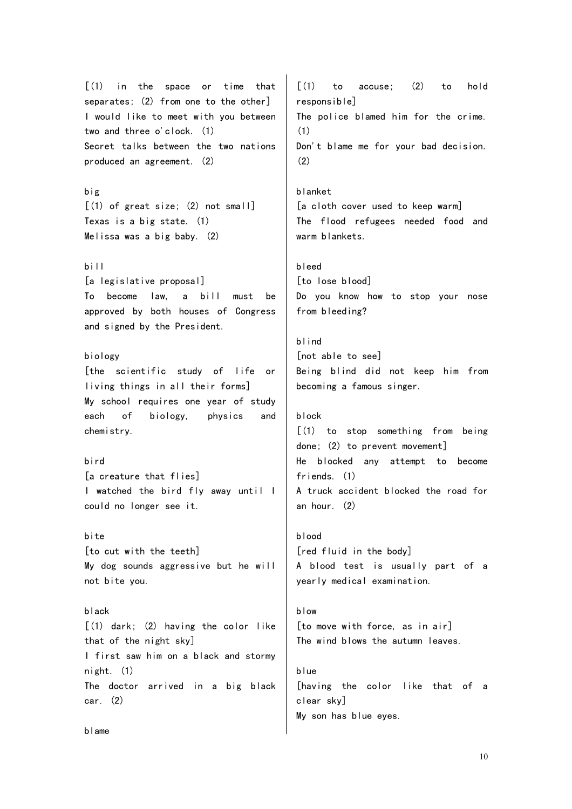[(1) in the space or time that separates; (2) from one to the other] I would like to meet with you between two and three o'clock. (1) Secret talks between the two nations produced an agreement. (2)

big [(1) of great size; (2) not small] Texas is a big state. (1) Melissa was a big baby. (2)

bill

[a legislative proposal] To become law, a bill must be approved by both houses of Congress and signed by the President.

## biology

[the scientific study of life or living things in all their forms] My school requires one year of study each of biology, physics and chemistry.

bird [a creature that flies] I watched the bird fly away until I could no longer see it.

bite [to cut with the teeth] My dog sounds aggressive but he will not bite you.

black [(1) dark; (2) having the color like that of the night sky] I first saw him on a black and stormy night. (1) The doctor arrived in a big black car. (2)

 $\lceil$  (1) to accuse; (2) to hold responsible] The police blamed him for the crime. (1) Don't blame me for your bad decision. (2)

blanket [a cloth cover used to keep warm] The flood refugees needed food and warm blankets.

```
bleed
[to lose blood]
Do you know how to stop your nose
from bleeding?
```
blind [not able to see] Being blind did not keep him from becoming a famous singer.

```
block
```
[(1) to stop something from being done; (2) to prevent movement] He blocked any attempt to become friends. (1) A truck accident blocked the road for an hour. (2)

blood [red fluid in the body] A blood test is usually part of a yearly medical examination.

blow [to move with force, as in air] The wind blows the autumn leaves.

blue [having the color like that of a clear sky] My son has blue eyes.

blame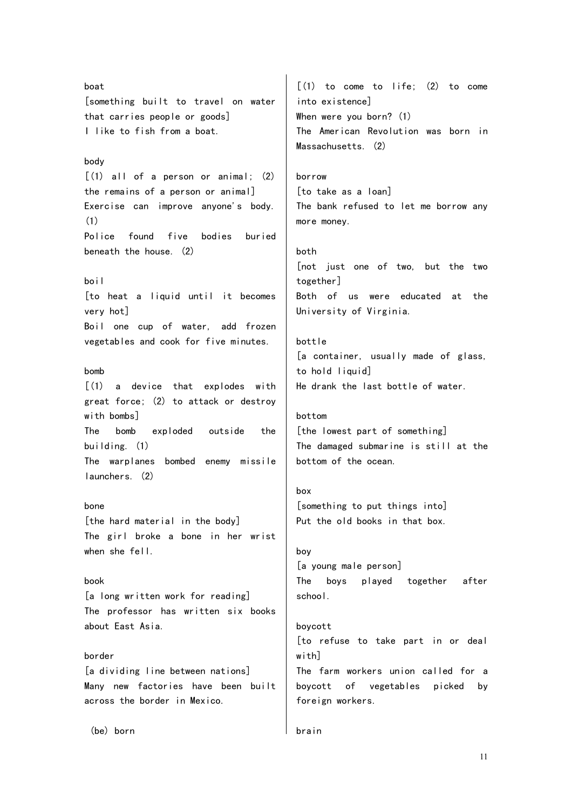boat [something built to travel on water that carries people or goods] I like to fish from a boat. body [(1) all of a person or animal; (2) the remains of a person or animal] Exercise can improve anyone's body. (1) Police found five bodies buried beneath the house. (2) boil [to heat a liquid until it becomes very hot] Boil one cup of water, add frozen vegetables and cook for five minutes. bomb  $(1)$  a device that explodes with great force; (2) to attack or destroy with bombs] The bomb exploded outside the building. (1) The warplanes bombed enemy missile launchers. (2) bone [the hard material in the body] The girl broke a bone in her wrist when she fell. book [a long written work for reading] The professor has written six books about East Asia. border [a dividing line between nations] Many new factories have been built across the border in Mexico.  $[(1)$  to come to life;  $(2)$  to come into existence] When were you born? (1) The American Revolution was born in Massachusetts. (2) borrow [to take as a loan] The bank refused to let me borrow any more money. both [not just one of two, but the two together] Both of us were educated at the University of Virginia. bottle [a container, usually made of glass, to hold liquid] He drank the last bottle of water. bottom [the lowest part of something] The damaged submarine is still at the bottom of the ocean. box [something to put things into] Put the old books in that box. boy [a young male person] The boys played together after school. boycott [to refuse to take part in or deal withl The farm workers union called for a boycott of vegetables picked by foreign workers.

brain

(be) born

11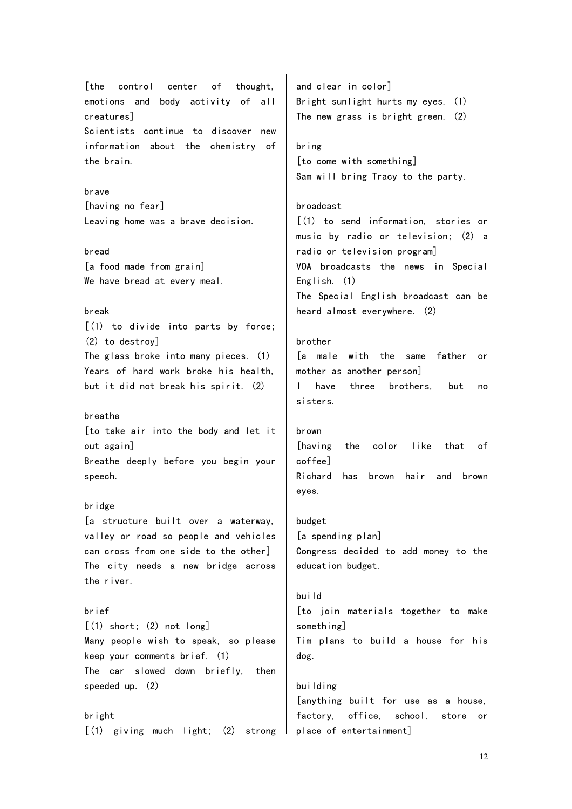[the control center of thought, emotions and body activity of all creatures] Scientists continue to discover new information about the chemistry of the brain.

## brave

[having no fear] Leaving home was a brave decision.

## bread

[a food made from grain] We have bread at every meal.

## break

[(1) to divide into parts by force; (2) to destroy] The glass broke into many pieces. (1) Years of hard work broke his health, but it did not break his spirit. (2)

## breathe

[to take air into the body and let it out again] Breathe deeply before you begin your speech.

#### bridge

[a structure built over a waterway, valley or road so people and vehicles can cross from one side to the other] The city needs a new bridge across the river.

## brief

 $[(1)$  short;  $(2)$  not long] Many people wish to speak, so please keep your comments brief. (1) The car slowed down briefly, then speeded up. (2)

bright  $[(1)$  giving much light;  $(2)$  strong

and clear in color] Bright sunlight hurts my eyes. (1) The new grass is bright green. (2)

#### bring

[to come with something] Sam will bring Tracy to the party.

## broadcast

[(1) to send information, stories or music by radio or television; (2) a radio or television program] VOA broadcasts the news in Special English. (1) The Special English broadcast can be heard almost everywhere. (2)

## brother

[a male with the same father or mother as another person] I have three brothers, but no sisters.

## brown

[having the color like that of coffee] Richard has brown hair and brown eyes.

budget [a spending plan] Congress decided to add money to the education budget.

# build [to join materials together to make something] Tim plans to build a house for his dog.

building [anything built for use as a house, factory, office, school, store or place of entertainment]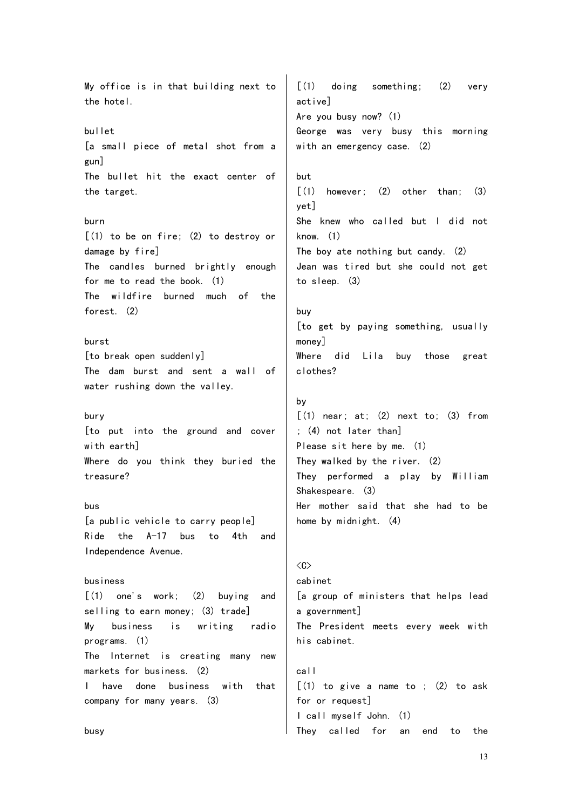My office is in that building next to the hotel. bullet [a small piece of metal shot from a gun] The bullet hit the exact center of the target. burn [(1) to be on fire; (2) to destroy or damage by fire] The candles burned brightly enough for me to read the book. (1) The wildfire burned much of the forest. (2) burst [to break open suddenly] The dam burst and sent a wall of water rushing down the valley. bury [to put into the ground and cover with earth] Where do you think they buried the treasure? bus [a public vehicle to carry people] Ride the A-17 bus to 4th and Independence Avenue. business  $\lceil$  (1) one's work: (2) buving and selling to earn money; (3) trade] My business is writing radio programs. (1) The Internet is creating many new markets for business. (2) I have done business with that company for many years. (3) [(1) doing something; (2) very active] Are you busy now? (1) George was very busy this morning with an emergency case. (2) but  $\lceil$  (1) however; (2) other than; (3) yet] She knew who called but I did not know. (1) The boy ate nothing but candy. (2) Jean was tired but she could not get to sleep. (3) buy [to get by paying something, usually money] Where did Lila buy those great clothes? by  $\lceil$  (1) near; at; (2) next to; (3) from ; (4) not later than] Please sit here by me. (1) They walked by the river. (2) They performed a play by William Shakespeare. (3) Her mother said that she had to be home by midnight. (4)  $\langle C \rangle$ cabinet [a group of ministers that helps lead a government] The President meets every week with his cabinet. call  $[(1)$  to give a name to ;  $(2)$  to ask for or request] I call myself John. (1)

They called for an end to the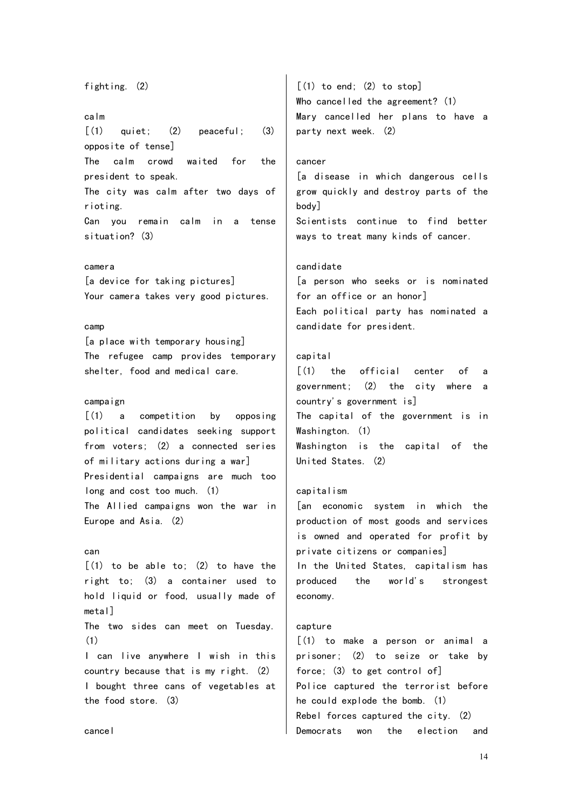## fighting. (2) calm  $[(1)$  quiet;  $(2)$  peaceful;  $(3)$ opposite of tense] The calm crowd waited for the president to speak. The city was calm after two days of rioting. Can you remain calm in a tense situation? (3) camera [a device for taking pictures] Your camera takes very good pictures. party next week. (2) cancer body] candidate

camp

[a place with temporary housing] The refugee camp provides temporary shelter, food and medical care.

#### campaign

[(1) a competition by opposing political candidates seeking support from voters; (2) a connected series of military actions during a war] Presidential campaigns are much too long and cost too much. (1) The Allied campaigns won the war in Europe and Asia. (2)

#### can

 $\lceil$  (1) to be able to: (2) to have the right to; (3) a container used to hold liquid or food, usually made of metal] The two sides can meet on Tuesday. (1) I can live anywhere I wish in this country because that is my right. (2) I bought three cans of vegetables at the food store. (3)

 $[(1)$  to end;  $(2)$  to stop] Who cancelled the agreement? (1) Mary cancelled her plans to have a

[a disease in which dangerous cells grow quickly and destroy parts of the Scientists continue to find better ways to treat many kinds of cancer.

[a person who seeks or is nominated for an office or an honor] Each political party has nominated a candidate for president.

## capital

[(1) the official center of a government; (2) the city where a country's government is] The capital of the government is in Washington. (1) Washington is the capital of the United States. (2)

## capitalism

[an economic system in which the production of most goods and services is owned and operated for profit by private citizens or companies] In the United States, capitalism has produced the world's strongest economy.

## capture

[(1) to make a person or animal a prisoner; (2) to seize or take by force; (3) to get control of] Police captured the terrorist before he could explode the bomb. (1) Rebel forces captured the city. (2) Democrats won the election and

cancel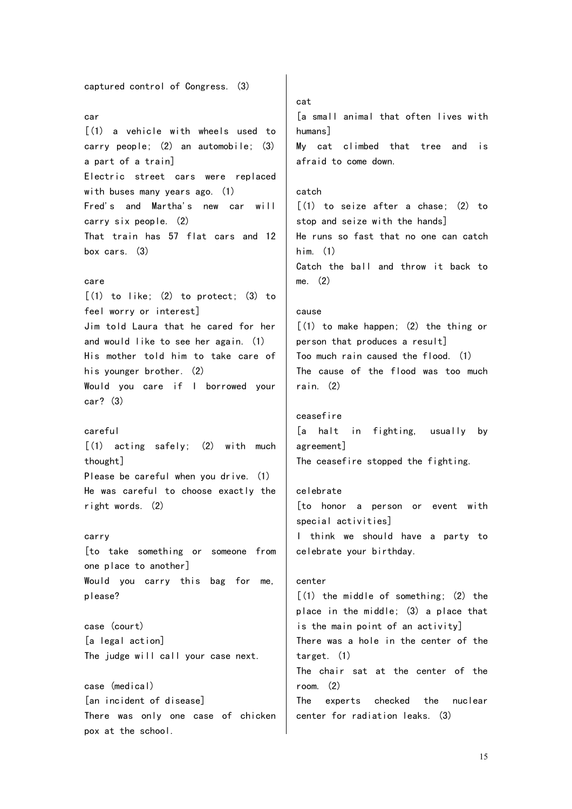captured control of Congress. (3) car [(1) a vehicle with wheels used to carry people; (2) an automobile; (3) a part of a train] Electric street cars were replaced with buses many years ago. (1) Fred's and Martha's new car will carry six people. (2) That train has 57 flat cars and 12 box cars. (3) care  $[(1)$  to like;  $(2)$  to protect;  $(3)$  to feel worry or interest] Jim told Laura that he cared for her and would like to see her again. (1) His mother told him to take care of his younger brother. (2) Would you care if I borrowed your car? (3) careful [(1) acting safely; (2) with much thought] Please be careful when you drive. (1) He was careful to choose exactly the right words. (2) carry [to take something or someone from one place to another] Would you carry this bag for me, please? case (court) [a legal action] The judge will call your case next. case (medical) [an incident of disease] There was only one case of chicken pox at the school. cat [a small animal that often lives with humans] My cat climbed that tree and is afraid to come down. catch  $\lceil$ (1) to seize after a chase: (2) to stop and seize with the hands] He runs so fast that no one can catch him. (1) Catch the ball and throw it back to me. (2) cause  $[(1)$  to make happen;  $(2)$  the thing or person that produces a result] Too much rain caused the flood. (1) The cause of the flood was too much rain. (2) ceasefire [a halt in fighting, usually by agreement] The ceasefire stopped the fighting. celebrate [to honor a person or event with special activities] I think we should have a party to celebrate your birthday. center  $(1)$  the middle of something:  $(2)$  the place in the middle; (3) a place that is the main point of an activity] There was a hole in the center of the target. (1) The chair sat at the center of the room. (2) The experts checked the nuclear center for radiation leaks. (3)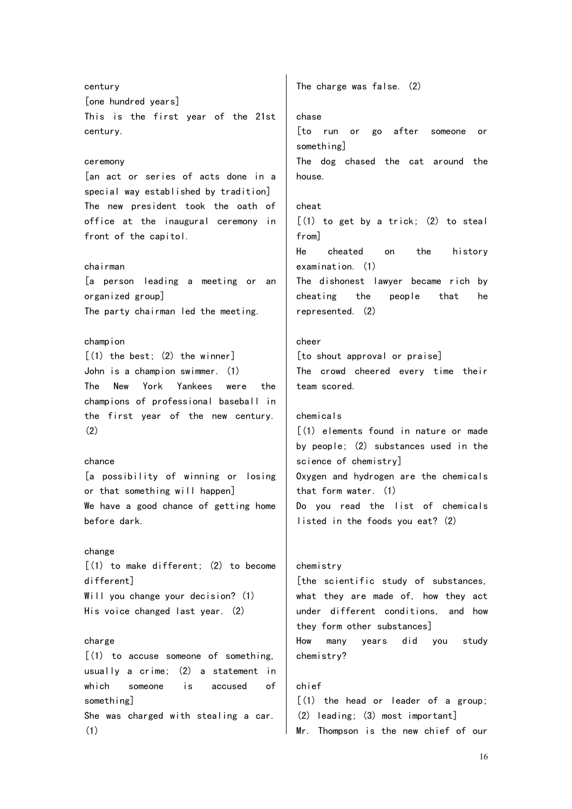century [one hundred years] This is the first year of the 21st century. ceremony [an act or series of acts done in a special way established by tradition] The new president took the oath of office at the inaugural ceremony in front of the capitol. chairman [a person leading a meeting or an organized group] The party chairman led the meeting. champion  $(1)$  the best:  $(2)$  the winner] John is a champion swimmer. (1) The New York Yankees were the champions of professional baseball in the first year of the new century. (2) chance [a possibility of winning or losing or that something will happen] We have a good chance of getting home before dark. change  $(1)$  to make different;  $(2)$  to become different] Will you change your decision? (1) His voice changed last year. (2) charge  $(1)$  to accuse someone of something, usually a crime; (2) a statement in which someone is accused of something] She was charged with stealing a car. (1) The charge was false. (2) chase [to run or go after someone or something] The dog chased the cat around the house. cheat  $[(1)$  to get by a trick;  $(2)$  to steal from] He cheated on the history examination. (1) The dishonest lawyer became rich by cheating the people that he represented. (2) cheer [to shout approval or praise] The crowd cheered every time their team scored. chemicals [(1) elements found in nature or made by people; (2) substances used in the science of chemistry] Oxygen and hydrogen are the chemicals that form water. (1) Do you read the list of chemicals listed in the foods you eat? (2) chemistry [the scientific study of substances, what they are made of, how they act under different conditions, and how they form other substances] How many years did you study chemistry? chief  $(1)$  the head or leader of a group: (2) leading; (3) most important] Mr. Thompson is the new chief of our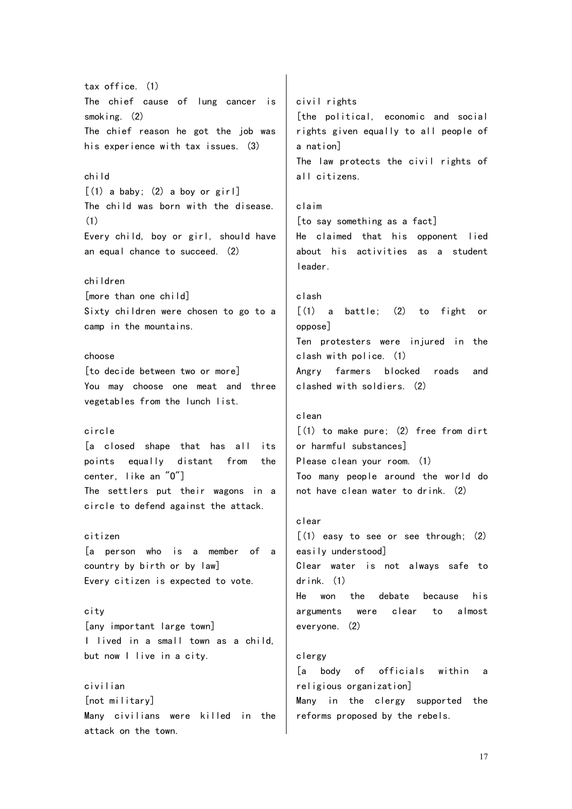tax office. (1) The chief cause of lung cancer is smoking. (2) The chief reason he got the job was his experience with tax issues. (3) child  $\lceil$  (1) a baby; (2) a boy or girl The child was born with the disease. (1) Every child, boy or girl, should have an equal chance to succeed. (2) children [more than one child] Sixty children were chosen to go to a camp in the mountains. choose [to decide between two or more] You may choose one meat and three vegetables from the lunch list. circle [a closed shape that has all its points equally distant from the center, like an "O"] The settlers put their wagons in a circle to defend against the attack. citizen [a person who is a member of a country by birth or by law] Every citizen is expected to vote. city [any important large town] I lived in a small town as a child, but now I live in a city. civilian [not military] Many civilians were killed in the attack on the town. civil rights [the political, economic and social rights given equally to all people of a nation] The law protects the civil rights of all citizens. claim [to say something as a fact] He claimed that his opponent lied about his activities as a student leader. clash [(1) a battle; (2) to fight or oppose] Ten protesters were injured in the clash with police. (1) Angry farmers blocked roads and clashed with soldiers. (2) clean  $(1)$  to make pure; (2) free from dirt or harmful substances] Please clean your room. (1) Too many people around the world do not have clean water to drink. (2) clear  $(1)$  easy to see or see through;  $(2)$ easily understood] Clear water is not always safe to drink. (1) He won the debate because his arguments were clear to almost everyone. (2) clergy [a body of officials within a religious organization] Many in the clergy supported the reforms proposed by the rebels.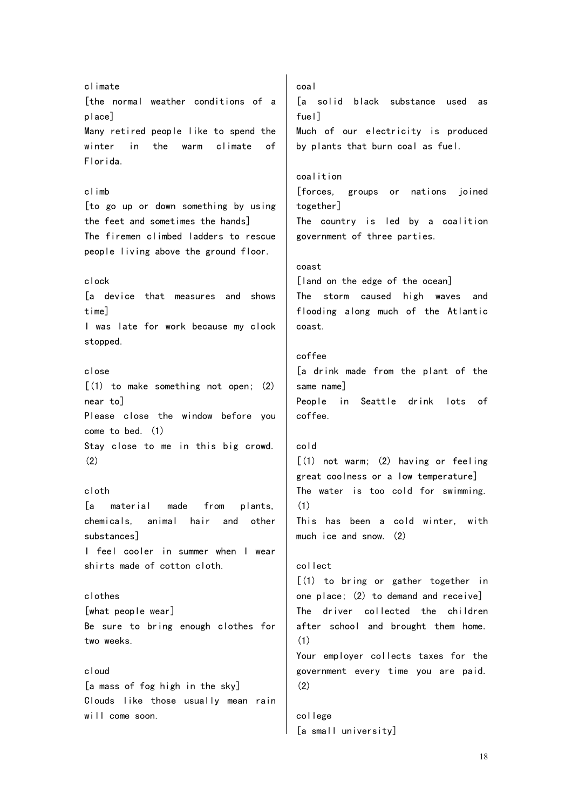climate [the normal weather conditions of a place] Many retired people like to spend the winter in the warm climate of Florida. climb [to go up or down something by using the feet and sometimes the hands] The firemen climbed ladders to rescue people living above the ground floor. clock [a device that measures and shows time] I was late for work because my clock stopped. close  $(1)$  to make something not open;  $(2)$ near to] Please close the window before you come to bed. (1) Stay close to me in this big crowd. (2) cloth [a material made from plants, chemicals, animal hair and other substances] I feel cooler in summer when I wear shirts made of cotton cloth. clothes [what people wear] Be sure to bring enough clothes for two weeks. cloud [a mass of fog high in the sky] Clouds like those usually mean rain will come soon.

coal [a solid black substance used as fuel] Much of our electricity is produced by plants that burn coal as fuel. coalition [forces, groups or nations joined together] The country is led by a coalition government of three parties. coast [land on the edge of the ocean] The storm caused high waves and flooding along much of the Atlantic coast. coffee [a drink made from the plant of the same name] People in Seattle drink lots of coffee. cold  $[(1)$  not warm;  $(2)$  having or feeling great coolness or a low temperature] The water is too cold for swimming. (1) This has been a cold winter, with much ice and snow. (2) collect [(1) to bring or gather together in one place; (2) to demand and receive] The driver collected the children after school and brought them home. (1) Your employer collects taxes for the government every time you are paid. (2) college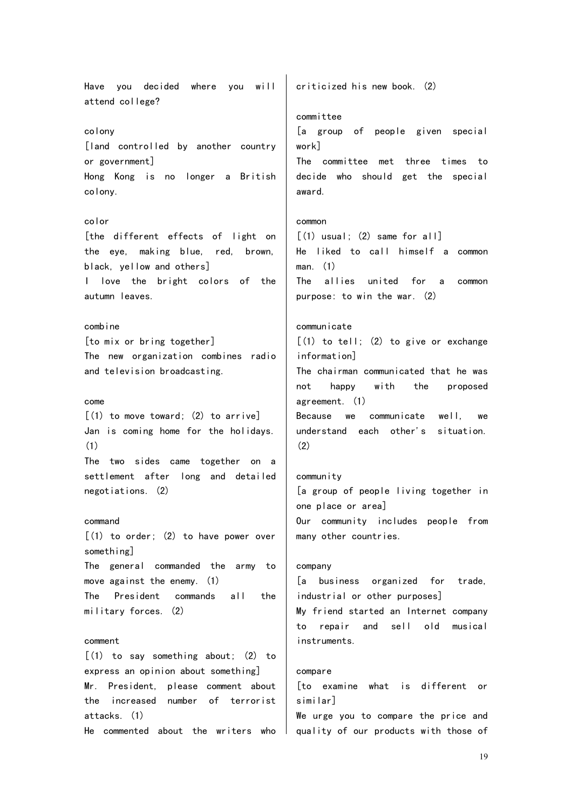Have you decided where you will attend college? colony [land controlled by another country or government] Hong Kong is no longer a British colony. color [the different effects of light on the eye, making blue, red, brown, black, yellow and others] I love the bright colors of the autumn leaves. combine [to mix or bring together] The new organization combines radio and television broadcasting. come  $(1)$  to move toward;  $(2)$  to arrivel Jan is coming home for the holidays. (1) The two sides came together on a settlement after long and detailed negotiations. (2) command  $(1)$  to order;  $(2)$  to have power over something] The general commanded the army to move against the enemy. (1) The President commands all the military forces. (2) comment [(1) to say something about; (2) to express an opinion about something] Mr. President, please comment about the increased number of terrorist attacks. (1) He commented about the writers who criticized his new book. (2) committee [a group of people given special work] The committee met three times to decide who should get the special award. common  $[(1)$  usual;  $(2)$  same for all] He liked to call himself a common man. (1) The allies united for a common purpose: to win the war. (2) communicate  $[(1)$  to tell;  $(2)$  to give or exchange information] The chairman communicated that he was not happy with the proposed agreement. (1) Because we communicate well, we understand each other's situation. (2) community [a group of people living together in one place or area] Our community includes people from many other countries. company [a business organized for trade, industrial or other purposes] My friend started an Internet company to repair and sell old musical instruments. compare [to examine what is different or similar] We urge you to compare the price and quality of our products with those of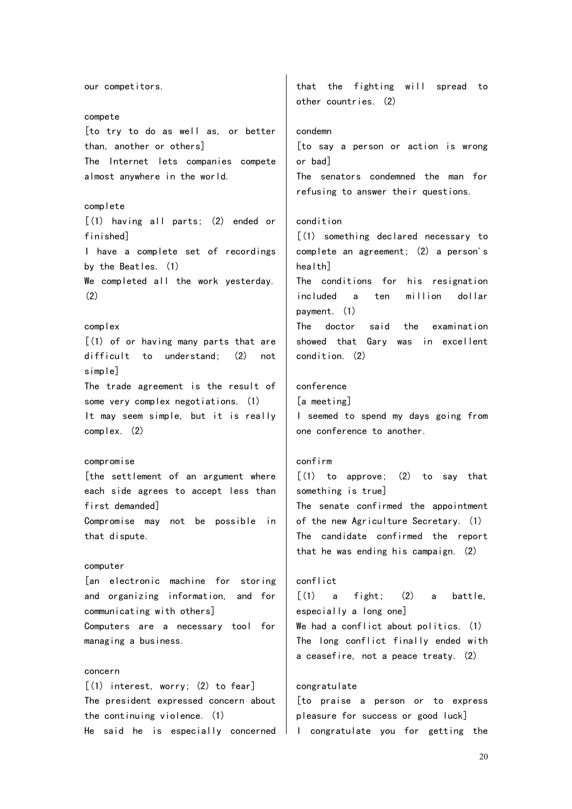our competitors. compete [to try to do as well as, or better than, another or others] The Internet lets companies compete almost anywhere in the world. complete [(1) having all parts; (2) ended or finished] I have a complete set of recordings by the Beatles. (1) We completed all the work yesterday. (2) complex [(1) of or having many parts that are difficult to understand; (2) not simple] The trade agreement is the result of some very complex negotiations. (1) It may seem simple, but it is really complex. (2) compromise [the settlement of an argument where each side agrees to accept less than first demanded] Compromise may not be possible in that dispute. computer [an electronic machine for storing and organizing information, and for communicating with others] Computers are a necessary tool for managing a business. concern [(1) interest, worry; (2) to fear] The president expressed concern about the continuing violence. (1) He said he is especially concerned that the fighting will spread to other countries. (2) condemn [to say a person or action is wrong or bad] The senators condemned the man for refusing to answer their questions. condition [(1) something declared necessary to complete an agreement; (2) a person's health] The conditions for his resignation included a ten million dollar payment. (1) The doctor said the examination showed that Gary was in excellent condition. (2) conference [a meeting] I seemed to spend my days going from one conference to another. confirm  $[(1)$  to approve;  $(2)$  to say that something is true] The senate confirmed the appointment of the new Agriculture Secretary. (1) The candidate confirmed the report that he was ending his campaign. (2) conflict  $\lceil$ (1) a fight; (2) a battle, especially a long one] We had a conflict about politics. (1) The long conflict finally ended with a ceasefire, not a peace treaty. (2) congratulate [to praise a person or to express pleasure for success or good luck] I congratulate you for getting the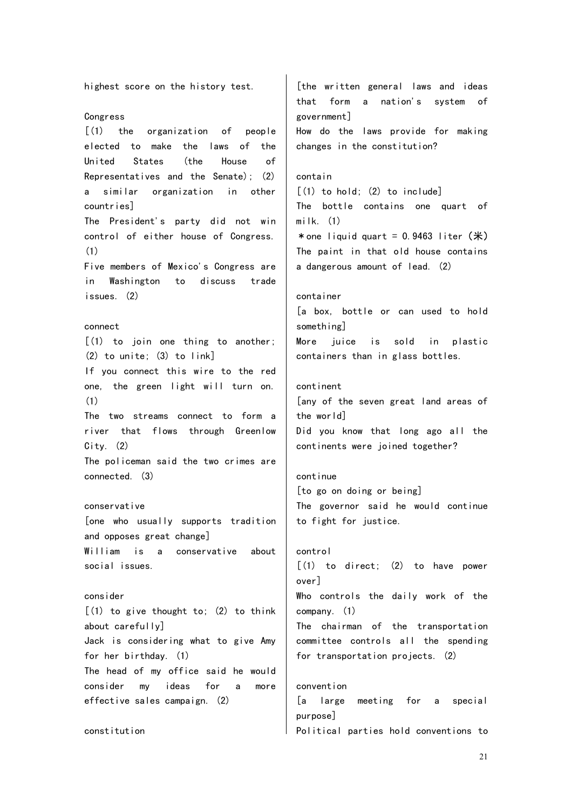highest score on the history test. Congress [(1) the organization of people elected to make the laws of the United States (the House of Representatives and the Senate); (2) a similar organization in other countries] The President's party did not win control of either house of Congress. (1) Five members of Mexico's Congress are in Washington to discuss trade issues. (2) connect [(1) to join one thing to another; (2) to unite; (3) to link] If you connect this wire to the red one, the green light will turn on. (1) The two streams connect to form a river that flows through Greenlow  $City.$  (2) The policeman said the two crimes are connected. (3) conservative [one who usually supports tradition and opposes great change] William is a conservative about social issues. consider  $[(1)$  to give thought to;  $(2)$  to think about carefully] Jack is considering what to give Amy for her birthday. (1) The head of my office said he would consider my ideas for a more effective sales campaign. (2) constitution [the written general laws and ideas that form a nation's system of government] How do the laws provide for making changes in the constitution? contain  $\lceil$  (1) to hold; (2) to include The bottle contains one quart of milk. (1) \* one liquid quart =  $0.9463$  liter ( $\#$ ) The paint in that old house contains a dangerous amount of lead. (2) container [a box, bottle or can used to hold something] More juice is sold in plastic containers than in glass bottles. continent [any of the seven great land areas of the world] Did you know that long ago all the continents were joined together? continue [to go on doing or being] The governor said he would continue to fight for justice. control  $[(1)$  to direct;  $(2)$  to have power over] Who controls the daily work of the company. (1) The chairman of the transportation committee controls all the spending for transportation projects. (2) convention [a large meeting for a special purpose] Political parties hold conventions to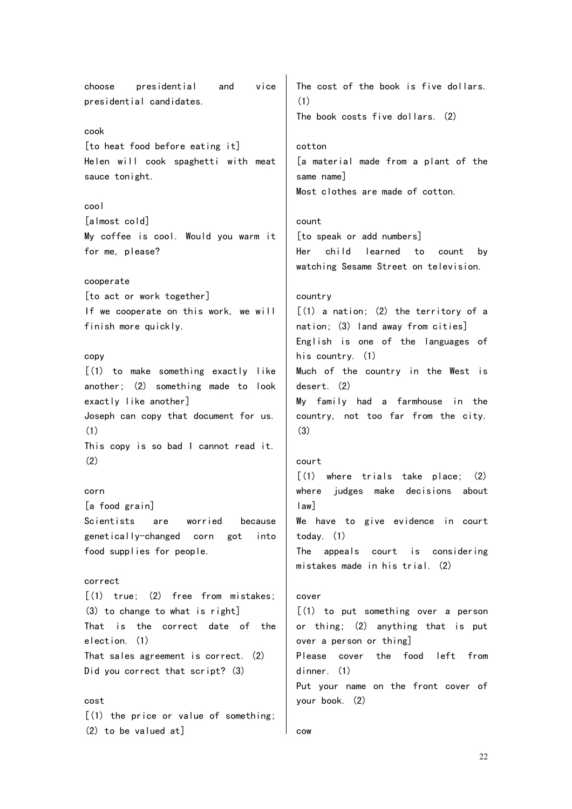choose presidential and vice presidential candidates. cook [to heat food before eating it] Helen will cook spaghetti with meat sauce tonight. cool [almost cold] My coffee is cool. Would you warm it for me, please? cooperate [to act or work together] If we cooperate on this work, we will finish more quickly. copy [(1) to make something exactly like another; (2) something made to look exactly like another] Joseph can copy that document for us. (1) This copy is so bad I cannot read it.  $(2)$ corn [a food grain] Scientists are worried because genetically-changed corn got into food supplies for people. correct  $(1)$  true:  $(2)$  free from mistakes: (3) to change to what is right] That is the correct date of the election. (1) That sales agreement is correct. (2) Did you correct that script? (3) cost [(1) the price or value of something; (2) to be valued at] The cost of the book is five dollars. (1) The book costs five dollars. (2) cotton [a material made from a plant of the same name] Most clothes are made of cotton. count [to speak or add numbers] Her child learned to count by watching Sesame Street on television. country  $[(1)$  a nation;  $(2)$  the territory of a nation; (3) land away from cities] English is one of the languages of his country. (1) Much of the country in the West is desert. (2) My family had a farmhouse in the country, not too far from the city. (3) court [(1) where trials take place; (2) where judges make decisions about law] We have to give evidence in court today. (1) The appeals court is considering mistakes made in his trial. (2) cover [(1) to put something over a person or thing; (2) anything that is put over a person or thing] Please cover the food left from dinner. (1) Put your name on the front cover of your book. (2) cow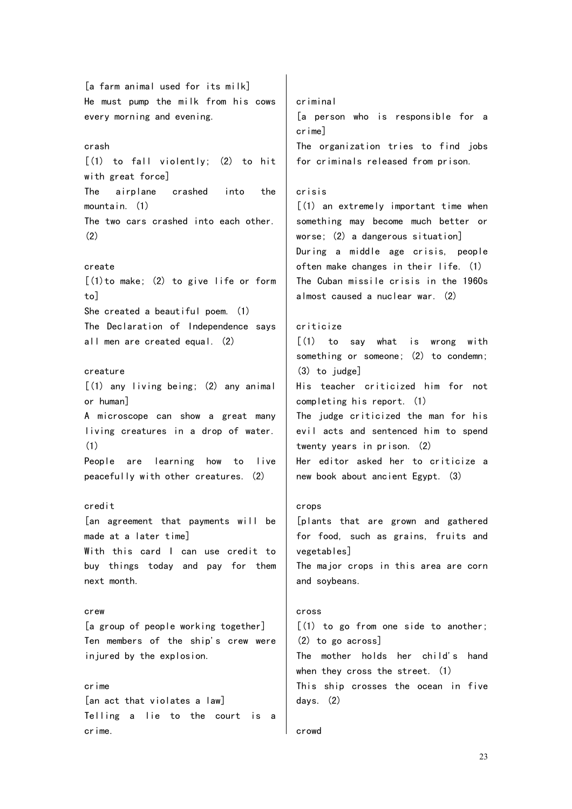[a farm animal used for its milk] He must pump the milk from his cows every morning and evening. crash [(1) to fall violently; (2) to hit with great force] The airplane crashed into the mountain. (1) The two cars crashed into each other. (2) create  $[(1)$  to make;  $(2)$  to give life or form to] She created a beautiful poem. (1) The Declaration of Independence says all men are created equal. (2) creature [(1) any living being; (2) any animal or human] A microscope can show a great many living creatures in a drop of water. (1) People are learning how to live criminal crime] crisis criticize (3) to judge]

#### credit

[an agreement that payments will be made at a later time] With this card I can use credit to buy things today and pay for them next month.

peacefully with other creatures. (2)

crew [a group of people working together] Ten members of the ship's crew were injured by the explosion.

crime [an act that violates a law] Telling a lie to the court is a crime.

[a person who is responsible for a The organization tries to find jobs for criminals released from prison.

[(1) an extremely important time when something may become much better or worse; (2) a dangerous situation] During a middle age crisis, people often make changes in their life. (1) The Cuban missile crisis in the 1960s almost caused a nuclear war. (2)

[(1) to say what is wrong with something or someone; (2) to condemn; His teacher criticized him for not completing his report. (1) The judge criticized the man for his evil acts and sentenced him to spend twenty years in prison. (2) Her editor asked her to criticize a new book about ancient Egypt. (3)

#### crops

[plants that are grown and gathered for food, such as grains, fruits and vegetables] The major crops in this area are corn and soybeans.

#### cross

[(1) to go from one side to another; (2) to go across] The mother holds her child's hand when they cross the street. (1) This ship crosses the ocean in five days. (2)

#### crowd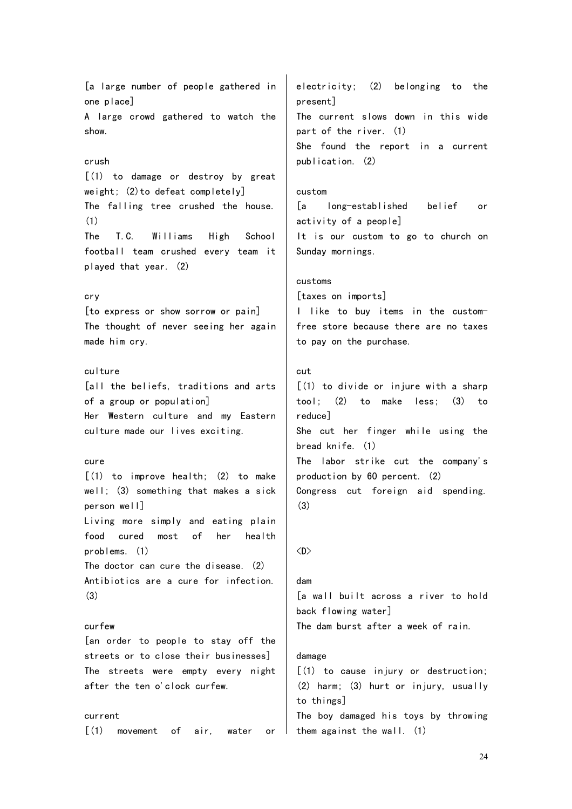[a large number of people gathered in one place] A large crowd gathered to watch the show. crush [(1) to damage or destroy by great weight; (2)to defeat completely] The falling tree crushed the house. (1) The T.C. Williams High School football team crushed every team it played that year. (2) cry [to express or show sorrow or pain] The thought of never seeing her again made him cry. culture [all the beliefs, traditions and arts of a group or population] Her Western culture and my Eastern culture made our lives exciting. cure [(1) to improve health; (2) to make well; (3) something that makes a sick person well] Living more simply and eating plain food cured most of her health problems. (1) The doctor can cure the disease. (2) Antibiotics are a cure for infection. (3) curfew [an order to people to stay off the streets or to close their businesses] The streets were empty every night after the ten o'clock curfew. current present] publication. (2) custom customs cut reduce] (3)  $\langle D \rangle$ dam damage to things]

[(1) movement of air, water or

electricity; (2) belonging to the The current slows down in this wide part of the river. (1) She found the report in a current

[a long-established belief or activity of a people] It is our custom to go to church on Sunday mornings.

[taxes on imports]

I like to buy items in the customfree store because there are no taxes to pay on the purchase.

 $(1)$  to divide or injure with a sharp tool; (2) to make less; (3) to She cut her finger while using the bread knife. (1) The labor strike cut the company's production by 60 percent. (2) Congress cut foreign aid spending.

[a wall built across a river to hold back flowing water] The dam burst after a week of rain.

[(1) to cause injury or destruction; (2) harm; (3) hurt or injury, usually The boy damaged his toys by throwing them against the wall. (1)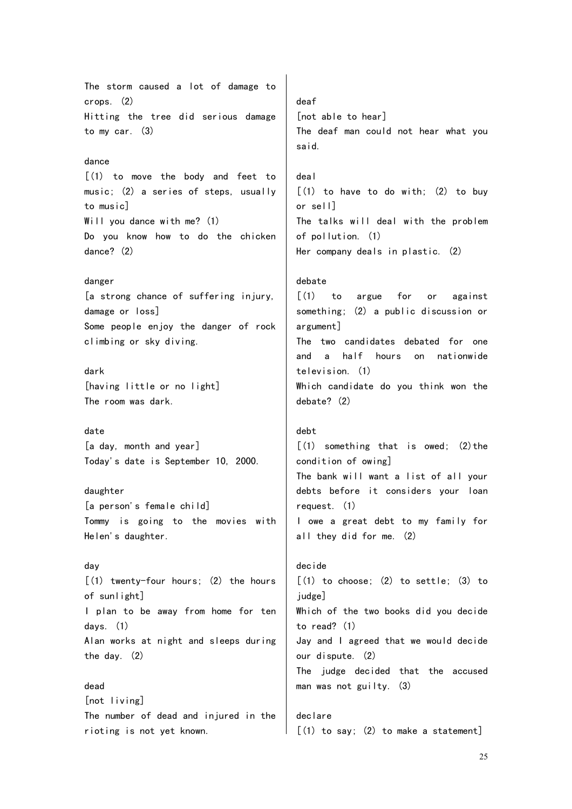The storm caused a lot of damage to crops. (2) Hitting the tree did serious damage to my car. (3) dance [(1) to move the body and feet to music; (2) a series of steps, usually to music] Will you dance with me? (1) Do you know how to do the chicken dance? (2) danger [a strong chance of suffering injury, damage or loss] Some people enjoy the danger of rock climbing or sky diving. dark [having little or no light] The room was dark. date [a day, month and year] Today's date is September 10, 2000. daughter [a person's female child] Tommy is going to the movies with Helen's daughter. day [(1) twenty-four hours; (2) the hours of sunlight] I plan to be away from home for ten days. (1) Alan works at night and sleeps during the day. (2) dead [not living] The number of dead and injured in the rioting is not yet known. deaf [not able to hear] said. deal or sell] of pollution. (1) debate argument] television. (1) debate? (2) debt condition of owing] request. (1) decide judge] to read? (1) our dispute. (2) declare

The deaf man could not hear what you

 $(1)$  to have to do with;  $(2)$  to buy The talks will deal with the problem Her company deals in plastic. (2)

[(1) to argue for or against something; (2) a public discussion or The two candidates debated for one and a half hours on nationwide Which candidate do you think won the

 $[ (1)$  something that is owed;  $(2)$  the The bank will want a list of all your debts before it considers your loan I owe a great debt to my family for all they did for me. (2)

# $[(1)$  to choose;  $(2)$  to settle;  $(3)$  to Which of the two books did you decide Jay and I agreed that we would decide The judge decided that the accused man was not guilty. (3)

 $\lceil$  (1) to say; (2) to make a statement]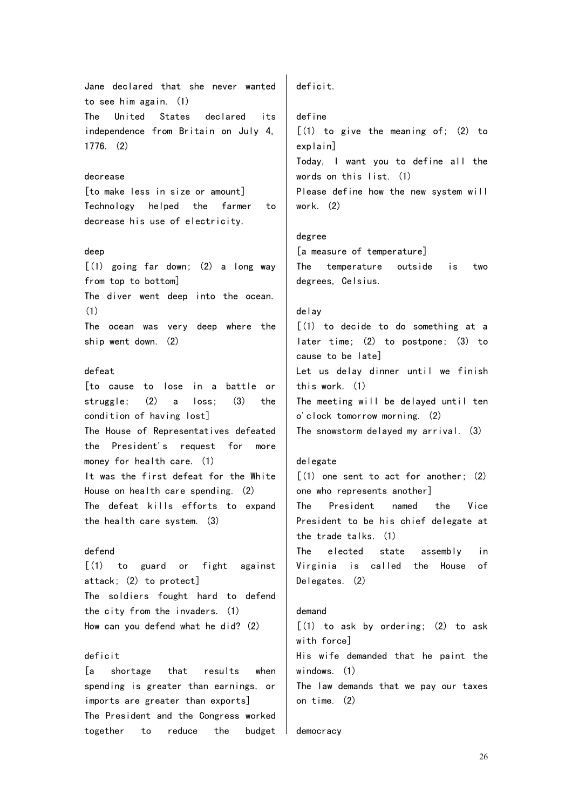Jane declared that she never wanted to see him again. (1) The United States declared its independence from Britain on July 4, 1776. (2)

## decrease

[to make less in size or amount] Technology helped the farmer to decrease his use of electricity.

## deep

 $[(1)$  going far down;  $(2)$  a long way from top to bottom] The diver went deep into the ocean. (1) The ocean was very deep where the ship went down. (2)

#### defeat

[to cause to lose in a battle or struggle; (2) a loss; (3) the condition of having lost] The House of Representatives defeated the President's request for more money for health care. (1) It was the first defeat for the White House on health care spending. (2) The defeat kills efforts to expand the health care system. (3)

## defend

[(1) to guard or fight against attack; (2) to protect] The soldiers fought hard to defend the city from the invaders. (1) How can you defend what he did? (2)

#### deficit

[a shortage that results when spending is greater than earnings, or imports are greater than exports] The President and the Congress worked together to reduce the budget deficit.

define [(1) to give the meaning of; (2) to explain] Today, I want you to define all the words on this list. (1) Please define how the new system will work. (2)

## degree [a measure of temperature] The temperature outside is two degrees, Celsius.

## delay

[(1) to decide to do something at a later time; (2) to postpone; (3) to cause to be late] Let us delay dinner until we finish this work. (1) The meeting will be delayed until ten o'clock tomorrow morning. (2) The snowstorm delayed my arrival. (3)

## delegate

 $[$ (1) one sent to act for another; (2) one who represents another] The President named the Vice President to be his chief delegate at the trade talks. (1) The elected state assembly in Virginia is called the House of Delegates. (2)

#### demand

[(1) to ask by ordering; (2) to ask with force] His wife demanded that he paint the windows. (1) The law demands that we pay our taxes on time. (2)

#### democracy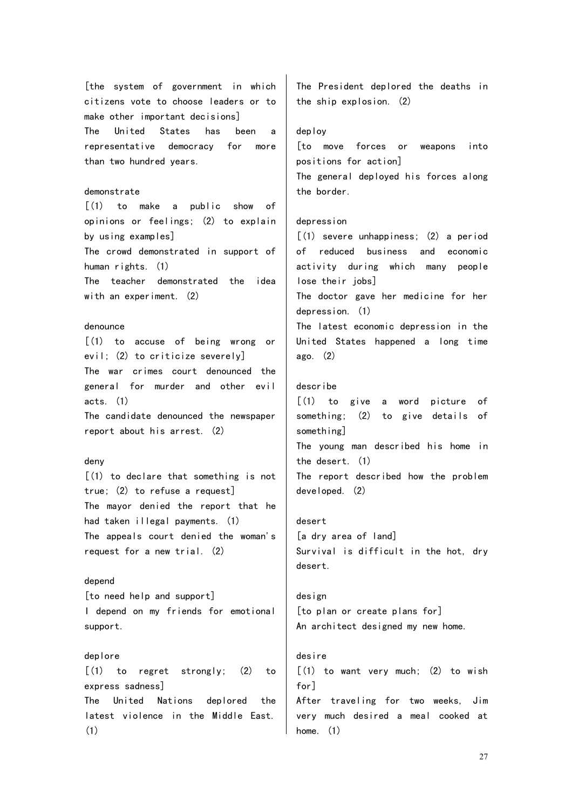[the system of government in which citizens vote to choose leaders or to make other important decisions] The United States has been a representative democracy for more than two hundred years. demonstrate

 $\lceil$ (1) to make a public show of opinions or feelings; (2) to explain by using examples] The crowd demonstrated in support of human rights. (1) The teacher demonstrated the idea with an experiment. (2)

#### denounce

[(1) to accuse of being wrong or evil; (2) to criticize severely] The war crimes court denounced the general for murder and other evil acts. (1) The candidate denounced the newspaper

report about his arrest. (2)

## deny

[(1) to declare that something is not true; (2) to refuse a request] The mayor denied the report that he had taken illegal payments. (1) The appeals court denied the woman's request for a new trial. (2)

#### depend

[to need help and support] I depend on my friends for emotional support.

#### deplore

[(1) to regret strongly; (2) to express sadness] The United Nations deplored the latest violence in the Middle East. (1)

The President deplored the deaths in the ship explosion. (2)

#### deploy

[to move forces or weapons into positions for action] The general deployed his forces along the border.

## depression

[(1) severe unhappiness; (2) a period of reduced business and economic activity during which many people lose their jobs] The doctor gave her medicine for her depression. (1)

The latest economic depression in the United States happened a long time ago. (2)

## describe

[(1) to give a word picture of something; (2) to give details of something] The young man described his home in the desert. (1) The report described how the problem developed. (2)

desert [a dry area of land] Survival is difficult in the hot, dry desert.

design [to plan or create plans for] An architect designed my new home.

# desire  $[(1)$  to want very much;  $(2)$  to wish for] After traveling for two weeks, Jim very much desired a meal cooked at home. (1)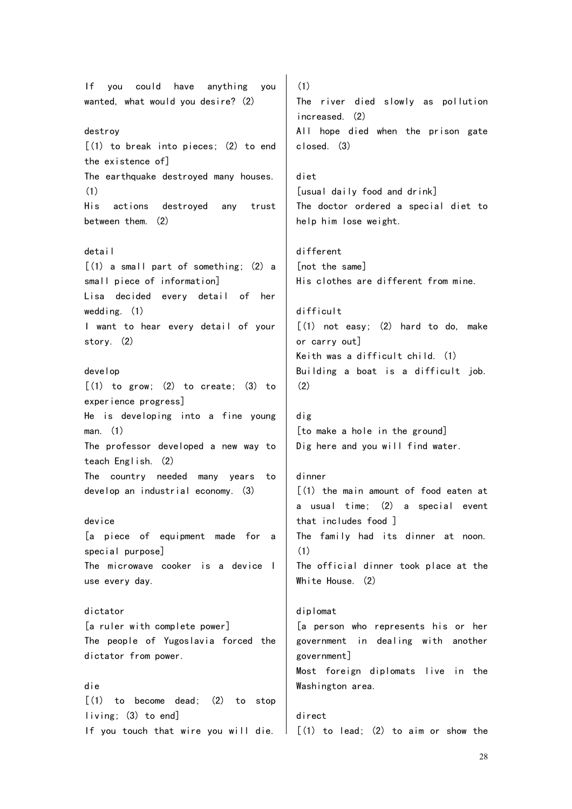If you could have anything you wanted, what would you desire? (2) destroy [(1) to break into pieces; (2) to end the existence of] The earthquake destroyed many houses. (1) His actions destroyed any trust between them. (2) detail  $\lceil$  (1) a small part of something; (2) a small piece of information] Lisa decided every detail of her wedding. (1) I want to hear every detail of your story. (2) develop  $\lceil$ (1) to grow; (2) to create; (3) to experience progress] He is developing into a fine young man. (1) The professor developed a new way to teach English. (2) The country needed many years to develop an industrial economy. (3) device [a piece of equipment made for a special purpose] The microwave cooker is a device I use every day. dictator [a ruler with complete power] The people of Yugoslavia forced the dictator from power. die  $\lceil$ (1) to become dead; (2) to stop living; (3) to end] If you touch that wire you will die.

(1) The river died slowly as pollution increased. (2) All hope died when the prison gate closed. (3)

diet [usual daily food and drink] The doctor ordered a special diet to help him lose weight.

different [not the same] His clothes are different from mine.

difficult  $[(1)$  not easy;  $(2)$  hard to do, make or carry out] Keith was a difficult child. (1) Building a boat is a difficult job.  $(2)$ 

dig [to make a hole in the ground] Dig here and you will find water.

#### dinner

 $(1)$  the main amount of food eaten at a usual time; (2) a special event that includes food ] The family had its dinner at noon. (1) The official dinner took place at the White House. (2)

diplomat [a person who represents his or her government in dealing with another government] Most foreign diplomats live in the Washington area.

direct  $\parallel$   $\lceil$  (1) to lead; (2) to aim or show the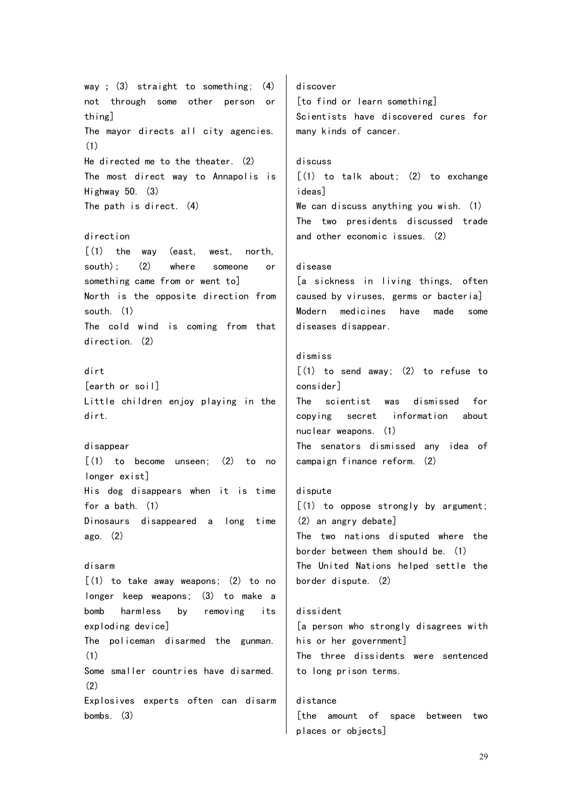way ; (3) straight to something; (4) not through some other person or thing] The mayor directs all city agencies. (1) He directed me to the theater. (2) The most direct way to Annapolis is Highway 50. (3) The path is direct. (4) direction  $(1)$  the way (east, west, north, south); (2) where someone or something came from or went to] North is the opposite direction from south. (1) The cold wind is coming from that direction. (2) dirt [earth or soil] Little children enjoy playing in the dirt. disappear  $\lceil$  (1) to become unseen; (2) to no longer exist] His dog disappears when it is time for a bath. (1) Dinosaurs disappeared a long time ago. (2) disarm [(1) to take away weapons; (2) to no longer keep weapons; (3) to make a bomb harmless by removing its exploding device] The policeman disarmed the gunman. (1) Some smaller countries have disarmed. (2) Explosives experts often can disarm bombs. (3) discover [to find or learn something] Scientists have discovered cures for many kinds of cancer. discuss [(1) to talk about; (2) to exchange ideas] We can discuss anything you wish. (1) The two presidents discussed trade and other economic issues. (2) disease [a sickness in living things, often caused by viruses, germs or bacteria] Modern medicines have made some diseases disappear. dismiss [(1) to send away; (2) to refuse to consider] The scientist was dismissed for copying secret information about nuclear weapons. (1) The senators dismissed any idea of campaign finance reform. (2) dispute [(1) to oppose strongly by argument; (2) an angry debate] The two nations disputed where the border between them should be. (1) The United Nations helped settle the border dispute. (2) dissident [a person who strongly disagrees with his or her government] The three dissidents were sentenced to long prison terms. distance [the amount of space between two places or objects]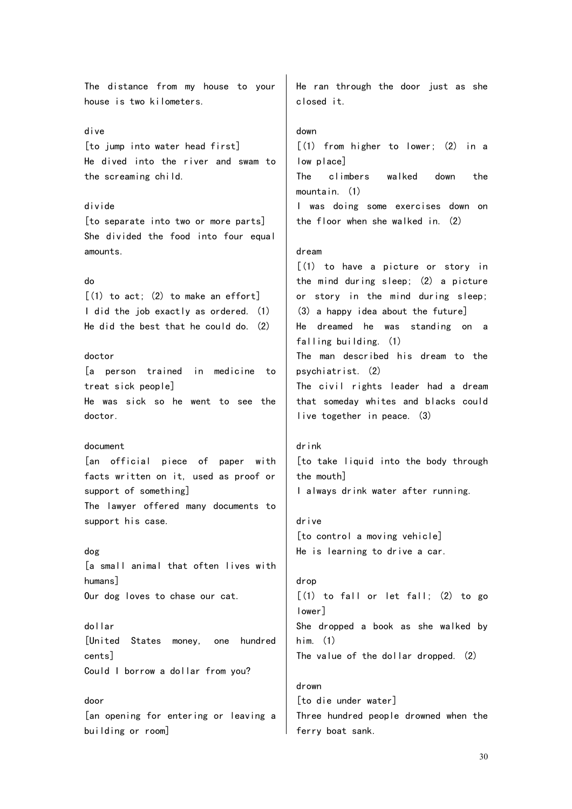The distance from my house to your house is two kilometers. dive [to jump into water head first] He dived into the river and swam to the screaming child. divide [to separate into two or more parts] She divided the food into four equal amounts. do  $[(1)$  to act;  $(2)$  to make an effort] I did the job exactly as ordered. (1) He did the best that he could do. (2) doctor [a person trained in medicine to treat sick people] He was sick so he went to see the doctor. document [an official piece of paper with facts written on it, used as proof or support of something] The lawyer offered many documents to support his case. dog [a small animal that often lives with humans] Our dog loves to chase our cat. dollar [United States money, one hundred cents] Could I borrow a dollar from you? door [an opening for entering or leaving a building or room] He ran through the door just as she closed it. down [(1) from higher to lower; (2) in a low place] The climbers walked down the mountain. (1) I was doing some exercises down on the floor when she walked in. (2) dream  $(1)$  to have a picture or story in the mind during sleep; (2) a picture or story in the mind during sleep; (3) a happy idea about the future] He dreamed he was standing on a falling building. (1) The man described his dream to the psychiatrist. (2) The civil rights leader had a dream that someday whites and blacks could live together in peace. (3) drink [to take liquid into the body through the mouth] I always drink water after running. drive [to control a moving vehicle] He is learning to drive a car. drop  $[(1)$  to fall or let fall:  $(2)$  to go lower] She dropped a book as she walked by him. (1) The value of the dollar dropped. (2) drown [to die under water] Three hundred people drowned when the ferry boat sank.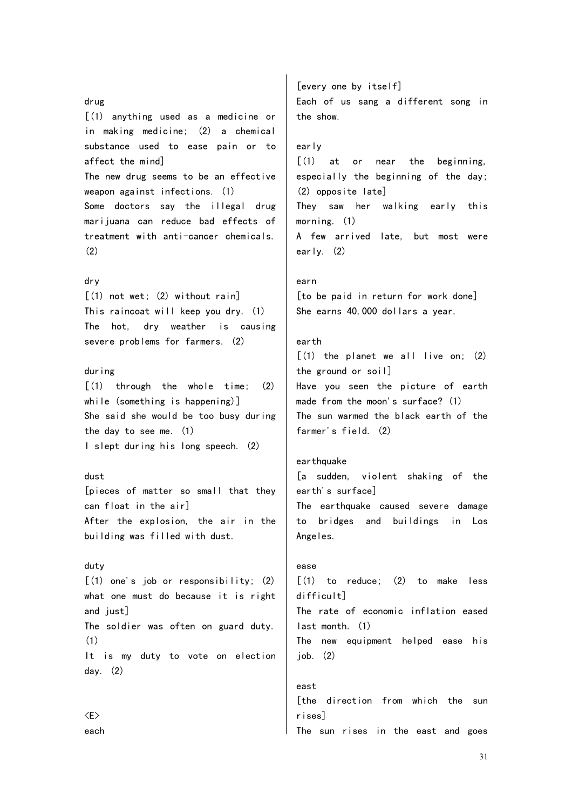#### drug

[(1) anything used as a medicine or in making medicine; (2) a chemical substance used to ease pain or to affect the mind] The new drug seems to be an effective weapon against infections. (1) Some doctors say the illegal drug marijuana can reduce bad effects of treatment with anti-cancer chemicals. (2)

## dry

[(1) not wet; (2) without rain] This raincoat will keep you dry. (1) The hot, dry weather is causing severe problems for farmers. (2)

## during

 $\lceil$ (1) through the whole time: (2) while (something is happening)] She said she would be too busy during the day to see me. (1) I slept during his long speech. (2)

#### dust

[pieces of matter so small that they can float in the air] After the explosion, the air in the building was filled with dust.

## duty

[(1) one's job or responsibility; (2) what one must do because it is right and just] The soldier was often on guard duty. (1) It is my duty to vote on election day. (2)

<E> each

[every one by itself] Each of us sang a different song in the show.

## early

[(1) at or near the beginning, especially the beginning of the day; (2) opposite late] They saw her walking early this morning. (1) A few arrived late, but most were early. (2)

#### earn

[to be paid in return for work done] She earns 40,000 dollars a year.

## earth

 $\lceil$  (1) the planet we all live on: (2) the ground or soil] Have you seen the picture of earth made from the moon's surface? (1) The sun warmed the black earth of the farmer's field. (2)

## earthquake

east

[a sudden, violent shaking of the earth's surface] The earthquake caused severe damage to bridges and buildings in Los Angeles.

ease [(1) to reduce; (2) to make less difficult] The rate of economic inflation eased last month. (1) The new equipment helped ease his  $i$ ob.  $(2)$ 

[the direction from which the sun rises] The sun rises in the east and goes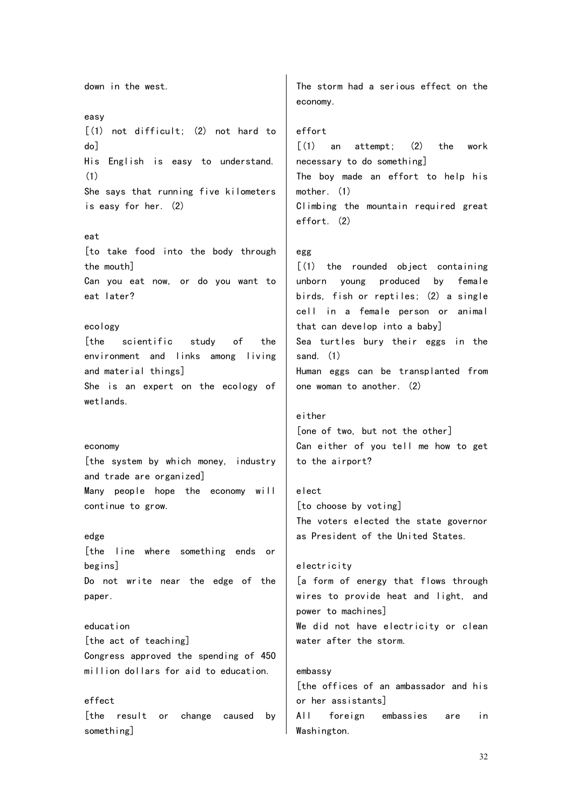down in the west. easy [(1) not difficult; (2) not hard to do] His English is easy to understand. (1) She says that running five kilometers is easy for her. (2) eat [to take food into the body through the mouth] Can you eat now, or do you want to eat later? ecology [the scientific study of the environment and links among living and material things] She is an expert on the ecology of wetlands. economy [the system by which money, industry and trade are organized] Many people hope the economy will continue to grow. edge [the line where something ends or begins] Do not write near the edge of the paper. education [the act of teaching] Congress approved the spending of 450 million dollars for aid to education. effect [the result or change caused by something] The storm had a serious effect on the economy. effort  $\lceil$ (1) an attempt: (2) the work necessary to do something] The boy made an effort to help his mother. (1) Climbing the mountain required great effort. (2) egg [(1) the rounded object containing unborn young produced by female birds, fish or reptiles; (2) a single cell in a female person or animal that can develop into a baby] Sea turtles bury their eggs in the sand. (1) Human eggs can be transplanted from one woman to another. (2) either [one of two, but not the other] Can either of you tell me how to get to the airport? elect [to choose by voting] The voters elected the state governor as President of the United States. electricity [a form of energy that flows through wires to provide heat and light, and power to machines] We did not have electricity or clean water after the storm. embassy [the offices of an ambassador and his or her assistants] All foreign embassies are in Washington.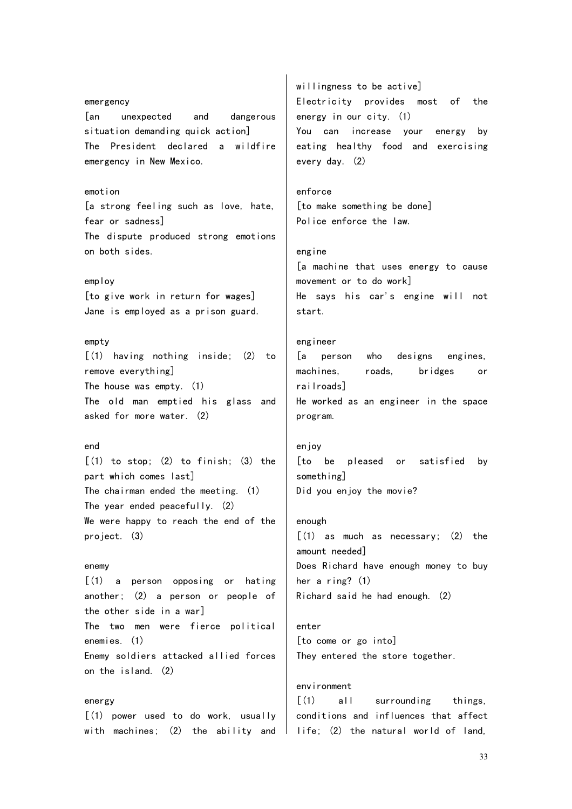emergency [an unexpected and dangerous situation demanding quick action] The President declared a wildfire emergency in New Mexico. emotion [a strong feeling such as love, hate, fear or sadness] The dispute produced strong emotions on both sides. employ [to give work in return for wages] Jane is employed as a prison guard. empty [(1) having nothing inside; (2) to remove everything] The house was empty. (1) The old man emptied his glass and asked for more water. (2) end  $(1)$  to stop;  $(2)$  to finish;  $(3)$  the part which comes last] The chairman ended the meeting. (1) The year ended peacefully. (2) We were happy to reach the end of the project. (3) enemy [(1) a person opposing or hating another; (2) a person or people of the other side in a war] The two men were fierce political enemies. (1) Enemy soldiers attacked allied forces on the island. (2) energy [(1) power used to do work, usually with machines; (2) the ability and  $|$  life; (2) the natural world of land,

willingness to be active] Electricity provides most of the energy in our city. (1) You can increase your energy by eating healthy food and exercising every day. (2) enforce [to make something be done] Police enforce the law. engine [a machine that uses energy to cause movement or to do work] He says his car's engine will not start. engineer [a person who designs engines, machines, roads, bridges or railroads] He worked as an engineer in the space program. enjoy [to be pleased or satisfied by something] Did you enjoy the movie? enough [(1) as much as necessary; (2) the amount needed] Does Richard have enough money to buy her a ring? (1) Richard said he had enough. (2) enter [to come or go into] They entered the store together. environment [(1) all surrounding things,

conditions and influences that affect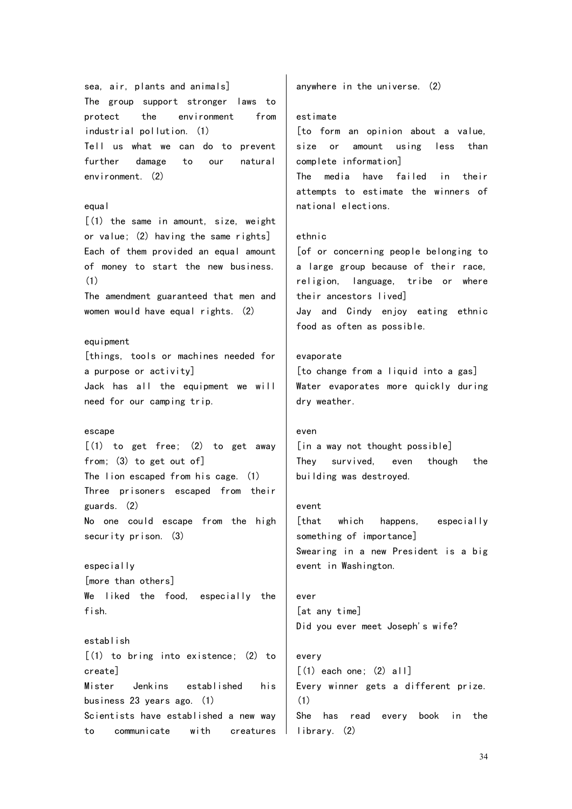sea, air, plants and animals] The group support stronger laws to protect the environment from industrial pollution. (1) Tell us what we can do to prevent further damage to our natural environment. (2) equal [(1) the same in amount, size, weight or value; (2) having the same rights]

Each of them provided an equal amount of money to start the new business. (1)

The amendment guaranteed that men and women would have equal rights. (2)

## equipment

[things, tools or machines needed for a purpose or activity] Jack has all the equipment we will need for our camping trip.

## escape

[(1) to get free; (2) to get away from; (3) to get out of] The lion escaped from his cage. (1) Three prisoners escaped from their guards. (2) No one could escape from the high security prison. (3)

especially [more than others] We liked the food, especially the fish.

establish  $(1)$  to bring into existence:  $(2)$  to create] Mister Jenkins established his business 23 years ago. (1) Scientists have established a new way to communicate with creatures anywhere in the universe. (2)

## estimate

[to form an opinion about a value, size or amount using less than complete information] The media have failed in their attempts to estimate the winners of national elections.

## ethnic

[of or concerning people belonging to a large group because of their race, religion, language, tribe or where their ancestors lived] Jay and Cindy enjoy eating ethnic food as often as possible.

## evaporate

[to change from a liquid into a gas] Water evaporates more quickly during dry weather.

#### even

[in a way not thought possible] They survived, even though the building was destroyed.

#### event

[that which happens, especially something of importance] Swearing in a new President is a big event in Washington.

# ever [at any time] Did you ever meet Joseph's wife?

## every

 $[(1)$  each one;  $(2)$  all Every winner gets a different prize. (1) She has read every book in the library. (2)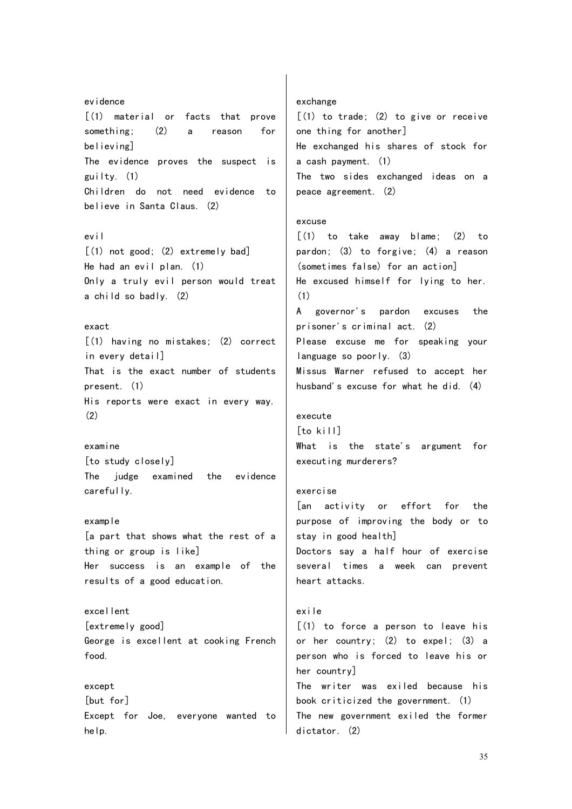evidence [(1) material or facts that prove something; (2) a reason for believing] The evidence proves the suspect is guilty. (1) Children do not need evidence to believe in Santa Claus. (2)

## evil

[(1) not good; (2) extremely bad] He had an evil plan. (1) Only a truly evil person would treat a child so badly. (2)

#### exact

[(1) having no mistakes; (2) correct in every detail] That is the exact number of students present. (1) His reports were exact in every way. (2)

## examine [to study closely]

The judge examined the evidence carefully.

example [a part that shows what the rest of a thing or group is like] Her success is an example of the results of a good education.

excellent [extremely good] George is excellent at cooking French food.

except [but for] Except for Joe, everyone wanted to help.

exchange  $[(1)$  to trade;  $(2)$  to give or receive one thing for another] He exchanged his shares of stock for a cash payment. (1) The two sides exchanged ideas on a peace agreement. (2)

## excuse

[(1) to take away blame; (2) to pardon; (3) to forgive; (4) a reason (sometimes false) for an action] He excused himself for lying to her. (1) A governor's pardon excuses the prisoner's criminal act. (2) Please excuse me for speaking your language so poorly. (3) Missus Warner refused to accept her husband's excuse for what he did. (4)

## execute

[to kill] What is the state's argument for executing murderers?

## exercise

[an activity or effort for the purpose of improving the body or to stay in good health] Doctors say a half hour of exercise several times a week can prevent heart attacks.

# exile

[(1) to force a person to leave his or her country; (2) to expel; (3) a person who is forced to leave his or her country] The writer was exiled because his book criticized the government. (1) The new government exiled the former dictator. (2)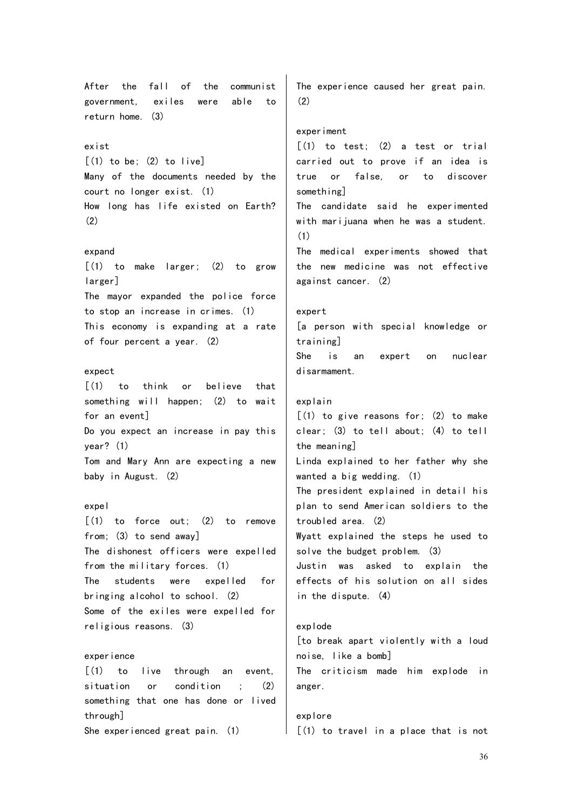After the fall of the communist government, exiles were able to return home. (3) exist  $[(1)$  to be;  $(2)$  to live] Many of the documents needed by the court no longer exist. (1) How long has life existed on Earth? (2) expand  $\lceil$  (1) to make larger; (2) to grow larger] The mayor expanded the police force to stop an increase in crimes. (1) This economy is expanding at a rate of four percent a year. (2) expect [(1) to think or believe that something will happen; (2) to wait for an event] Do you expect an increase in pay this year? (1) Tom and Mary Ann are expecting a new baby in August. (2) expel  $\lceil$ (1) to force out: (2) to remove from; (3) to send away] The dishonest officers were expelled from the military forces. (1) The students were expelled for bringing alcohol to school. (2) Some of the exiles were expelled for religious reasons. (3) experience [(1) to live through an event, situation or condition ; (2) something that one has done or lived through] She experienced great pain. (1) The experience caused her great pain. (2) experiment  $\lceil$ (1) to test: (2) a test or trial carried out to prove if an idea is true or false, or to discover something] The candidate said he experimented with marijuana when he was a student. (1) The medical experiments showed that the new medicine was not effective against cancer. (2) expert [a person with special knowledge or training] She is an expert on nuclear disarmament. explain  $(1)$  to give reasons for;  $(2)$  to make clear; (3) to tell about; (4) to tell the meaning] Linda explained to her father why she wanted a big wedding. (1) The president explained in detail his plan to send American soldiers to the troubled area. (2) Wyatt explained the steps he used to solve the budget problem. (3) Justin was asked to explain the effects of his solution on all sides in the dispute. (4) explode [to break apart violently with a loud noise, like a bomb] The criticism made him explode in anger. explore  $(1)$  to travel in a place that is not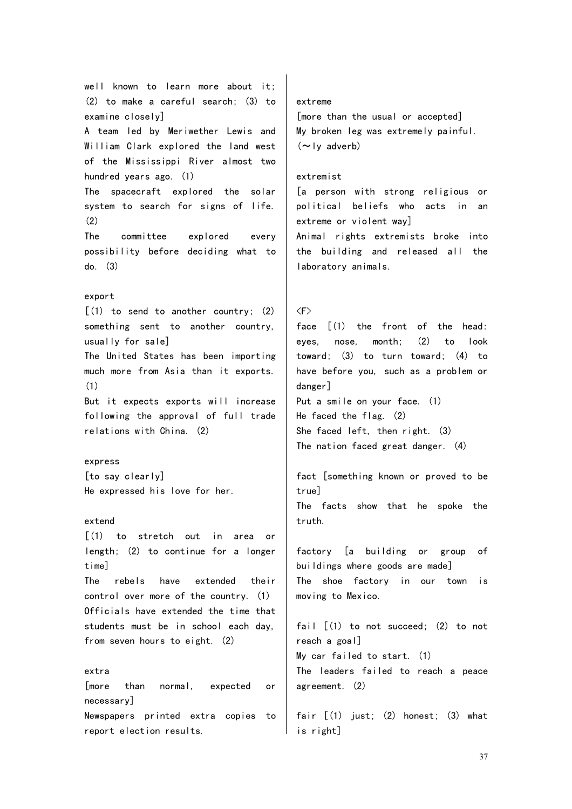well known to learn more about it; (2) to make a careful search; (3) to examine closely] A team led by Meriwether Lewis and William Clark explored the land west of the Mississippi River almost two hundred years ago. (1) The spacecraft explored the solar system to search for signs of life. (2) The committee explored every possibility before deciding what to do. (3) export [(1) to send to another country; (2) something sent to another country, usually for sale] The United States has been importing much more from Asia than it exports. (1) But it expects exports will increase following the approval of full trade relations with China. (2) express [to say clearly] He expressed his love for her. extend [(1) to stretch out in area or length; (2) to continue for a longer time] The rebels have extended their control over more of the country. (1) Officials have extended the time that students must be in school each day, from seven hours to eight. (2) extra [more than normal, expected or necessary] Newspapers printed extra copies to report election results. extreme  $(\sim)$ ly adverb) extremist  $\langle F \rangle$ danger] Put a smile on your face. (1) true] truth. moving to Mexico. reach a goal] agreement. (2)

[more than the usual or accepted] My broken leg was extremely painful.

[a person with strong religious or political beliefs who acts in an extreme or violent way] Animal rights extremists broke into the building and released all the laboratory animals.

face [(1) the front of the head: eyes, nose, month; (2) to look toward; (3) to turn toward; (4) to have before you, such as a problem or

He faced the flag. (2) She faced left, then right. (3) The nation faced great danger. (4)

fact [something known or proved to be The facts show that he spoke the

factory [a building or group of buildings where goods are made] The shoe factory in our town is

fail  $[(1)$  to not succeed; (2) to not My car failed to start. (1) The leaders failed to reach a peace

fair [(1) just; (2) honest; (3) what is right]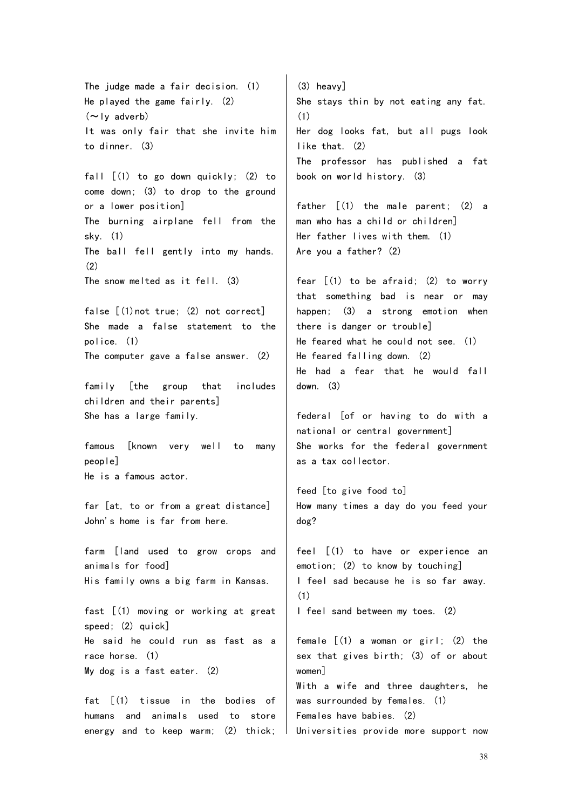The judge made a fair decision. (1) He played the game fairly. (2)  $(\sim$ ly adverb) It was only fair that she invite him to dinner. (3) fall  $[(1)$  to go down quickly; (2) to come down; (3) to drop to the ground or a lower position] The burning airplane fell from the sky. (1) The ball fell gently into my hands. (2) The snow melted as it fell. (3) false [(1)not true; (2) not correct] She made a false statement to the police. (1) The computer gave a false answer. (2) family [the group that includes children and their parents] She has a large family. famous [known very well to many people] He is a famous actor. far [at, to or from a great distance] John's home is far from here. farm [land used to grow crops and animals for food] His family owns a big farm in Kansas. fast [(1) moving or working at great speed; (2) quick] He said he could run as fast as a race horse. (1) My dog is a fast eater. (2) fat [(1) tissue in the bodies of humans and animals used to store energy and to keep warm; (2) thick; (3) heavy] She stays thin by not eating any fat. (1) Her dog looks fat, but all pugs look like that. (2) The professor has published a fat book on world history. (3) father [(1) the male parent; (2) a man who has a child or children] Her father lives with them. (1) Are you a father? (2) fear  $\lceil$  (1) to be afraid; (2) to worry that something bad is near or may happen; (3) a strong emotion when there is danger or trouble] He feared what he could not see. (1) He feared falling down. (2) He had a fear that he would fall down. (3) federal [of or having to do with a national or central government] She works for the federal government as a tax collector. feed [to give food to] How many times a day do you feed your dog? feel [(1) to have or experience an emotion; (2) to know by touching] I feel sad because he is so far away. (1) I feel sand between my toes. (2) female  $[(1)$  a woman or girl;  $(2)$  the sex that gives birth; (3) of or about women] With a wife and three daughters, he was surrounded by females. (1) Females have babies. (2) Universities provide more support now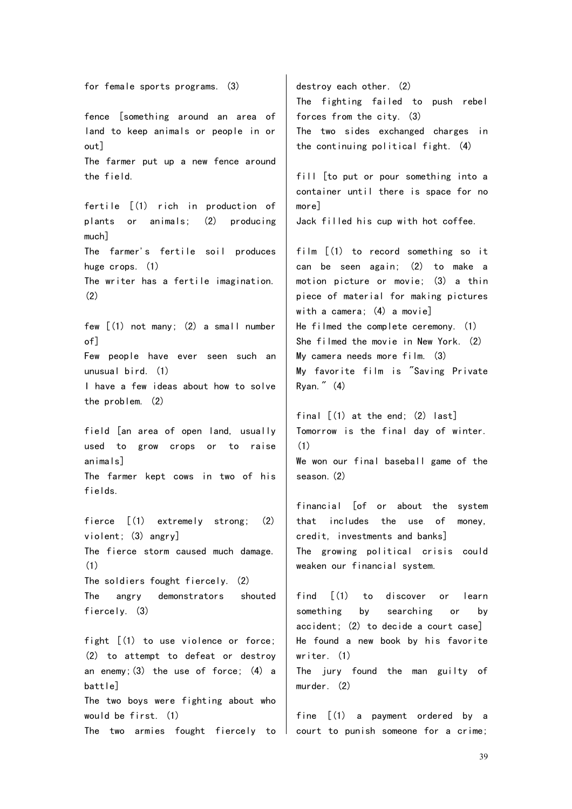for female sports programs. (3) fence [something around an area of land to keep animals or people in or out] The farmer put up a new fence around the field. fertile [(1) rich in production of plants or animals; (2) producing much] The farmer's fertile soil produces huge crops. (1) The writer has a fertile imagination. (2) few [(1) not many; (2) a small number of] Few people have ever seen such an unusual bird. (1) I have a few ideas about how to solve the problem. (2) field [an area of open land, usually used to grow crops or to raise animals] The farmer kept cows in two of his fields. fierce [(1) extremely strong; (2) violent; (3) angry] The fierce storm caused much damage. (1) The soldiers fought fiercely. (2) The angry demonstrators shouted fiercely. (3) fight  $[(1)$  to use violence or force; (2) to attempt to defeat or destroy an enemy;(3) the use of force; (4) a battle] The two boys were fighting about who would be first. (1) more] Ryan." (4) (1) season.(2) writer. (1) murder. (2)

destroy each other. (2) The fighting failed to push rebel forces from the city. (3) The two sides exchanged charges in the continuing political fight. (4)

fill [to put or pour something into a container until there is space for no Jack filled his cup with hot coffee.

film  $(1)$  to record something so it can be seen again; (2) to make a motion picture or movie; (3) a thin piece of material for making pictures with a camera; (4) a movie] He filmed the complete ceremony. (1) She filmed the movie in New York. (2) My camera needs more film. (3) My favorite film is "Saving Private

final  $\lceil$  (1) at the end; (2) last] Tomorrow is the final day of winter. We won our final baseball game of the

financial [of or about the system that includes the use of money, credit, investments and banks] The growing political crisis could weaken our financial system.

find  $\lceil$  (1) to discover or learn something by searching or by accident; (2) to decide a court case] He found a new book by his favorite

The jury found the man guilty of

The two armies fought fiercely to  $\mid$  court to punish someone for a crime; fine [(1) a payment ordered by a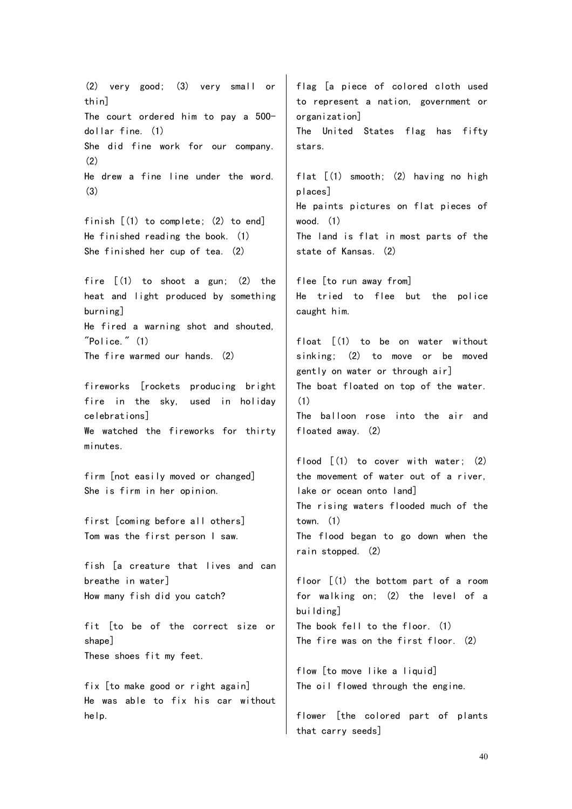(2) very good; (3) very small or thin] The court ordered him to pay a 500 dollar fine. (1) She did fine work for our company. (2) He drew a fine line under the word. (3) finish [(1) to complete; (2) to end] He finished reading the book. (1) She finished her cup of tea. (2) fire  $(1)$  to shoot a gun;  $(2)$  the heat and light produced by something burning] He fired a warning shot and shouted,  $"Police." (1)$ The fire warmed our hands. (2) fireworks [rockets producing bright fire in the sky, used in holiday celebrations] We watched the fireworks for thirty minutes. firm [not easily moved or changed] She is firm in her opinion. first [coming before all others] Tom was the first person I saw. fish [a creature that lives and can breathe in water] How many fish did you catch? fit [to be of the correct size or shape] These shoes fit my feet. fix [to make good or right again] He was able to fix his car without help. flag [a piece of colored cloth used to represent a nation, government or organization] The United States flag has fifty stars. flat [(1) smooth; (2) having no high places] He paints pictures on flat pieces of wood. (1) The land is flat in most parts of the state of Kansas. (2) flee [to run away from] He tried to flee but the police caught him. float [(1) to be on water without sinking; (2) to move or be moved gently on water or through air] The boat floated on top of the water. (1) The balloon rose into the air and floated away. (2) flood  $\lceil (1)$  to cover with water; (2) the movement of water out of a river, lake or ocean onto land] The rising waters flooded much of the town. (1) The flood began to go down when the rain stopped. (2) floor [(1) the bottom part of a room for walking on; (2) the level of a building] The book fell to the floor. (1) The fire was on the first floor. (2) flow [to move like a liquid] The oil flowed through the engine. flower [the colored part of plants that carry seeds]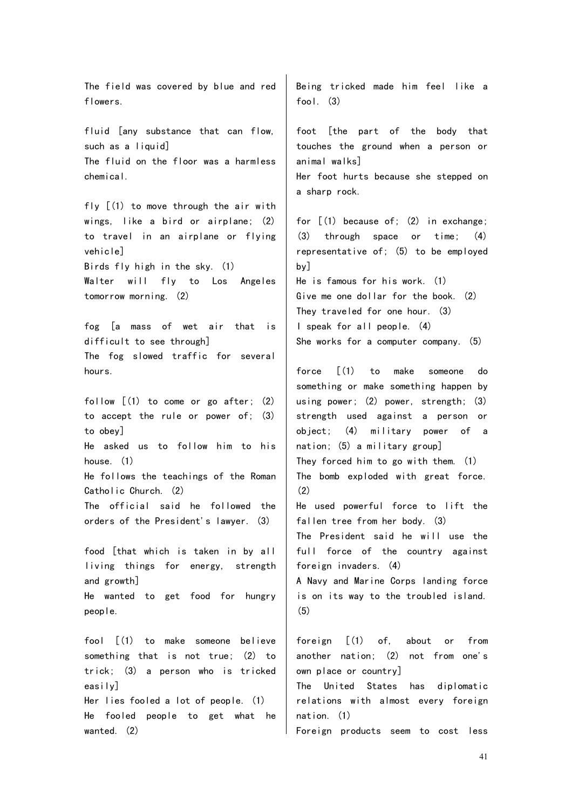The field was covered by blue and red flowers. fluid [any substance that can flow, such as a liquid The fluid on the floor was a harmless chemical. fly [(1) to move through the air with wings, like a bird or airplane; (2) to travel in an airplane or flying vehicle] Birds fly high in the sky. (1) Walter will fly to Los Angeles tomorrow morning. (2) fog [a mass of wet air that is difficult to see through] The fog slowed traffic for several hours. follow  $[(1)$  to come or go after;  $(2)$ to accept the rule or power of; (3) to obey] He asked us to follow him to his house. (1) He follows the teachings of the Roman Catholic Church. (2) The official said he followed the orders of the President's lawyer. (3) food [that which is taken in by all living things for energy, strength and growth] He wanted to get food for hungry people. fool [(1) to make someone believe something that is not true; (2) to trick; (3) a person who is tricked easily] Her lies fooled a lot of people. (1) He fooled people to get what he wanted. (2) fool. (3) a sharp rock. by]  $(2)$ (5) nation. (1)

Being tricked made him feel like a

foot [the part of the body that touches the ground when a person or animal walks] Her foot hurts because she stepped on

for [(1) because of; (2) in exchange; (3) through space or time; (4) representative of; (5) to be employed He is famous for his work. (1) Give me one dollar for the book. (2) They traveled for one hour. (3) I speak for all people. (4)

She works for a computer company. (5)

force [(1) to make someone do something or make something happen by using power; (2) power, strength; (3) strength used against a person or object; (4) military power of a nation; (5) a military group] They forced him to go with them. (1) The bomb exploded with great force. He used powerful force to lift the fallen tree from her body. (3) The President said he will use the full force of the country against foreign invaders. (4) A Navy and Marine Corps landing force is on its way to the troubled island.

foreign [(1) of, about or from another nation; (2) not from one's own place or country]

The United States has diplomatic relations with almost every foreign

Foreign products seem to cost less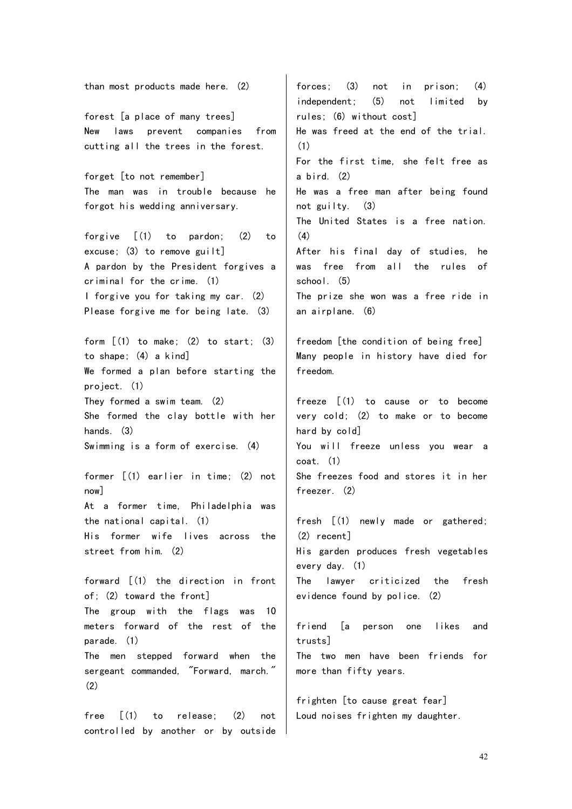than most products made here. (2) forest [a place of many trees] New laws prevent companies from cutting all the trees in the forest. forget [to not remember] The man was in trouble because he forgot his wedding anniversary. forgive [(1) to pardon; (2) to excuse; (3) to remove guilt] A pardon by the President forgives a criminal for the crime. (1) I forgive you for taking my car. (2) Please forgive me for being late. (3) form  $(1)$  to make;  $(2)$  to start;  $(3)$ to shape; (4) a kind] We formed a plan before starting the project. (1) They formed a swim team. (2) She formed the clay bottle with her hands. (3) Swimming is a form of exercise. (4) former [(1) earlier in time; (2) not now] At a former time, Philadelphia was the national capital. (1) His former wife lives across the street from him. (2) forward [(1) the direction in front of; (2) toward the front] The group with the flags was 10 meters forward of the rest of the parade. (1) The men stepped forward when the sergeant commanded, "Forward, march." (2) free [(1) to release; (2) not forces; (3) not in prison; (4) independent; (5) not limited by rules; (6) without cost] He was freed at the end of the trial. (1) For the first time, she felt free as a bird. (2) He was a free man after being found not guilty. (3) The United States is a free nation. (4) After his final day of studies, he was free from all the rules of school. (5) The prize she won was a free ride in an airplane. (6) freedom [the condition of being free] Many people in history have died for freedom. freeze [(1) to cause or to become very cold; (2) to make or to become hard by cold] You will freeze unless you wear a coat. (1) She freezes food and stores it in her freezer. (2) fresh [(1) newly made or gathered; (2) recent] His garden produces fresh vegetables every day. (1) The lawyer criticized the fresh evidence found by police. (2) friend [a person one likes and trusts] The two men have been friends for more than fifty years. frighten [to cause great fear] Loud noises frighten my daughter.

controlled by another or by outside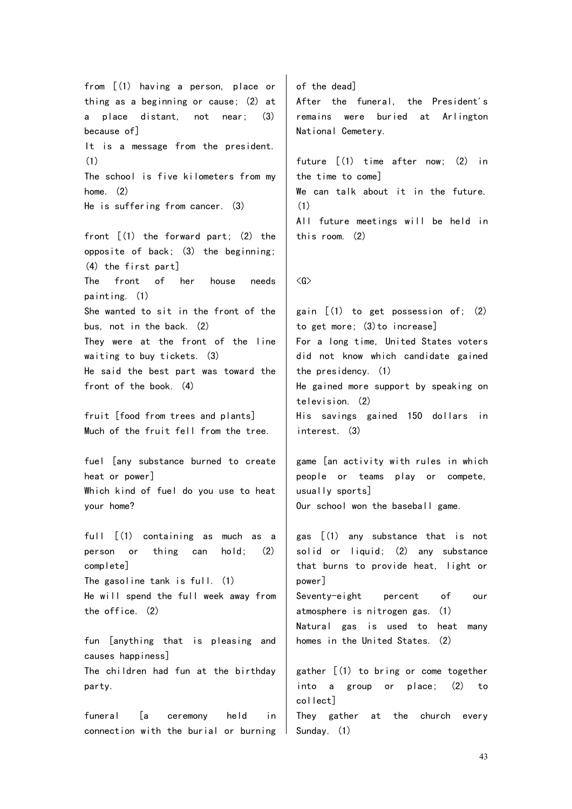from [(1) having a person, place or thing as a beginning or cause; (2) at a place distant, not near; (3) because of] It is a message from the president. (1) The school is five kilometers from my home. (2) He is suffering from cancer. (3) front [(1) the forward part; (2) the opposite of back; (3) the beginning; (4) the first part] The front of her house needs painting. (1) She wanted to sit in the front of the bus, not in the back. (2) They were at the front of the line waiting to buy tickets. (3) He said the best part was toward the front of the book. (4) fruit [food from trees and plants] Much of the fruit fell from the tree. fuel [any substance burned to create heat or power] Which kind of fuel do you use to heat your home? full [(1) containing as much as a person or thing can hold; (2) complete] The gasoline tank is full. (1) He will spend the full week away from the office. (2) fun [anything that is pleasing and causes happiness] The children had fun at the birthday party. funeral [a ceremony held in connection with the burial or burning of the dead] After the funeral, the President's remains were buried at Arlington National Cemetery. future [(1) time after now; (2) in the time to come] We can talk about it in the future. (1) All future meetings will be held in this room. (2)  $\langle G \rangle$ gain [(1) to get possession of; (2) to get more; (3)to increase] For a long time, United States voters did not know which candidate gained the presidency. (1) He gained more support by speaking on television. (2) His savings gained 150 dollars in interest. (3) game [an activity with rules in which people or teams play or compete, usually sports] Our school won the baseball game. gas [(1) any substance that is not solid or liquid; (2) any substance that burns to provide heat, light or power] Seventy-eight percent of our atmosphere is nitrogen gas. (1) Natural gas is used to heat many homes in the United States. (2) gather  $(1)$  to bring or come together into a group or place; (2) to collect] They gather at the church every Sunday. (1)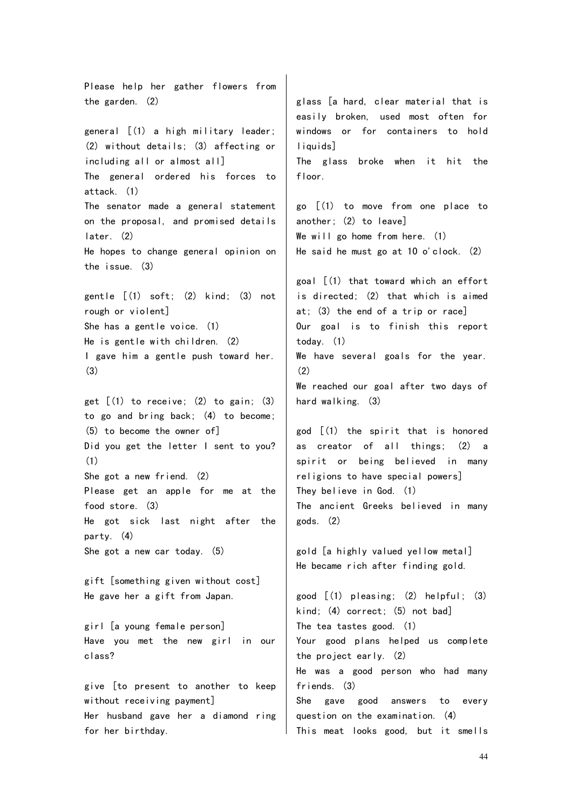Please help her gather flowers from the garden. (2) general [(1) a high military leader; (2) without details; (3) affecting or including all or almost all] The general ordered his forces to attack. (1) The senator made a general statement on the proposal, and promised details later. (2) He hopes to change general opinion on the issue. (3) gentle [(1) soft; (2) kind; (3) not rough or violent] She has a gentle voice. (1) He is gentle with children. (2) I gave him a gentle push toward her. (3) get  $(1)$  to receive;  $(2)$  to gain;  $(3)$ to go and bring back; (4) to become; (5) to become the owner of] Did you get the letter I sent to you? (1) She got a new friend. (2) Please get an apple for me at the food store. (3) He got sick last night after the party. (4) She got a new car today. (5) gift [something given without cost] He gave her a gift from Japan. girl [a young female person] Have you met the new girl in our class? give [to present to another to keep without receiving payment] Her husband gave her a diamond ring for her birthday. glass [a hard, clear material that is easily broken, used most often for windows or for containers to hold liquids<sup>1</sup> The glass broke when it hit the floor. go [(1) to move from one place to another; (2) to leave] We will go home from here. (1) He said he must go at 10 o'clock. (2) goal [(1) that toward which an effort is directed; (2) that which is aimed at; (3) the end of a trip or race] Our goal is to finish this report today. (1) We have several goals for the year. (2) We reached our goal after two days of hard walking. (3) god [(1) the spirit that is honored as creator of all things; (2) a spirit or being believed in many religions to have special powers] They believe in God. (1) The ancient Greeks believed in many gods. (2) gold [a highly valued yellow metal] He became rich after finding gold. good [(1) pleasing; (2) helpful; (3) kind; (4) correct; (5) not bad] The tea tastes good. (1) Your good plans helped us complete the project early. (2) He was a good person who had many friends. (3) She gave good answers to every question on the examination. (4) This meat looks good, but it smells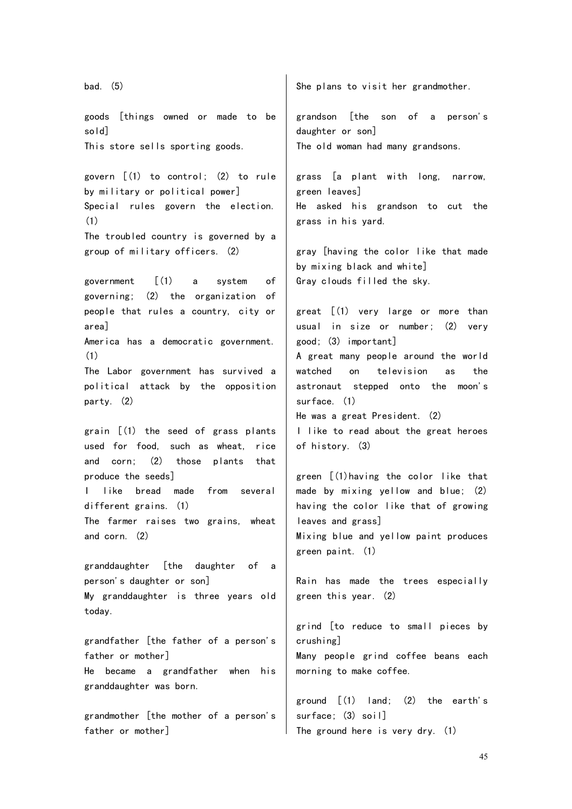bad. (5) goods [things owned or made to be sold] This store sells sporting goods. govern [(1) to control; (2) to rule by military or political power] Special rules govern the election. (1) The troubled country is governed by a group of military officers. (2) government [(1) a system of governing; (2) the organization of people that rules a country, city or area] America has a democratic government. (1) The Labor government has survived a political attack by the opposition party. (2) grain [(1) the seed of grass plants used for food, such as wheat, rice and corn; (2) those plants that produce the seeds] like bread made from several different grains. (1) The farmer raises two grains, wheat and corn. (2) granddaughter [the daughter of a person's daughter or son] My granddaughter is three years old today. grandfather [the father of a person's father or mother] He became a grandfather when his granddaughter was born. grandmother [the mother of a person's father or mother] She plans to visit her grandmother. grandson [the son of a person's daughter or son] The old woman had many grandsons. grass [a plant with long, narrow, green leaves] He asked his grandson to cut the grass in his yard. gray [having the color like that made by mixing black and white] Gray clouds filled the sky. great [(1) very large or more than usual in size or number; (2) very good; (3) important] A great many people around the world watched on television as the astronaut stepped onto the moon's surface. (1) He was a great President. (2) I like to read about the great heroes of history. (3) green [(1)having the color like that made by mixing yellow and blue; (2) having the color like that of growing leaves and grass] Mixing blue and yellow paint produces green paint. (1) Rain has made the trees especially green this year. (2) grind [to reduce to small pieces by crushing] Many people grind coffee beans each morning to make coffee. ground  $\lceil (1)$  land:  $(2)$  the earth's surface; (3) soil] The ground here is very dry. (1)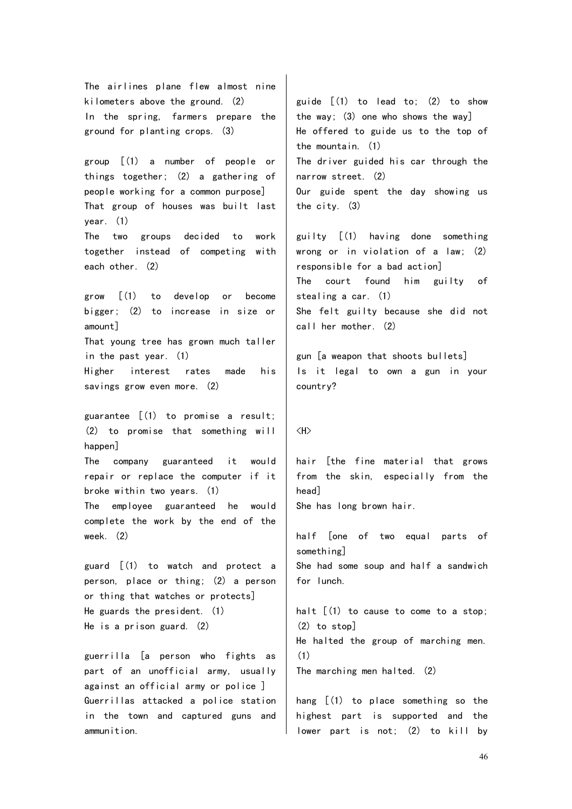The airlines plane flew almost nine kilometers above the ground. (2) In the spring, farmers prepare the ground for planting crops. (3)

group [(1) a number of people or things together; (2) a gathering of people working for a common purpose] That group of houses was built last year. (1) The two groups decided to work

together instead of competing with each other. (2)

grow [(1) to develop or become bigger; (2) to increase in size or amount] That young tree has grown much taller

Higher interest rates made his savings grow even more. (2)

in the past year. (1)

guarantee [(1) to promise a result; (2) to promise that something will happen]

The company guaranteed it would repair or replace the computer if it broke within two years. (1)

The employee guaranteed he would complete the work by the end of the week. (2)

guard [(1) to watch and protect a person, place or thing; (2) a person or thing that watches or protects] He guards the president. (1) He is a prison guard. (2)

guerrilla [a person who fights as part of an unofficial army, usually against an official army or police ] Guerrillas attacked a police station in the town and captured guns and ammunition.

guide  $\lceil (1)$  to lead to:  $(2)$  to show the way;  $(3)$  one who shows the way] He offered to guide us to the top of the mountain. (1) The driver guided his car through the narrow street. (2) Our guide spent the day showing us the city. (3)

guilty [(1) having done something wrong or in violation of a law; (2) responsible for a bad action] The court found him guilty of stealing a car. (1) She felt guilty because she did not call her mother. (2)

gun [a weapon that shoots bullets] Is it legal to own a gun in your country?

## <H>

hair [the fine material that grows from the skin, especially from the head]

She has long brown hair.

half [one of two equal parts of something] She had some soup and half a sandwich for lunch.

halt  $(1)$  to cause to come to a stop; (2) to stop] He halted the group of marching men. (1) The marching men halted. (2)

hang [(1) to place something so the highest part is supported and the lower part is not; (2) to kill by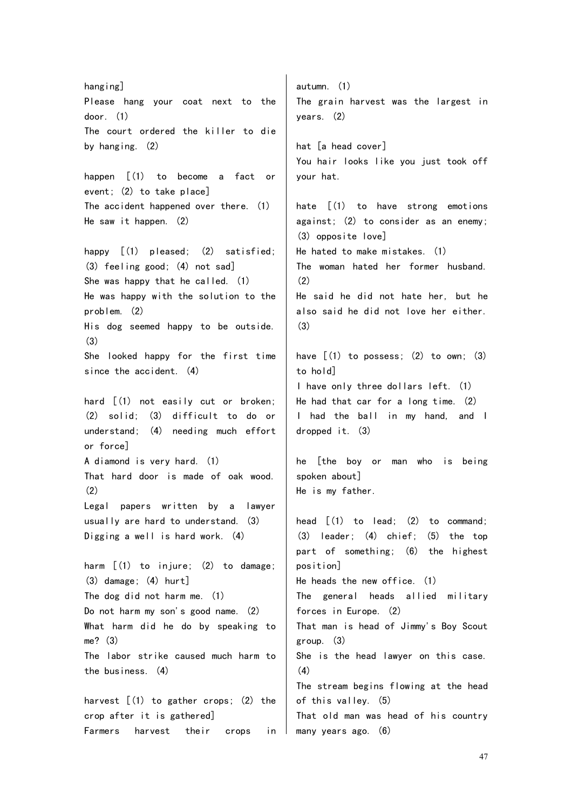hang ing] Please hang your coat next to the door. (1) The court ordered the killer to die by hanging. (2) happen [(1) to become a fact or event; (2) to take place] The accident happened over there. (1) He saw it happen. (2) happy  $[(1)$  pleased;  $(2)$  satisfied; (3) feeling good; (4) not sad] She was happy that he called. (1) He was happy with the solution to the problem. (2) His dog seemed happy to be outside. (3) She looked happy for the first time since the accident. (4) hard [(1) not easily cut or broken; (2) solid; (3) difficult to do or understand; (4) needing much effort or force] A diamond is very hard. (1) That hard door is made of oak wood.  $(2)$ Legal papers written by a lawyer usually are hard to understand. (3) Digging a well is hard work. (4) harm  $[(1)$  to injure;  $(2)$  to damage; (3) damage; (4) hurt] The dog did not harm me. (1) Do not harm my son's good name. (2) What harm did he do by speaking to me? (3) The labor strike caused much harm to the business. (4) harvest  $(1)$  to gather crops;  $(2)$  the crop after it is gathered] Farmers harvest their crops in autumn. (1) The grain harvest was the largest in years. (2) hat [a head cover] You hair looks like you just took off your hat. hate [(1) to have strong emotions against; (2) to consider as an enemy; (3) opposite love] He hated to make mistakes. (1) The woman hated her former husband. (2) He said he did not hate her, but he also said he did not love her either. (3) have  $(1)$  to possess:  $(2)$  to own:  $(3)$ to hold] I have only three dollars left. (1) He had that car for a long time. (2) I had the ball in my hand, and I dropped it. (3) he [the boy or man who is being spoken about] He is my father. head  $[(1)$  to lead;  $(2)$  to command; (3) leader; (4) chief; (5) the top part of something; (6) the highest position] He heads the new office. (1) The general heads allied military forces in Europe. (2) That man is head of Jimmy's Boy Scout group. (3) She is the head lawyer on this case. (4) The stream begins flowing at the head of this valley. (5) That old man was head of his country many years ago. (6)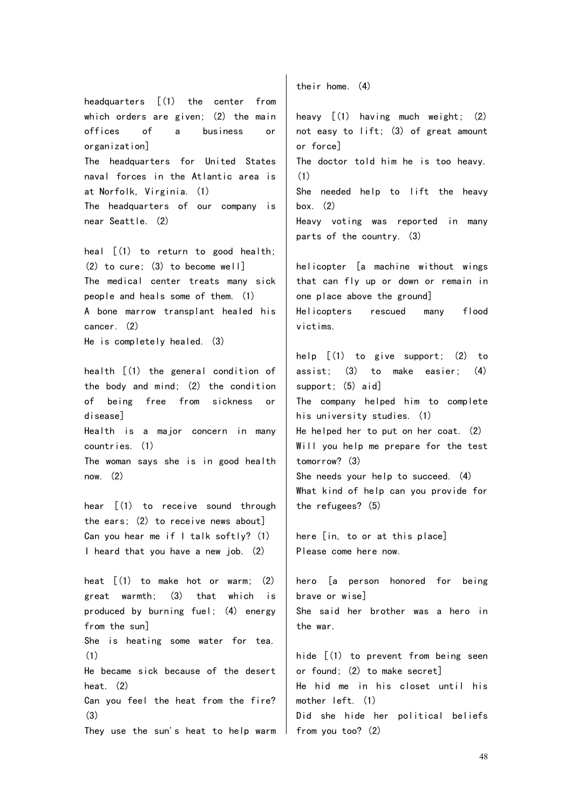headquarters [(1) the center from which orders are given; (2) the main offices of a business or organization] The headquarters for United States naval forces in the Atlantic area is at Norfolk, Virginia. (1) The headquarters of our company is near Seattle. (2)

heal [(1) to return to good health; (2) to cure; (3) to become well] The medical center treats many sick people and heals some of them. (1) A bone marrow transplant healed his cancer. (2) He is completely healed. (3)

health [(1) the general condition of the body and mind; (2) the condition of being free from sickness or disease] Health is a major concern in many countries. (1) The woman says she is in good health now. (2)

hear [(1) to receive sound through the ears; (2) to receive news about] Can you hear me if I talk softly? (1) I heard that you have a new job. (2)

heat  $\lceil$  (1) to make hot or warm; (2) great warmth; (3) that which is produced by burning fuel; (4) energy from the sun] She is heating some water for tea. (1) He became sick because of the desert heat. (2) Can you feel the heat from the fire? (3) They use the sun's heat to help warm their home. (4)

heavy [(1) having much weight; (2) not easy to lift; (3) of great amount or force] The doctor told him he is too heavy. (1) She needed help to lift the heavy box. (2) Heavy voting was reported in many parts of the country. (3)

helicopter [a machine without wings that can fly up or down or remain in one place above the ground] Helicopters rescued many flood victims.

help [(1) to give support; (2) to assist; (3) to make easier; (4) support; (5) aid] The company helped him to complete his university studies. (1) He helped her to put on her coat. (2) Will you help me prepare for the test tomorrow? (3) She needs your help to succeed. (4) What kind of help can you provide for the refugees? (5)

here [in, to or at this place] Please come here now.

hero [a person honored for being brave or wise] She said her brother was a hero in the war.

hide [(1) to prevent from being seen or found; (2) to make secret] He hid me in his closet until his mother left. (1) Did she hide her political beliefs from you too? (2)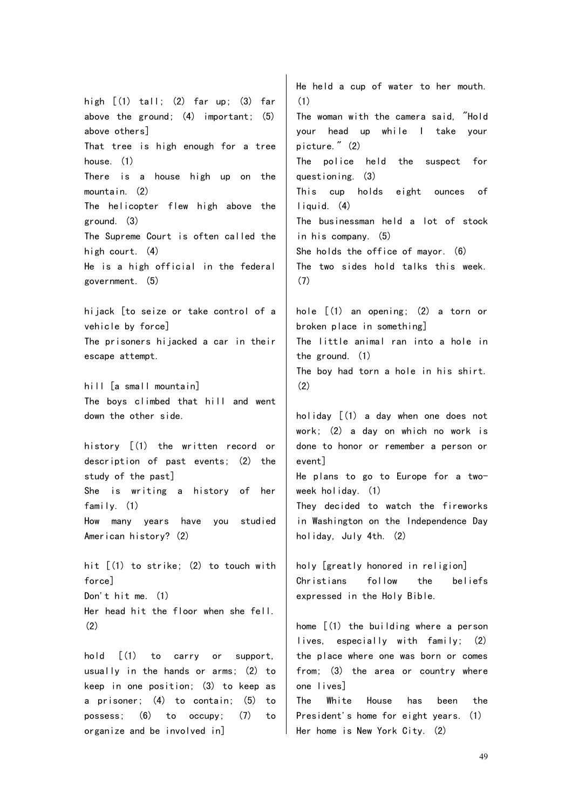high  $\lceil$  (1) tall; (2) far up; (3) far above the ground:  $(4)$  important:  $(5)$ above others] That tree is high enough for a tree house. (1) There is a house high up on the mountain. (2) The helicopter flew high above the ground. (3) The Supreme Court is often called the high court. (4) He is a high official in the federal government. (5) hijack [to seize or take control of a vehicle by force] The prisoners hijacked a car in their escape attempt. hill [a small mountain] The boys climbed that hill and went down the other side. history [(1) the written record or description of past events; (2) the study of the past] She is writing a history of her family. (1) How many years have you studied American history? (2) hit [(1) to strike; (2) to touch with force] Don't hit me.  $(1)$ Her head hit the floor when she fell. (2) hold [(1) to carry or support, usually in the hands or arms; (2) to keep in one position; (3) to keep as a prisoner; (4) to contain; (5) to He held a cup of water to her mouth. (1) The woman with the camera said, "Hold your head up while I take your picture." (2) The police held the suspect for questioning. (3) This cup holds eight ounces of liquid. (4) The businessman held a lot of stock in his company. (5) She holds the office of mayor. (6) The two sides hold talks this week. (7) hole [(1) an opening; (2) a torn or broken place in something] The little animal ran into a hole in the ground. (1) The boy had torn a hole in his shirt.  $(2)$ holiday [(1) a day when one does not work; (2) a day on which no work is done to honor or remember a person or event] He plans to go to Europe for a twoweek holiday. (1) They decided to watch the fireworks in Washington on the Independence Day holiday, July 4th. (2) holy [greatly honored in religion] Christians follow the beliefs expressed in the Holy Bible. home [(1) the building where a person lives, especially with family; (2) the place where one was born or comes from; (3) the area or country where one lives]

possess; (6) to occupy; (7) to

organize and be involved in]

The White House has been the President's home for eight years. (1) Her home is New York City. (2)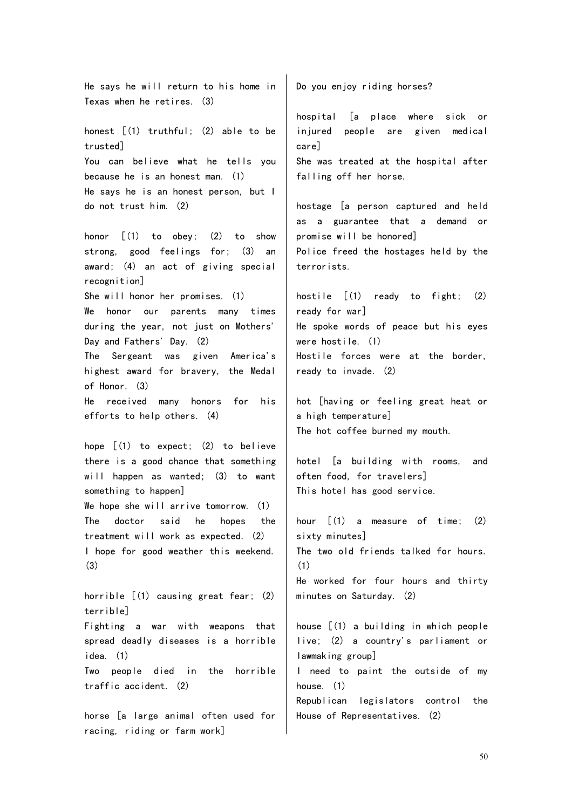He says he will return to his home in Texas when he retires. (3) honest [(1) truthful; (2) able to be trusted] You can believe what he tells you because he is an honest man. (1) He says he is an honest person, but I do not trust him. (2) honor [(1) to obey; (2) to show strong, good feelings for; (3) an award; (4) an act of giving special recognition] She will honor her promises. (1) We honor our parents many times during the year, not just on Mothers' Day and Fathers' Day. (2) The Sergeant was given America's highest award for bravery, the Medal of Honor. (3) He received many honors for his efforts to help others. (4) hope [(1) to expect; (2) to believe there is a good chance that something will happen as wanted; (3) to want something to happen] We hope she will arrive tomorrow. (1) The doctor said he hopes the treatment will work as expected. (2) I hope for good weather this weekend. (3) horrible  $[(1)$  causing great fear;  $(2)$ terrible] Fighting a war with weapons that spread deadly diseases is a horrible idea. (1) Two people died in the horrible traffic accident. (2) horse [a large animal often used for Do you enjoy riding horses? hospital [a place where sick or injured people are given medical care] She was treated at the hospital after falling off her horse. hostage [a person captured and held as a guarantee that a demand or promise will be honored] Police freed the hostages held by the terrorists. hostile [(1) ready to fight; (2) ready for war] He spoke words of peace but his eyes were hostile. (1) Hostile forces were at the border, ready to invade. (2) hot [having or feeling great heat or a high temperature] The hot coffee burned my mouth. hotel [a building with rooms, and often food, for travelers] This hotel has good service. hour  $\lceil (1)$  a measure of time;  $(2)$ sixty minutes] The two old friends talked for hours. (1) He worked for four hours and thirty minutes on Saturday. (2) house [(1) a building in which people live; (2) a country's parliament or lawmaking group] I need to paint the outside of my house. (1) Republican legislators control the House of Representatives. (2)

racing, riding or farm work]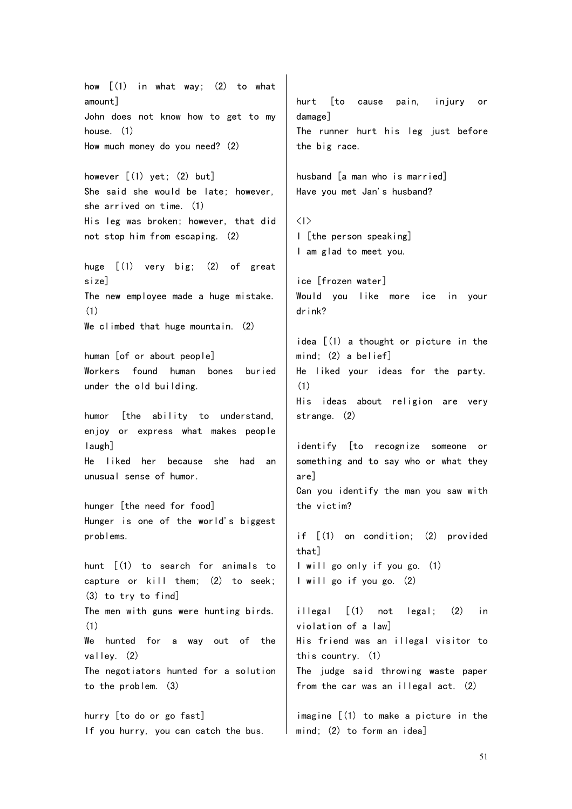how  $[(1)$  in what way;  $(2)$  to what amount] John does not know how to get to my house. (1) How much money do you need? (2) however [(1) yet; (2) but] She said she would be late; however, she arrived on time. (1) His leg was broken; however, that did not stop him from escaping. (2) huge [(1) very big; (2) of great size] The new employee made a huge mistake. (1) We climbed that huge mountain. (2) human [of or about people] Workers found human bones buried under the old building. humor [the ability to understand, enjoy or express what makes people laugh] He liked her because she had an unusual sense of humor. hunger [the need for food] Hunger is one of the world's biggest problems. hunt [(1) to search for animals to capture or kill them; (2) to seek; (3) to try to find] The men with guns were hunting birds. (1) We hunted for a way out of the valley. (2) The negotiators hunted for a solution to the problem. (3) hurry [to do or go fast] If you hurry, you can catch the bus. hurt [to cause pain, injury or damage] The runner hurt his leg just before the big race. husband [a man who is married] Have you met Jan's husband?  $\langle | \rangle$ I [the person speaking] I am glad to meet you. ice [frozen water] Would you like more ice in your drink? idea [(1) a thought or picture in the mind; (2) a belief] He liked your ideas for the party. (1) His ideas about religion are very strange. (2) identify [to recognize someone or something and to say who or what they are] Can you identify the man you saw with the victim? if [(1) on condition; (2) provided that] I will go only if you go. (1) I will go if you go. (2) illegal [(1) not legal; (2) in violation of a law] His friend was an illegal visitor to this country. (1) The judge said throwing waste paper from the car was an illegal act. (2) imagine [(1) to make a picture in the mind; (2) to form an idea]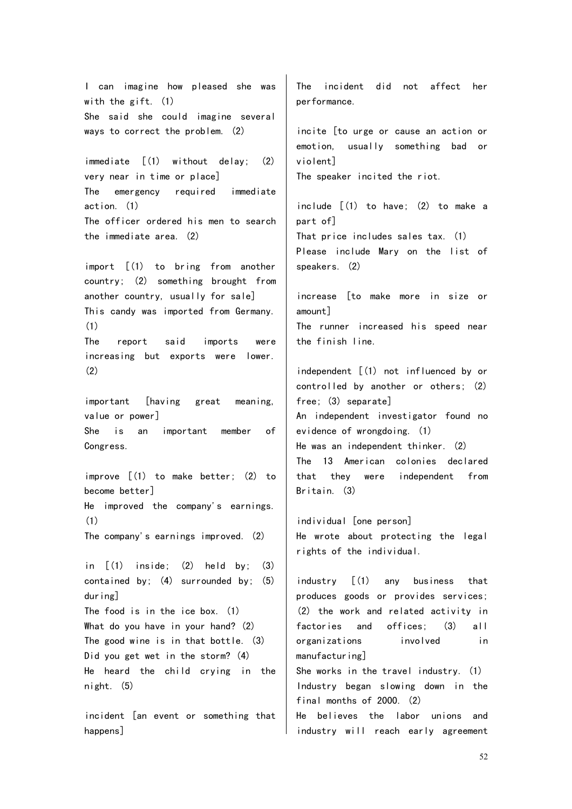I can imagine how pleased she was with the gift. (1) She said she could imagine several ways to correct the problem. (2)

immediate [(1) without delay; (2) very near in time or place] The emergency required immediate action. (1) The officer ordered his men to search the immediate area. (2)

import [(1) to bring from another country; (2) something brought from another country, usually for sale] This candy was imported from Germany. (1) The report said imports were increasing but exports were lower.

important [having great meaning, value or power] She is an important member of

(2)

Congress.

(1)

improve [(1) to make better; (2) to become better] He improved the company's earnings.

The company's earnings improved. (2)

in  $\lceil$  (1) inside; (2) held by; (3) contained by; (4) surrounded by; (5) during] The food is in the ice box. (1) What do you have in your hand? (2) The good wine is in that bottle. (3) Did you get wet in the storm? (4) He heard the child crying in the night. (5)

incident [an event or something that happens]

The incident did not affect her performance.

incite [to urge or cause an action or emotion, usually something bad or violent] The speaker incited the riot.

include [(1) to have; (2) to make a part of] That price includes sales tax. (1) Please include Mary on the list of speakers. (2)

increase [to make more in size or amount] The runner increased his speed near the finish line.

independent [(1) not influenced by or controlled by another or others; (2) free; (3) separate] An independent investigator found no evidence of wrongdoing. (1) He was an independent thinker. (2) The 13 American colonies declared that they were independent from Britain. (3)

individual [one person] He wrote about protecting the legal rights of the individual.

industry [(1) any business that produces goods or provides services; (2) the work and related activity in factories and offices; (3) all organizations involved in manufacturing] She works in the travel industry. (1) Industry began slowing down in the final months of 2000. (2) He believes the labor unions and industry will reach early agreement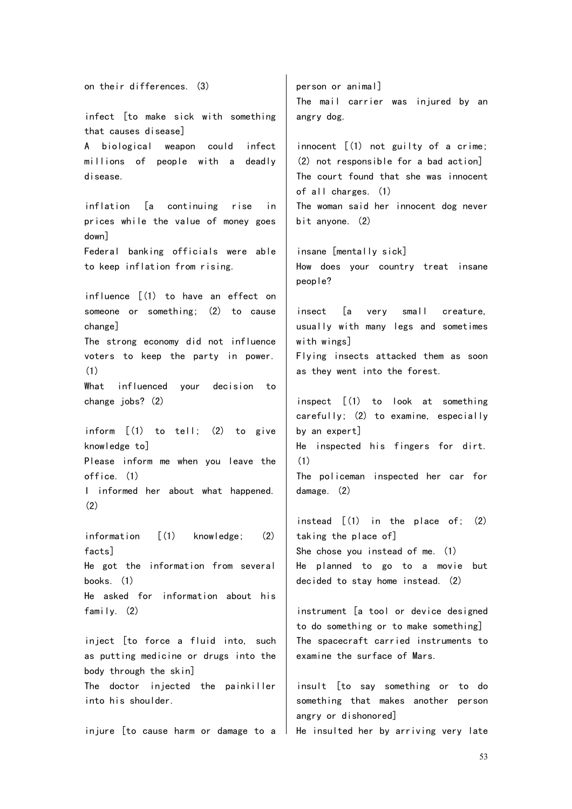on their differences. (3) infect [to make sick with something that causes disease] A biological weapon could infect millions of people with a deadly disease. inflation [a continuing rise in prices while the value of money goes down] Federal banking officials were able to keep inflation from rising. influence [(1) to have an effect on someone or something; (2) to cause change] The strong economy did not influence voters to keep the party in power. (1) What influenced your decision to change jobs? (2) inform [(1) to tell; (2) to give knowledge to] Please inform me when you leave the office. (1) I informed her about what happened. (2) information [(1) knowledge; (2) facts] He got the information from several books. (1) He asked for information about his family. (2) inject [to force a fluid into, such as putting medicine or drugs into the body through the skin] The doctor injected the painkiller into his shoulder. injure [to cause harm or damage to a He insulted her by arriving very late person or animal] The mail carrier was injured by an angry dog. innocent [(1) not guilty of a crime; (2) not responsible for a bad action] The court found that she was innocent of all charges. (1) The woman said her innocent dog never bit anyone. (2) insane [mentally sick] How does your country treat insane people? insect [a very small creature, usually with many legs and sometimes with wings] Flying insects attacked them as soon as they went into the forest. inspect [(1) to look at something carefully; (2) to examine, especially by an expert] He inspected his fingers for dirt. (1) The policeman inspected her car for damage. (2) instead  $[(1)$  in the place of;  $(2)$ taking the place of] She chose you instead of me. (1) He planned to go to a movie but decided to stay home instead. (2) instrument [a tool or device designed to do something or to make something] The spacecraft carried instruments to examine the surface of Mars. insult [to say something or to do something that makes another person angry or dishonored]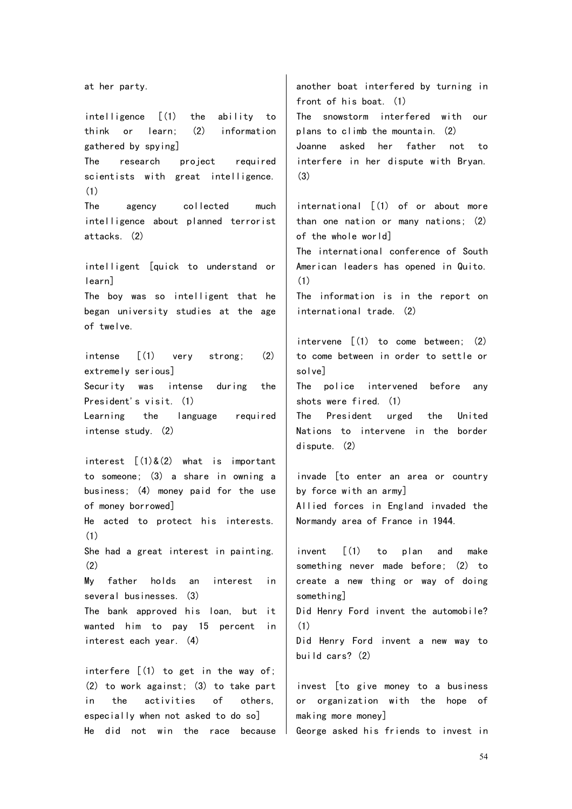at her party. intelligence [(1) the ability to think or learn; (2) information gathered by spying] The research project required scientists with great intelligence. (1) The agency collected much intelligence about planned terrorist attacks. (2) intelligent [quick to understand or learn] The boy was so intelligent that he began university studies at the age of twelve. intense [(1) very strong; (2) extremely serious] Security was intense during the President's visit. (1) Learning the language required intense study. (2) interest  $\lceil (1) \& (2)$  what is important to someone; (3) a share in owning a business; (4) money paid for the use of money borrowed] He acted to protect his interests. (1) She had a great interest in painting. (2) My father holds an interest in several businesses. (3) The bank approved his loan, but it wanted him to pay 15 percent in interest each year. (4) interfere  $(1)$  to get in the way of; (2) to work against; (3) to take part in the activities of others, especially when not asked to do so] He did not win the race because another boat interfered by turning in front of his boat. (1) The snowstorm interfered with our plans to climb the mountain. (2) Joanne asked her father not to interfere in her dispute with Bryan. (3) international [(1) of or about more than one nation or many nations; (2) of the whole world] The international conference of South American leaders has opened in Quito. (1) The information is in the report on international trade. (2) intervene  $\lceil (1)$  to come between; (2) to come between in order to settle or solve] The police intervened before any shots were fired. (1) The President urged the United Nations to intervene in the border dispute. (2) invade [to enter an area or country by force with an army] Allied forces in England invaded the Normandy area of France in 1944. invent [(1) to plan and make something never made before; (2) to create a new thing or way of doing something] Did Henry Ford invent the automobile? (1) Did Henry Ford invent a new way to build cars? (2) invest [to give money to a business or organization with the hope of making more money] George asked his friends to invest in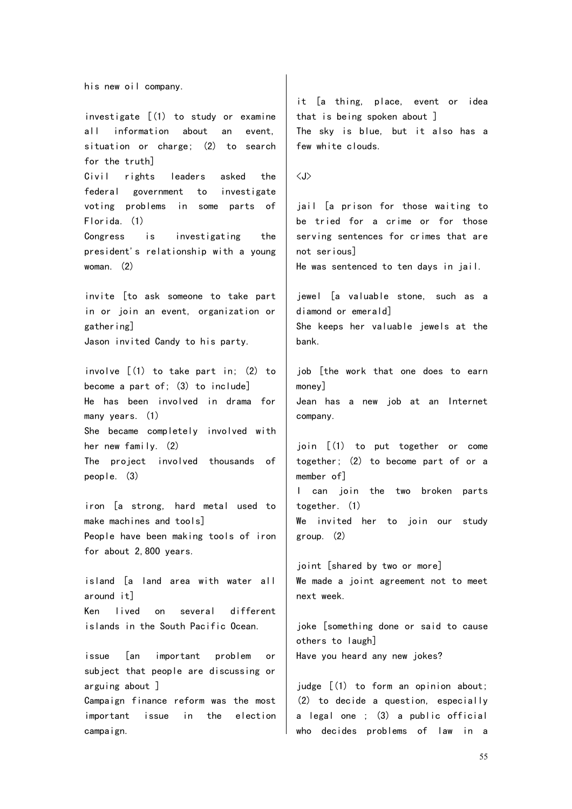his new oil company.

investigate [(1) to study or examine all information about an event, situation or charge; (2) to search for the truth] Civil rights leaders asked the federal government to investigate voting problems in some parts of Florida. (1) Congress is investigating the president's relationship with a young woman. (2) invite [to ask someone to take part in or join an event, organization or gathering] Jason invited Candy to his party. involve [(1) to take part in; (2) to become a part of; (3) to include] He has been involved in drama for many years. (1) She became completely involved with her new family. (2) The project involved thousands of people. (3)

iron [a strong, hard metal used to make machines and tools] People have been making tools of iron for about 2,800 years.

island [a land area with water all around it] Ken lived on several different islands in the South Pacific Ocean.

issue [an important problem or subject that people are discussing or arguing about ]

Campaign finance reform was the most important issue in the election campaign.

it [a thing, place, event or idea that is being spoken about ] The sky is blue, but it also has a few white clouds.

 $\langle J \rangle$ 

jail [a prison for those waiting to be tried for a crime or for those serving sentences for crimes that are not serious]

He was sentenced to ten days in jail.

jewel [a valuable stone, such as a diamond or emerald]

She keeps her valuable jewels at the bank.

job [the work that one does to earn money] Jean has a new job at an Internet company.

join [(1) to put together or come together; (2) to become part of or a member of] I can join the two broken parts together. (1) We invited her to join our study group. (2)

joint [shared by two or more] We made a joint agreement not to meet next week.

joke [something done or said to cause others to laugh] Have you heard any new jokes?

judge [(1) to form an opinion about; (2) to decide a question, especially a legal one ; (3) a public official who decides problems of law in a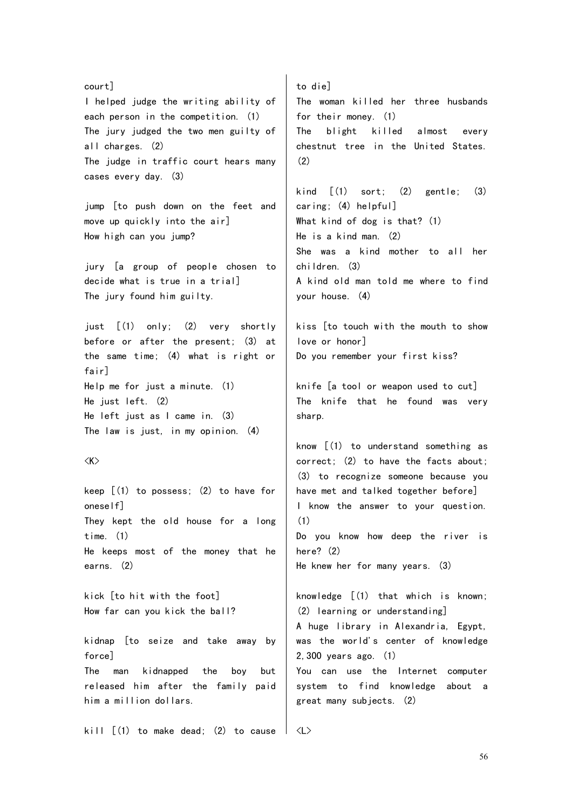court] I helped judge the writing ability of each person in the competition. (1) The jury judged the two men guilty of all charges. (2) The judge in traffic court hears many cases every day. (3)

jump [to push down on the feet and move up quickly into the air] How high can you jump?

jury [a group of people chosen to decide what is true in a trial] The jury found him guilty.

just [(1) only; (2) very shortly before or after the present; (3) at the same time; (4) what is right or fair] Help me for just a minute. (1) He just left. (2) He left just as I came in. (3) The law is just, in my opinion. (4)

## $\langle K \rangle$

keep  $(1)$  to possess;  $(2)$  to have for oneself] They kept the old house for a long time. (1) He keeps most of the money that he earns. (2)

kick [to hit with the foot] How far can you kick the ball?

kidnap [to seize and take away by force] The man kidnapped the boy but released him after the family paid him a million dollars.

kill  $\lceil$  (1) to make dead; (2) to cause

to die] The woman killed her three husbands for their money. (1) The blight killed almost every chestnut tree in the United States. (2)

kind  $\lceil (1)$  sort;  $(2)$  gentle;  $(3)$ caring; (4) helpful] What kind of dog is that? (1) He is a kind man. (2) She was a kind mother to all her children. (3) A kind old man told me where to find your house. (4)

kiss [to touch with the mouth to show love or honor] Do you remember your first kiss?

knife [a tool or weapon used to cut] The knife that he found was very sharp.

know [(1) to understand something as correct; (2) to have the facts about; (3) to recognize someone because you have met and talked together before] I know the answer to your question. (1) Do you know how deep the river is here? (2) He knew her for many years. (3)

knowledge  $\lceil (1)$  that which is known: (2) learning or understanding] A huge library in Alexandria, Egypt, was the world's center of knowledge 2,300 years ago. (1) You can use the Internet computer

system to find knowledge about a great many subjects. (2)

<L>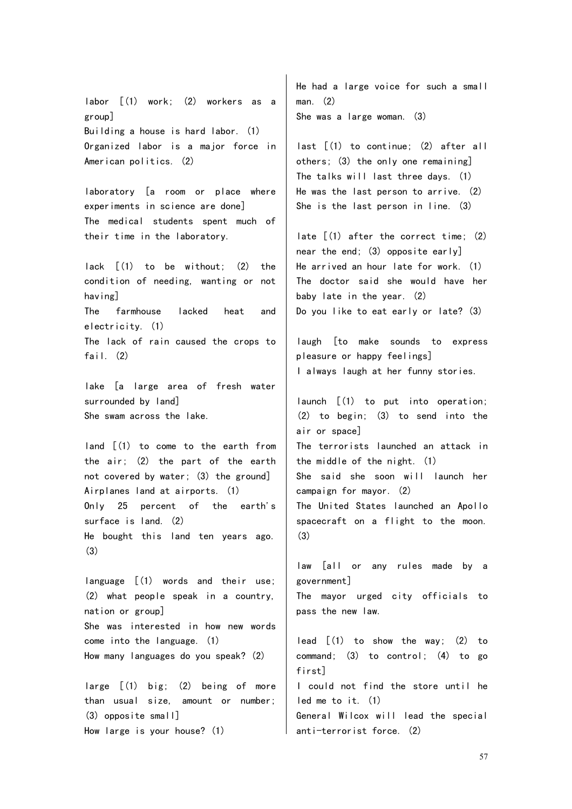labor [(1) work; (2) workers as a group] Building a house is hard labor. (1) Organized labor is a major force in American politics. (2)

laboratory [a room or place where experiments in science are done] The medical students spent much of their time in the laboratory.

lack [(1) to be without; (2) the condition of needing, wanting or not having] The farmhouse lacked heat and

electricity. (1)

The lack of rain caused the crops to fail.  $(2)$ 

lake [a large area of fresh water surrounded by land] She swam across the lake.

land [(1) to come to the earth from the air; (2) the part of the earth not covered by water; (3) the ground] Airplanes land at airports. (1) Only 25 percent of the earth's surface is land. (2) He bought this land ten years ago. (3)

language [(1) words and their use; (2) what people speak in a country, nation or group] She was interested in how new words come into the language. (1) How many languages do you speak? (2)

large [(1) big; (2) being of more than usual size, amount or number; (3) opposite small] How large is your house? (1)

He had a large voice for such a small man. (2) She was a large woman. (3)

last [(1) to continue; (2) after all others; (3) the only one remaining] The talks will last three days. (1) He was the last person to arrive. (2) She is the last person in line. (3)

late [(1) after the correct time; (2) near the end; (3) opposite early] He arrived an hour late for work. (1) The doctor said she would have her baby late in the year. (2) Do you like to eat early or late? (3)

laugh [to make sounds to express pleasure or happy feelings] I always laugh at her funny stories.

launch [(1) to put into operation; (2) to begin; (3) to send into the air or space] The terrorists launched an attack in the middle of the night. (1) She said she soon will launch her campaign for mayor. (2) The United States launched an Apollo spacecraft on a flight to the moon. (3)

law [all or any rules made by a government]

The mayor urged city officials to pass the new law.

lead [(1) to show the way; (2) to command; (3) to control; (4) to go first]

I could not find the store until he led me to it. (1)

General Wilcox will lead the special anti-terrorist force. (2)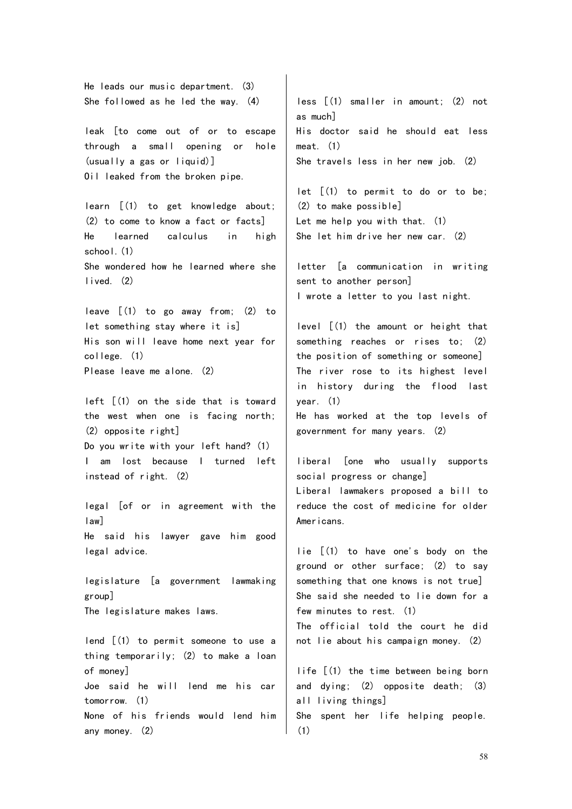He leads our music department. (3) She followed as he led the way. (4)

leak [to come out of or to escape through a small opening or hole (usually a gas or liquid)] Oil leaked from the broken pipe.

learn [(1) to get knowledge about; (2) to come to know a fact or facts] He learned calculus in high school. (1) She wondered how he learned where she lived. (2)

leave [(1) to go away from; (2) to let something stay where it is] His son will leave home next year for college. (1) Please leave me alone. (2)

left [(1) on the side that is toward the west when one is facing north; (2) opposite right] Do you write with your left hand? (1) I am lost because I turned left instead of right. (2)

legal [of or in agreement with the law] He said his lawyer gave him good legal advice.

legislature [a government lawmaking group] The legislature makes laws.

lend [(1) to permit someone to use a thing temporarily; (2) to make a loan of money] Joe said he will lend me his car tomorrow. (1) None of his friends would lend him any money. (2)

less [(1) smaller in amount; (2) not as much] His doctor said he should eat less meat. (1) She travels less in her new job. (2)

let [(1) to permit to do or to be; (2) to make possible] Let me help you with that. (1) She let him drive her new car. (2)

letter [a communication in writing sent to another person] I wrote a letter to you last night.

level [(1) the amount or height that something reaches or rises to; (2) the position of something or someone] The river rose to its highest level in history during the flood last year. (1)

He has worked at the top levels of government for many years. (2)

liberal [one who usually supports social progress or change] Liberal lawmakers proposed a bill to reduce the cost of medicine for older Americans.

lie [(1) to have one's body on the ground or other surface; (2) to say something that one knows is not true] She said she needed to lie down for a few minutes to rest. (1) The official told the court he did not lie about his campaign money. (2)

life [(1) the time between being born and dying; (2) opposite death; (3) all living things] She spent her life helping people. (1)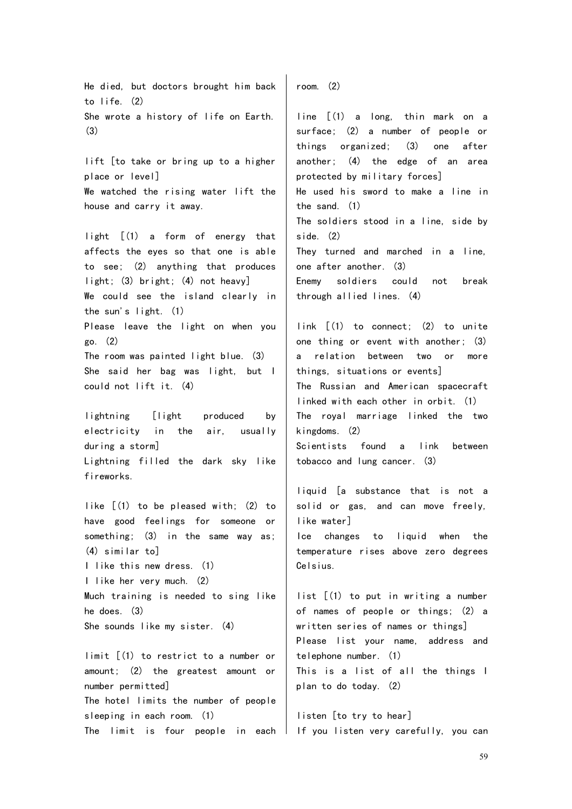He died, but doctors brought him back to life. (2) She wrote a history of life on Earth. (3)

lift [to take or bring up to a higher place or level] We watched the rising water lift the house and carry it away.

light [(1) a form of energy that affects the eyes so that one is able to see; (2) anything that produces light; (3) bright; (4) not heavy] We could see the island clearly in the sun's light. (1) Please leave the light on when you go. (2) The room was painted light blue. (3) She said her bag was light, but I could not lift it. (4)

lightning [light produced by electricity in the air, usually during a storm] Lightning filled the dark sky like fireworks.

like [(1) to be pleased with; (2) to have good feelings for someone or something; (3) in the same way as; (4) similar to] I like this new dress. (1) I like her very much. (2) Much training is needed to sing like he does. (3) She sounds like my sister. (4)

limit [(1) to restrict to a number or amount; (2) the greatest amount or number permitted] The hotel limits the number of people sleeping in each room. (1)

room. (2)

line [(1) a long, thin mark on a surface; (2) a number of people or things organized; (3) one after another; (4) the edge of an area protected by military forces] He used his sword to make a line in the sand. (1) The soldiers stood in a line, side by side. (2) They turned and marched in a line, one after another. (3) Enemy soldiers could not break through allied lines. (4)

link [(1) to connect; (2) to unite one thing or event with another; (3) a relation between two or more things, situations or events] The Russian and American spacecraft linked with each other in orbit. (1) The royal marriage linked the two kingdoms. (2) Scientists found a link between

tobacco and lung cancer. (3)

liquid [a substance that is not a solid or gas, and can move freely, like water]

Ice changes to liquid when the temperature rises above zero degrees Celsius.

list [(1) to put in writing a number of names of people or things; (2) a written series of names or things] Please list your name, address and telephone number. (1) This is a list of all the things I plan to do today. (2)

The limit is four people in each I If you listen-very-carefully, you-can listen [to try to hear]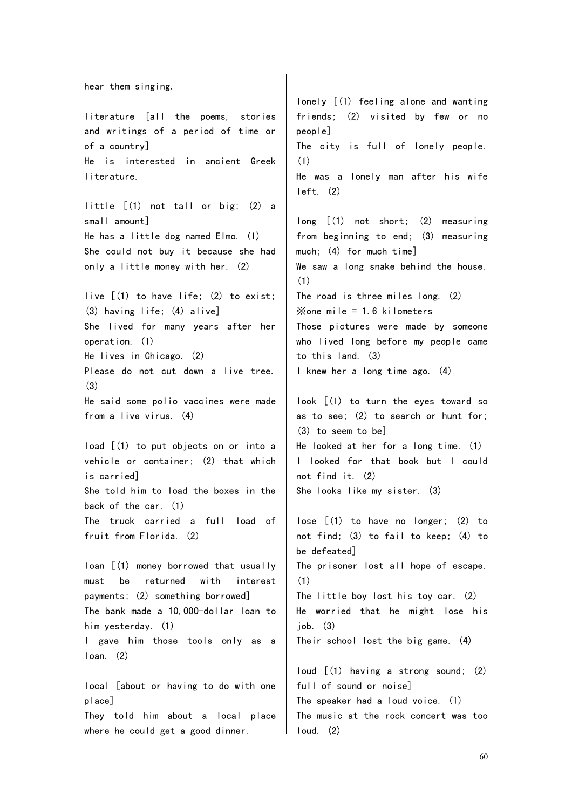hear them singing. literature [all the poems, stories and writings of a period of time or of a country] He is interested in ancient Greek literature. little [(1) not tall or big; (2) a small amount] He has a little dog named Elmo. (1) She could not buy it because she had only a little money with her. (2) live [(1) to have life; (2) to exist; (3) having life; (4) alive] She lived for many years after her operation. (1) He lives in Chicago. (2) Please do not cut down a live tree. (3) He said some polio vaccines were made from a live virus. (4) load [(1) to put objects on or into a vehicle or container; (2) that which is carried] She told him to load the boxes in the back of the car. (1) The truck carried a full load of fruit from Florida. (2) loan [(1) money borrowed that usually must be returned with interest payments; (2) something borrowed] The bank made a 10,000-dollar loan to him yesterday. (1) I gave him those tools only as a loan. (2) local [about or having to do with one place] They told him about a local place where he could get a good dinner. lonely [(1) feeling alone and wanting friends; (2) visited by few or no people] The city is full of lonely people. (1) He was a lonely man after his wife left. (2) long [(1) not short; (2) measuring from beginning to end; (3) measuring much; (4) for much time] We saw a long snake behind the house. (1) The road is three miles long. (2)  $\frac{1}{2}$ one mile = 1.6 kilometers Those pictures were made by someone who lived long before my people came to this land. (3) I knew her a long time ago. (4) look [(1) to turn the eyes toward so as to see; (2) to search or hunt for; (3) to seem to be] He looked at her for a long time. (1) I looked for that book but I could not find it. (2) She looks like my sister. (3) lose [(1) to have no longer; (2) to not find; (3) to fail to keep; (4) to be defeated] The prisoner lost all hope of escape. (1) The little boy lost his toy car. (2) He worried that he might lose his job. (3) Their school lost the big game. (4) loud [(1) having a strong sound; (2) full of sound or noise] The speaker had a loud voice. (1) The music at the rock concert was too loud. (2)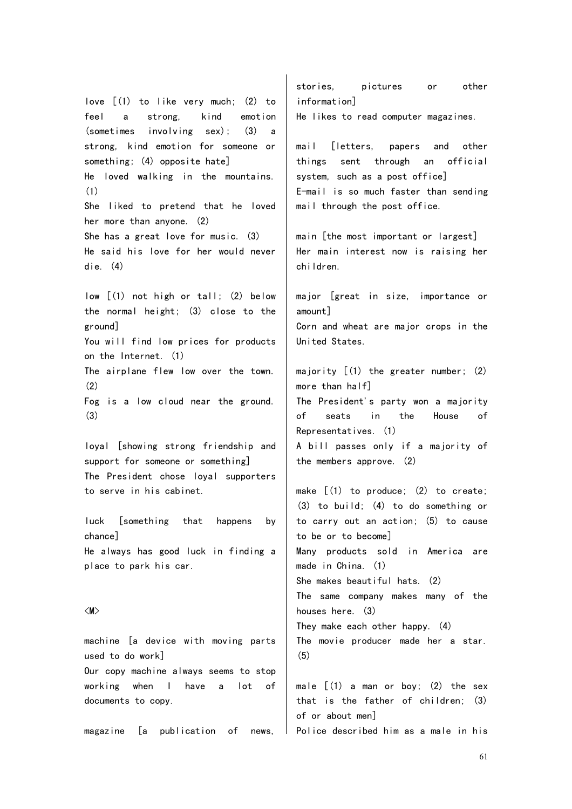love [(1) to like very much; (2) to feel a strong, kind emotion (sometimes involving sex); (3) a strong, kind emotion for someone or something; (4) opposite hate] He loved walking in the mountains. (1) She liked to pretend that he loved her more than anyone. (2) She has a great love for music. (3) He said his love for her would never die. (4) low [(1) not high or tall; (2) below the normal height; (3) close to the ground] You will find low prices for products on the Internet. (1) The airplane flew low over the town.  $(2)$ 

Fog is a low cloud near the ground. (3)

loyal [showing strong friendship and support for someone or something] The President chose loyal supporters to serve in his cabinet.

luck [something that happens by chance] He always has good luck in finding a place to park his car.

## <M>

machine [a device with moving parts used to do work] Our copy machine always seems to stop working when I have a lot of documents to copy.

magazine [a publication of news,

stories, pictures or other information] He likes to read computer magazines.

mail [letters, papers and other things sent through an official system, such as a post office] E-mail is so much faster than sending mail through the post office.

main [the most important or largest] Her main interest now is raising her children.

major [great in size, importance or amount] Corn and wheat are major crops in the United States.

majority [(1) the greater number; (2) more than half]

The President's party won a majority of seats in the House of Representatives. (1)

A bill passes only if a majority of the members approve. (2)

make  $\lceil (1)$  to produce;  $(2)$  to create; (3) to build; (4) to do something or to carry out an action; (5) to cause to be or to become] Many products sold in America are made in China. (1) She makes beautiful hats. (2) The same company makes many of the houses here. (3) They make each other happy. (4) The movie producer made her a star. (5)

male  $[(1)$  a man or boy;  $(2)$  the sex that is the father of children; (3) of or about men] Police described him as a male in his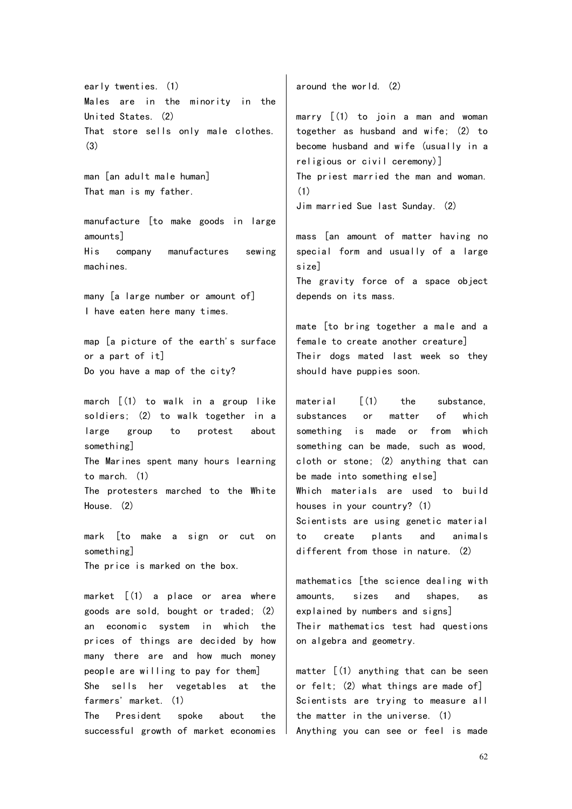early twenties. (1) Males are in the minority in the United States. (2) That store sells only male clothes.  $(3)$ 

man [an adult male human] That man is my father.

manufacture [to make goods in large amounts] His company manufactures sewing machines.

many [a large number or amount of] I have eaten here many times.

map [a picture of the earth's surface or a part of it] Do you have a map of the city?

march [(1) to walk in a group like soldiers; (2) to walk together in a large group to protest about something] The Marines spent many hours learning to march. (1) The protesters marched to the White House. (2)

mark [to make a sign or cut on something] The price is marked on the box.

market [(1) a place or area where goods are sold, bought or traded; (2) an economic system in which the prices of things are decided by how many there are and how much money people are willing to pay for them] She sells her vegetables at the farmers' market. (1)

The President spoke about the successful growth of market economies around the world. (2)

marry  $(1)$  to join a man and woman together as husband and wife; (2) to become husband and wife (usually in a religious or civil ceremony)] The priest married the man and woman. (1) Jim married Sue last Sunday. (2)

mass [an amount of matter having no special form and usually of a large size]

The gravity force of a space object depends on its mass.

mate [to bring together a male and a female to create another creature] Their dogs mated last week so they should have puppies soon.

material  $\lceil$  (1) the substance, substances or matter of which something is made or from which something can be made, such as wood, cloth or stone; (2) anything that can be made into something else] Which materials are used to build houses in your country? (1) Scientists are using genetic material to create plants and animals different from those in nature. (2)

mathematics [the science dealing with amounts, sizes and shapes, as explained by numbers and signs] Their mathematics test had questions on algebra and geometry.

matter  $(1)$  anything that can be seen or felt; (2) what things are made of] Scientists are trying to measure all the matter in the universe. (1) Anything you can see or feel is made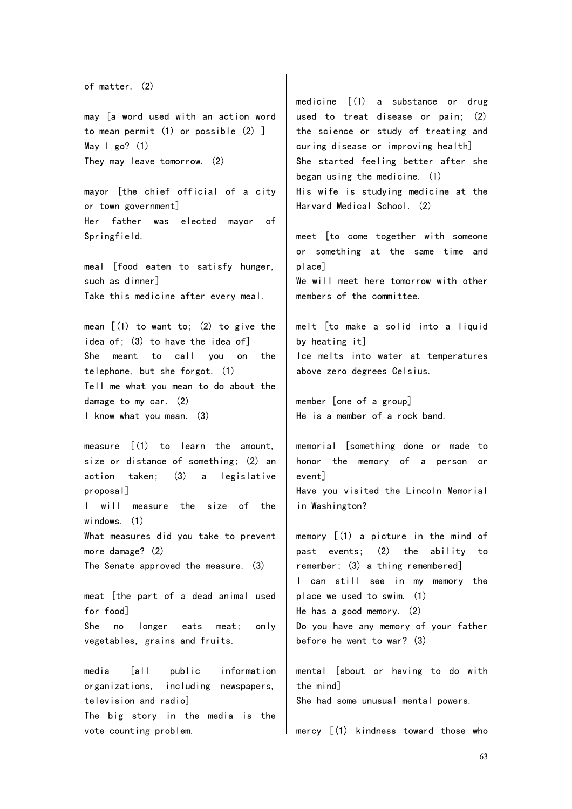```
of matter. (2)
```
may [a word used with an action word to mean permit (1) or possible (2) ] May  $\vert$  go? (1) They may leave tomorrow. (2)

mayor [the chief official of a city or town government] Her father was elected mayor of Springfield.

meal [food eaten to satisfy hunger, such as dinner] Take this medicine after every meal.

mean  $[(1)$  to want to;  $(2)$  to give the idea of; (3) to have the idea of] She meant to call you on the telephone, but she forgot. (1) Tell me what you mean to do about the damage to my car. (2) I know what you mean. (3)

measure [(1) to learn the amount, size or distance of something; (2) an action taken; (3) a legislative proposal] I will measure the size of the windows. (1) What measures did you take to prevent more damage? (2) The Senate approved the measure. (3) meat [the part of a dead animal used

for food] She no longer eats meat; only vegetables, grains and fruits.

media [all public information organizations, including newspapers, television and radio]

The big story in the media is the vote counting problem.

medicine [(1) a substance or drug used to treat disease or pain; (2) the science or study of treating and curing disease or improving health] She started feeling better after she began using the medicine. (1) His wife is studying medicine at the Harvard Medical School. (2)

meet [to come together with someone or something at the same time and place] We will meet here tomorrow with other

melt [to make a solid into a liquid by heating it] Ice melts into water at temperatures above zero degrees Celsius.

member [one of a group] He is a member of a rock band.

members of the committee.

memorial [something done or made to honor the memory of a person or event] Have you visited the Lincoln Memorial in Washington?

memory [(1) a picture in the mind of past events; (2) the ability to remember; (3) a thing remembered] I can still see in my memory the place we used to swim. (1) He has a good memory. (2) Do you have any memory of your father before he went to war? (3)

mental [about or having to do with the mind] She had some unusual mental powers.

mercy [(1) kindness toward those who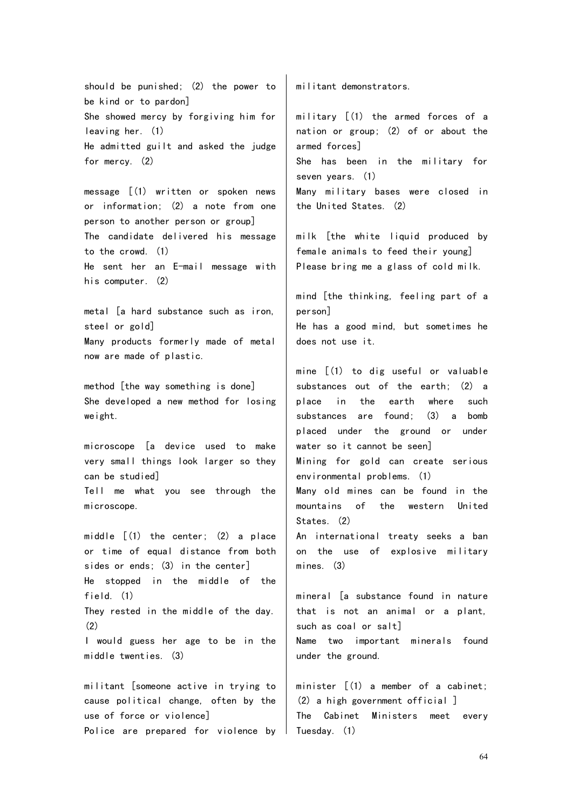should be punished; (2) the power to be kind or to pardon] She showed mercy by forgiving him for leaving her. (1) He admitted guilt and asked the judge for mercy. (2)

message [(1) written or spoken news or information; (2) a note from one person to another person or group] The candidate delivered his message to the crowd. (1) He sent her an E-mail message with his computer. (2)

metal [a hard substance such as iron, steel or gold] Many products formerly made of metal now are made of plastic.

method [the way something is done] She developed a new method for losing weight.

microscope [a device used to make very small things look larger so they can be studied] Tell me what you see through the microscope.

middle [(1) the center; (2) a place or time of equal distance from both sides or ends; (3) in the center] He stopped in the middle of the field. (1) They rested in the middle of the day. (2) I would guess her age to be in the middle twenties. (3)

militant [someone active in trying to cause political change, often by the use of force or violence] Police are prepared for violence by Tuesday. (1)

militant demonstrators.

military [(1) the armed forces of a nation or group; (2) of or about the armed forces] She has been in the military for seven years. (1) Many military bases were closed in the United States. (2)

milk [the white liquid produced by female animals to feed their young] Please bring me a glass of cold milk.

mind [the thinking, feeling part of a person]

He has a good mind, but sometimes he does not use it.

mine [(1) to dig useful or valuable substances out of the earth; (2) a place in the earth where such substances are found; (3) a bomb placed under the ground or under water so it cannot be seen]

Mining for gold can create serious environmental problems. (1)

Many old mines can be found in the mountains of the western United States. (2)

An international treaty seeks a ban on the use of explosive military mines. (3)

mineral [a substance found in nature that is not an animal or a plant, such as coal or salt] Name two important minerals found under the ground.

minister [(1) a member of a cabinet; (2) a high government official ] The Cabinet Ministers meet every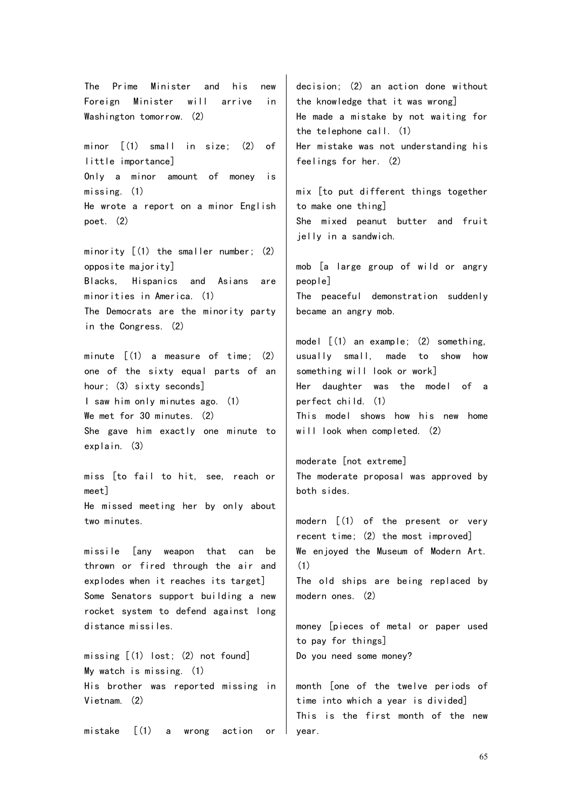The Prime Minister and his new Foreign Minister will arrive in Washington tomorrow. (2)

minor [(1) small in size; (2) of little importance] Only a minor amount of money is missing. (1) He wrote a report on a minor English poet. (2)

minority [(1) the smaller number; (2) opposite majority] Blacks, Hispanics and Asians are minorities in America. (1) The Democrats are the minority party in the Congress. (2)

minute  $\lceil (1)$  a measure of time:  $(2)$ one of the sixty equal parts of an hour; (3) sixty seconds] I saw him only minutes ago. (1) We met for 30 minutes. (2) She gave him exactly one minute to explain. (3)

miss [to fail to hit, see, reach or meet] He missed meeting her by only about two minutes.

missile [any weapon that can be thrown or fired through the air and explodes when it reaches its target] Some Senators support building a new rocket system to defend against long distance missiles.

missing [(1) lost; (2) not found] My watch is missing. (1) His brother was reported missing in Vietnam. (2)

mistake [(1) a wrong action or

decision; (2) an action done without the knowledge that it was wrong] He made a mistake by not waiting for the telephone call. (1) Her mistake was not understanding his feelings for her. (2)

mix [to put different things together to make one thing] She mixed peanut butter and fruit jelly in a sandwich.

mob [a large group of wild or angry people] The peaceful demonstration suddenly became an angry mob.

model [(1) an example; (2) something, usually small, made to show how something will look or work] Her daughter was the model of a perfect child. (1) This model shows how his new home will look when completed. (2)

moderate [not extreme] The moderate proposal was approved by both sides.

modern [(1) of the present or very recent time; (2) the most improved] We enjoyed the Museum of Modern Art. (1) The old ships are being replaced by modern ones. (2)

money [pieces of metal or paper used to pay for things] Do you need some money?

month [one of the twelve periods of time into which a year is divided] This is the first month of the new year.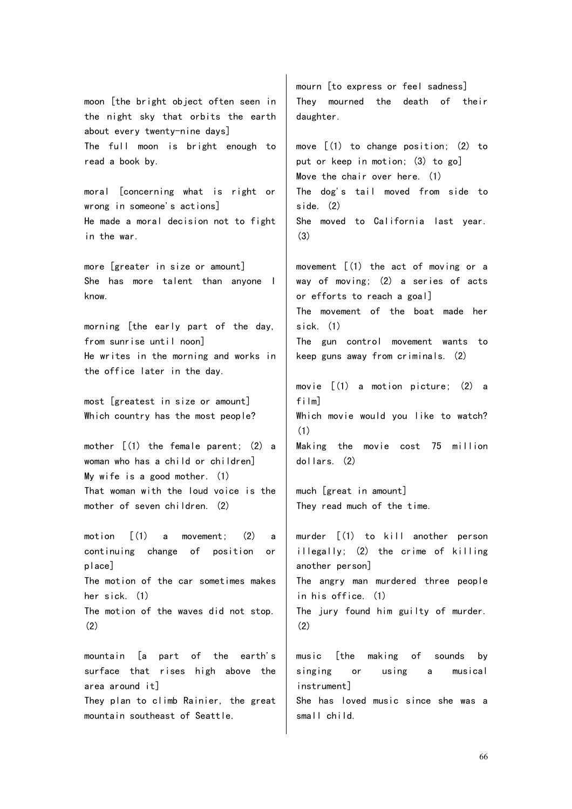moon [the bright object often seen in the night sky that orbits the earth about every twenty-nine days] The full moon is bright enough to read a book by.

moral [concerning what is right or wrong in someone's actions] He made a moral decision not to fight in the war.

more [greater in size or amount] She has more talent than anyone I know.

morning [the early part of the day, from sunrise until noon] He writes in the morning and works in the office later in the day.

most [greatest in size or amount] Which country has the most people?

mother [(1) the female parent; (2) a woman who has a child or children] My wife is a good mother. (1) That woman with the loud voice is the mother of seven children. (2)

motion [(1) a movement; (2) a continuing change of position or place] The motion of the car sometimes makes her sick. (1) The motion of the waves did not stop. (2)

mountain [a part of the earth's surface that rises high above the area around it] They plan to climb Rainier, the great mountain southeast of Seattle.

mourn [to express or feel sadness] They mourned the death of their daughter.

move [(1) to change position; (2) to put or keep in motion; (3) to go] Move the chair over here. (1) The dog's tail moved from side to side. (2) She moved to California last year. (3)

movement [(1) the act of moving or a way of moving; (2) a series of acts or efforts to reach a goal] The movement of the boat made her sick. (1)

The gun control movement wants to keep guns away from criminals. (2)

movie [(1) a motion picture; (2) a film] Which movie would you like to watch? (1) Making the movie cost 75 million dollars. (2)

much [great in amount] They read much of the time.

murder [(1) to kill another person illegally; (2) the crime of killing another person] The angry man murdered three people in his office. (1) The jury found him guilty of murder. (2)

music [the making of sounds by singing or using a musical instrument]

She has loved music since she was a small child.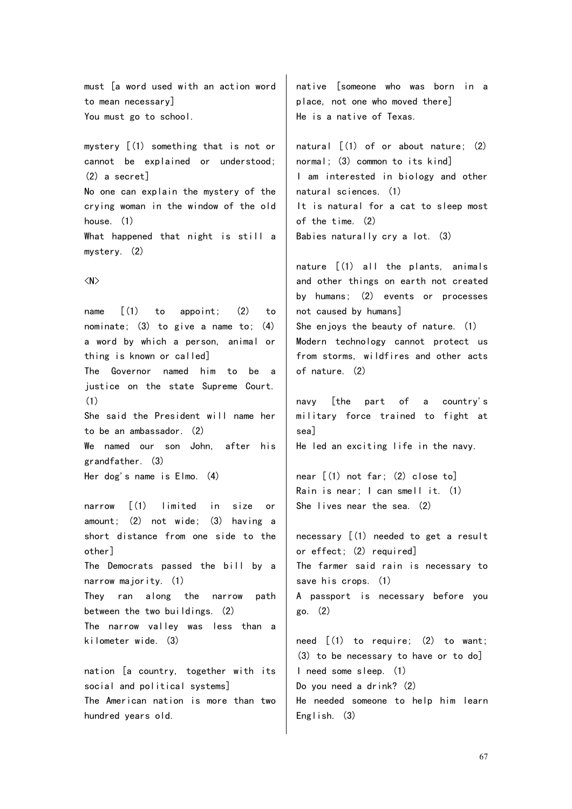must [a word used with an action word to mean necessary] You must go to school.

mystery [(1) something that is not or cannot be explained or understood; (2) a secret] No one can explain the mystery of the crying woman in the window of the old house. (1) What happened that night is still a

<N>

mystery. (2)

name [(1) to appoint; (2) to nominate; (3) to give a name to; (4) a word by which a person, animal or thing is known or called] The Governor named him to be a justice on the state Supreme Court. (1) She said the President will name her to be an ambassador. (2) We named our son John, after his grandfather. (3)

Her dog's name is Elmo. (4)

narrow [(1) limited in size or amount; (2) not wide; (3) having a short distance from one side to the other] The Democrats passed the bill by a narrow majority. (1) They ran along the narrow path between the two buildings. (2) The narrow valley was less than a kilometer wide. (3) nation [a country, together with its

social and political systems] The American nation is more than two hundred years old.

native [someone who was born in a place, not one who moved there] He is a native of Texas.

natural  $[(1)$  of or about nature:  $(2)$ normal; (3) common to its kind] I am interested in biology and other natural sciences. (1) It is natural for a cat to sleep most of the time. (2) Babies naturally cry a lot. (3)

nature [(1) all the plants, animals and other things on earth not created by humans; (2) events or processes not caused by humans] She enjoys the beauty of nature. (1) Modern technology cannot protect us from storms, wildfires and other acts of nature. (2)

navy [the part of a country's military force trained to fight at sea] He led an exciting life in the navy.

near [(1) not far; (2) close to] Rain is near; I can smell it. (1) She lives near the sea. (2)

necessary [(1) needed to get a result or effect; (2) required] The farmer said rain is necessary to save his crops. (1) A passport is necessary before you go. (2)

need [(1) to require; (2) to want; (3) to be necessary to have or to do] I need some sleep. (1) Do you need a drink? (2) He needed someone to help him learn English. (3)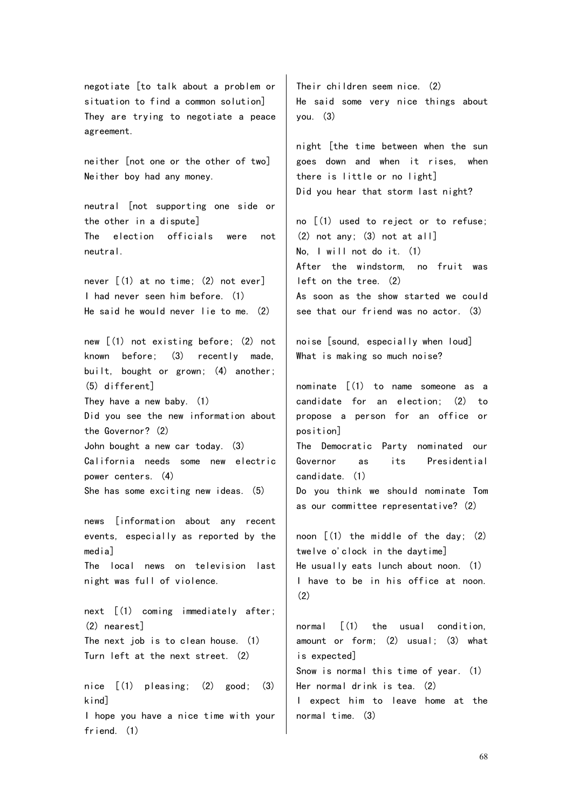negotiate [to talk about a problem or situation to find a common solution] They are trying to negotiate a peace agreement.

neither [not one or the other of two] Neither boy had any money.

neutral [not supporting one side or the other in a dispute] The election officials were not neutral.

never [(1) at no time; (2) not ever] I had never seen him before. (1) He said he would never lie to me. (2)

new [(1) not existing before; (2) not known before; (3) recently made, built, bought or grown; (4) another; (5) different] They have a new baby. (1) Did you see the new information about the Governor? (2) John bought a new car today. (3) California needs some new electric power centers. (4) She has some exciting new ideas. (5)

news [information about any recent events, especially as reported by the media] The local news on television last night was full of violence. next [(1) coming immediately after; (2) nearest]

The next job is to clean house. (1) Turn left at the next street. (2)

nice [(1) pleasing; (2) good; (3) kind] I hope you have a nice time with your friend. (1)

Their children seem nice. (2) He said some very nice things about  $you. (3)$ 

night [the time between when the sun goes down and when it rises, when there is little or no light] Did you hear that storm last night?

no [(1) used to reject or to refuse; (2) not any; (3) not at all] No, I will not do it. (1) After the windstorm, no fruit was left on the tree. (2) As soon as the show started we could see that our friend was no actor. (3)

noise [sound, especially when loud] What is making so much noise?

nominate [(1) to name someone as a candidate for an election; (2) to propose a person for an office or position]

The Democratic Party nominated our Governor as its Presidential candidate. (1)

Do you think we should nominate Tom as our committee representative? (2)

noon  $(1)$  the middle of the day;  $(2)$ twelve o'clock in the daytime] He usually eats lunch about noon. (1) I have to be in his office at noon.  $(2)$ 

normal  $\lceil$  (1) the usual condition, amount or form; (2) usual; (3) what is expected] Snow is normal this time of year. (1) Her normal drink is tea. (2) I expect him to leave home at the normal time. (3)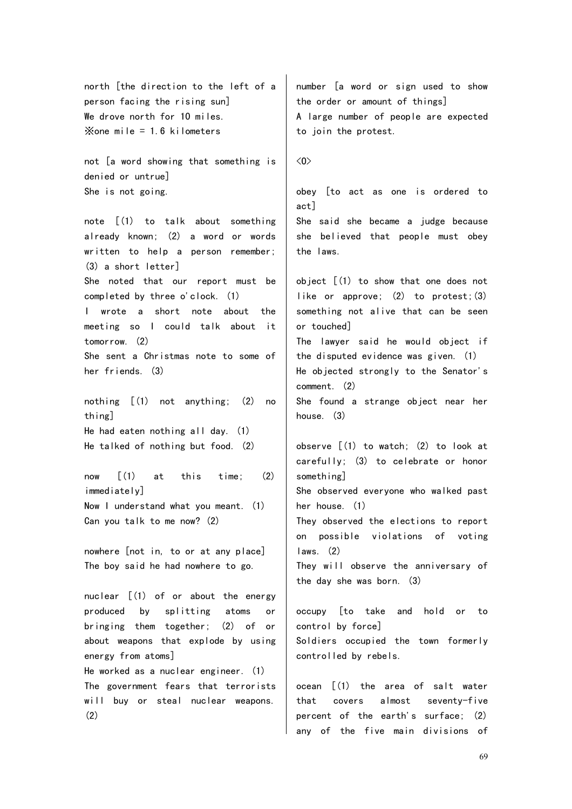north [the direction to the left of a person facing the rising sun] We drove north for 10 miles.  $\times$ one mile = 1.6 kilometers

not [a word showing that something is denied or untrue] She is not going.

note [(1) to talk about something already known; (2) a word or words written to help a person remember; (3) a short letter] She noted that our report must be completed by three o'clock. (1) I wrote a short note about the meeting so I could talk about it tomorrow. (2)

She sent a Christmas note to some of her friends. (3)

nothing [(1) not anything; (2) no thing] He had eaten nothing all day. (1) He talked of nothing but food. (2)

now  $[(1)$  at this time;  $(2)$ immediately] Now I understand what you meant. (1) Can you talk to me now? (2)

nowhere [not in, to or at any place] The boy said he had nowhere to go.

nuclear [(1) of or about the energy produced by splitting atoms or bringing them together; (2) of or about weapons that explode by using energy from atoms] He worked as a nuclear engineer. (1) The government fears that terrorists will buy or steal nuclear weapons. (2)

number [a word or sign used to show the order or amount of things] A large number of people are expected to join the protest.

 $\langle 0 \rangle$ 

obey [to act as one is ordered to act] She said she became a judge because she believed that people must obey the laws. object [(1) to show that one does not like or approve; (2) to protest;(3) something not alive that can be seen or touched] The lawyer said he would object if the disputed evidence was given. (1) He objected strongly to the Senator's comment. (2) She found a strange object near her house. (3)

observe [(1) to watch; (2) to look at carefully; (3) to celebrate or honor something] She observed everyone who walked past her house. (1) They observed the elections to report on possible violations of voting laws. (2) They will observe the anniversary of the day she was born. (3) occupy [to take and hold or to

control by force] Soldiers occupied the town formerly controlled by rebels.

ocean [(1) the area of salt water that covers almost seventy-five percent of the earth's surface; (2) any of the five main divisions of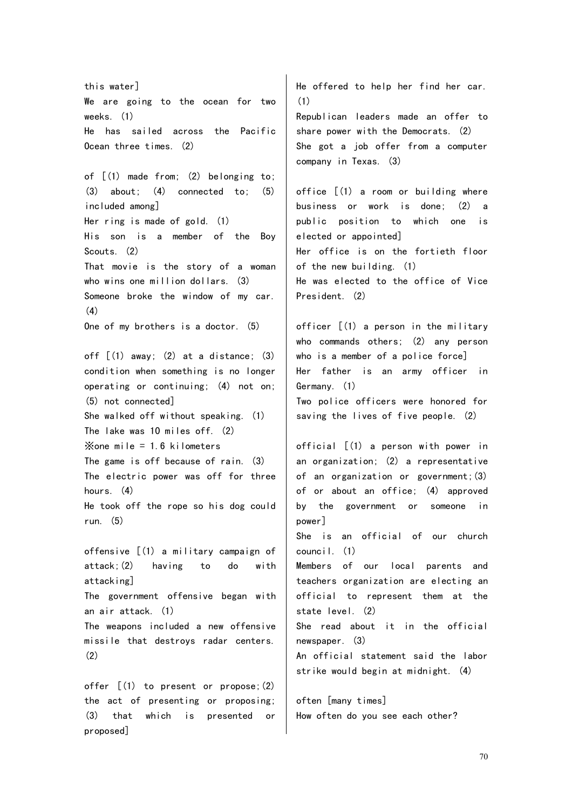this water] We are going to the ocean for two weeks. (1) He has sailed across the Pacific Ocean three times. (2) of [(1) made from; (2) belonging to;  $(3)$  about;  $(4)$  connected to;  $(5)$ included among] Her ring is made of gold. (1) His son is a member of the Boy Scouts. (2) That movie is the story of a woman who wins one million dollars. (3) Someone broke the window of my car. (4) One of my brothers is a doctor. (5) off  $(1)$  away:  $(2)$  at a distance:  $(3)$ condition when something is no longer operating or continuing; (4) not on; (5) not connected] She walked off without speaking. (1) The lake was 10 miles off. (2)  $\times$ one mile = 1.6 kilometers The game is off because of rain. (3) The electric power was off for three hours  $(4)$ He took off the rope so his dog could run. (5) offensive [(1) a military campaign of attack;(2) having to do with attacking] The government offensive began with an air attack. (1) The weapons included a new offensive missile that destroys radar centers. (2) offer [(1) to present or propose;(2) the act of presenting or proposing; (3) that which is presented or He offered to help her find her car. (1) Republican leaders made an offer to share power with the Democrats. (2) She got a job offer from a computer company in Texas. (3) office [(1) a room or building where business or work is done; (2) a public position to which one is elected or appointed] Her office is on the fortieth floor of the new building. (1) He was elected to the office of Vice President. (2) officer [(1) a person in the military who commands others; (2) any person who is a member of a police force] Her father is an army officer in Germany. (1) Two police officers were honored for saving the lives of five people. (2) official [(1) a person with power in an organization; (2) a representative of an organization or government;(3) of or about an office; (4) approved by the government or someone in power] She is an official of our church council. (1) Members of our local parents and teachers organization are electing an official to represent them at the state level. (2) She read about it in the official newspaper. (3) An official statement said the labor strike would begin at midnight. (4) often [many times] How often do you see each other?

proposed]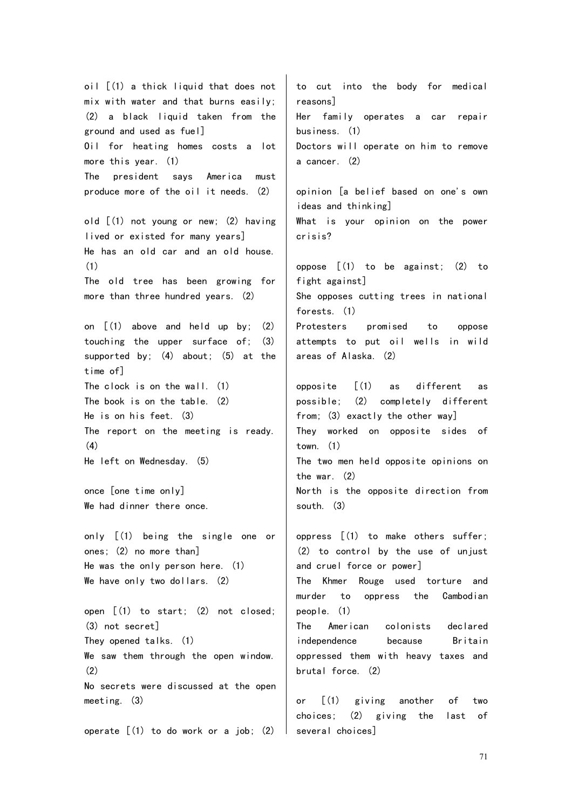oil [(1) a thick liquid that does not mix with water and that burns easily;  $(2)$  a black liquid taken from the ground and used as fuel] Oil for heating homes costs a lot more this year. (1) The president says America must produce more of the oil it needs. (2) old [(1) not young or new; (2) having lived or existed for many years] He has an old car and an old house. (1) The old tree has been growing for more than three hundred years. (2) on [(1) above and held up by; (2) touching the upper surface of; (3) supported by; (4) about; (5) at the time of] The clock is on the wall. (1) The book is on the table. (2) He is on his feet. (3) The report on the meeting is ready. (4) He left on Wednesday. (5) once [one time only] We had dinner there once. only [(1) being the single one or ones; (2) no more than] He was the only person here. (1) We have only two dollars. (2) open [(1) to start; (2) not closed; (3) not secret] They opened talks. (1) We saw them through the open window. (2) No secrets were discussed at the open meeting. (3) operate  $(1)$  to do work or a job;  $(2)$ to cut into the body for medical reasons] Her family operates a car repair business. (1) Doctors will operate on him to remove a cancer. (2) opinion [a belief based on one's own ideas and thinking] What is your opinion on the power crisis? oppose  $(1)$  to be against;  $(2)$  to fight against] She opposes cutting trees in national forests. (1) Protesters promised to oppose attempts to put oil wells in wild areas of Alaska. (2) opposite [(1) as different as possible; (2) completely different from; (3) exactly the other way] They worked on opposite sides of town. (1) The two men held opposite opinions on the war. (2) North is the opposite direction from south. (3) oppress [(1) to make others suffer; (2) to control by the use of unjust and cruel force or power] The Khmer Rouge used torture and murder to oppress the Cambodian people. (1) The American colonists declared independence because Britain oppressed them with heavy taxes and brutal force. (2) or [(1) giving another of two choices; (2) giving the last of several choices]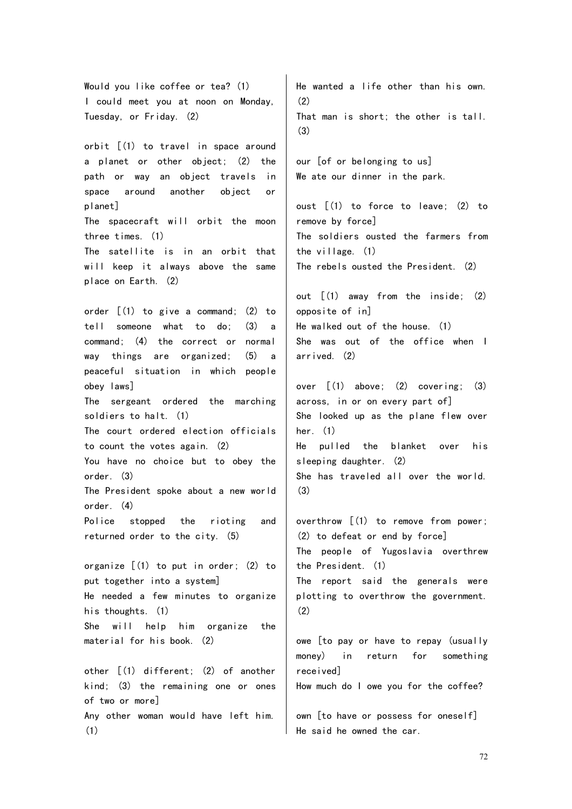Would you like coffee or tea? (1) I could meet you at noon on Monday, Tuesday, or Friday. (2) orbit [(1) to travel in space around a planet or other object; (2) the path or way an object travels in space around another object or planet] The spacecraft will orbit the moon three times. (1) The satellite is in an orbit that will keep it always above the same place on Earth. (2) order [(1) to give a command; (2) to tell someone what to do; (3) a command; (4) the correct or normal way things are organized; (5) a peaceful situation in which people obey laws] The sergeant ordered the marching soldiers to halt. (1) The court ordered election officials to count the votes again. (2) You have no choice but to obey the order. (3) The President spoke about a new world order. (4) Police stopped the rioting and returned order to the city. (5) organize [(1) to put in order; (2) to put together into a system] He needed a few minutes to organize his thoughts. (1) She will help him organize the material for his book. (2) other [(1) different; (2) of another kind; (3) the remaining one or ones of two or more] Any other woman would have left him. (1) He wanted a life other than his own. (2) That man is short; the other is tall. (3) our [of or belonging to us] We ate our dinner in the park. oust [(1) to force to leave; (2) to remove by force] The soldiers ousted the farmers from the village. (1) The rebels ousted the President. (2) out [(1) away from the inside; (2) opposite of in] He walked out of the house. (1) She was out of the office when I arrived. (2) over [(1) above; (2) covering; (3) across, in or on every part of] She looked up as the plane flew over her. (1) He pulled the blanket over his sleeping daughter. (2) She has traveled all over the world. (3) overthrow [(1) to remove from power; (2) to defeat or end by force] The people of Yugoslavia overthrew the President. (1) The report said the generals were plotting to overthrow the government. (2) owe [to pay or have to repay (usually money) in return for something received] How much do I owe you for the coffee? own [to have or possess for oneself] He said he owned the car.

72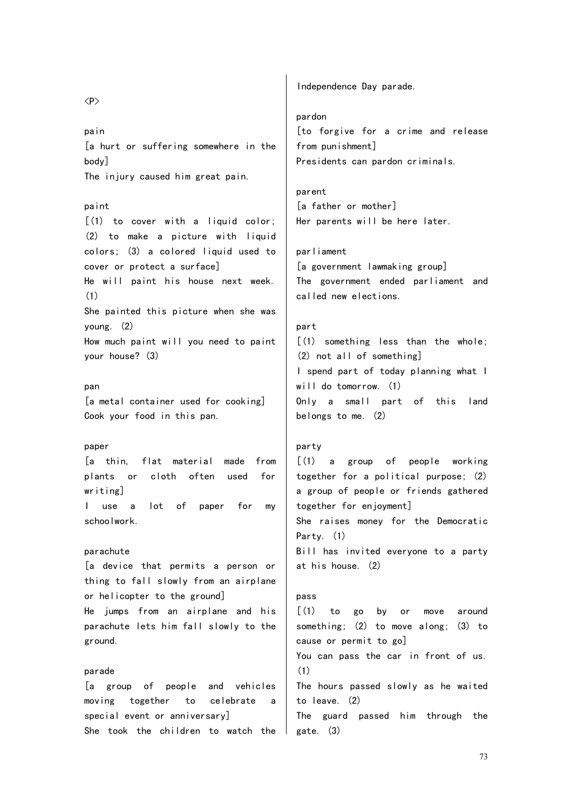## [a hurt or suffering somewhere in the body] The injury caused him great pain. paint [(1) to cover with a liquid color; (2) to make a picture with liquid colors; (3) a colored liquid used to cover or protect a surface] He will paint his house next week. She painted this picture when she was young. (2) How much paint will you need to paint your house? (3) [a metal container used for cooking] Cook your food in this pan. paper [a thin, flat material made from plants or cloth often used for writing] I use a lot of paper for my schoolwork. parachute [a device that permits a person or thing to fall slowly from an airplane or helicopter to the ground] He jumps from an airplane and his parachute lets him fall slowly to the ground. pardon from punishment] parent [a father or mother] parliament called new elections. part (2) not all of something] will do tomorrow. (1) belongs to me. (2) party together for enjoyment] Party. (1) at his house. (2) pass cause or permit to go]

# [a group of people and vehicles moving together to celebrate a special event or anniversary] She took the children to watch the

 $\langle P \rangle$ 

pain

(1)

pan

parade

[to forgive for a crime and release Presidents can pardon criminals.

Her parents will be here later.

Independence Day parade.

[a government lawmaking group] The government ended parliament and

```
[(1) something less than the whole;
I spend part of today planning what I
Only a small part of this land
```
 $\lceil$  (1) a group of people working together for a political purpose; (2) a group of people or friends gathered She raises money for the Democratic Bill has invited everyone to a party

[(1) to go by or move around something; (2) to move along; (3) to You can pass the car in front of us. (1) The hours passed slowly as he waited to leave. (2) The guard passed him through the gate. (3)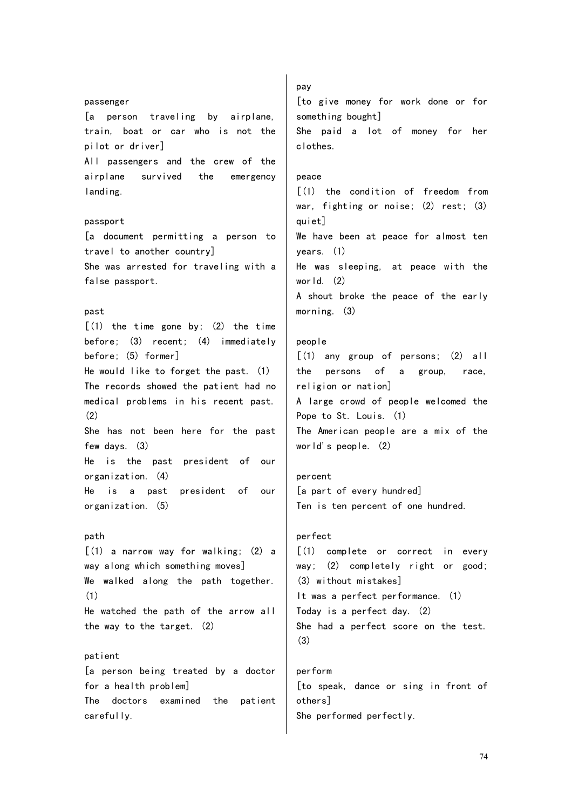# passenger [a person traveling by airplane, train, boat or car who is not the pilot or driver] All passengers and the crew of the airplane survived the emergency landing. passport [a document permitting a person to travel to another country] She was arrested for traveling with a false passport. past  $(1)$  the time gone by:  $(2)$  the time before; (3) recent; (4) immediately before; (5) former] He would like to forget the past. (1) The records showed the patient had no medical problems in his recent past. (2) She has not been here for the past few days. (3) He is the past president of our organization. (4) He is a past president of our organization. (5) path [(1) a narrow way for walking; (2) a way along which something moves] We walked along the path together. (1) He watched the path of the arrow all the way to the target. (2) patient [a person being treated by a doctor for a health problem] The doctors examined the patient carefully.

[to give money for work done or for something bought] She paid a lot of money for her clothes. peace [(1) the condition of freedom from war, fighting or noise; (2) rest; (3) quiet] We have been at peace for almost ten years. (1) He was sleeping, at peace with the world. (2) A shout broke the peace of the early morning. (3) people  $[(1)$  any group of persons;  $(2)$  all the persons of a group, race, religion or nation] A large crowd of people welcomed the Pope to St. Louis. (1)

pay

The American people are a mix of the world's people. (2)

percent [a part of every hundred] Ten is ten percent of one hundred.

# perfect [(1) complete or correct in every way; (2) completely right or good; (3) without mistakes] It was a perfect performance. (1) Today is a perfect day. (2) She had a perfect score on the test. (3)

perform [to speak, dance or sing in front of others] She performed perfectly.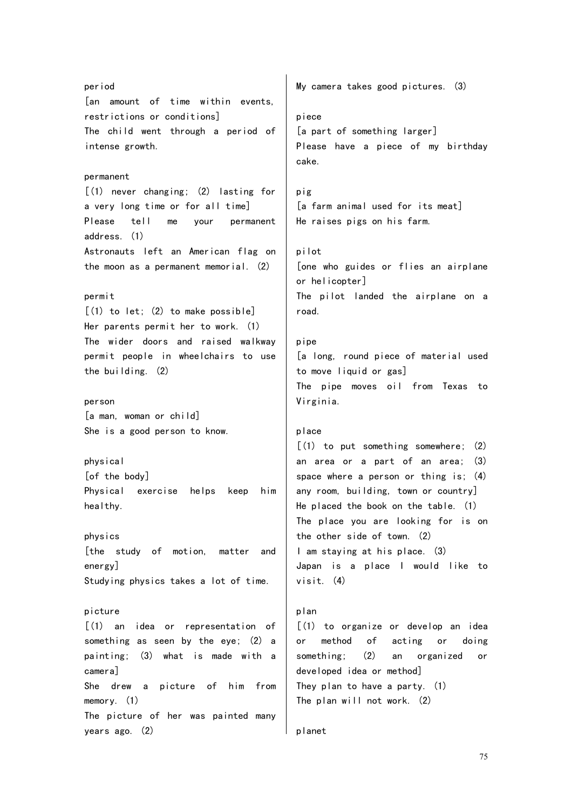period [an amount of time within events, restrictions or conditions] The child went through a period of intense growth. permanent  $(1)$  never changing;  $(2)$  lasting for a very long time or for all time] Please tell me your permanent address. (1) Astronauts left an American flag on the moon as a permanent memorial. (2) permit [(1) to let; (2) to make possible] Her parents permit her to work. (1) The wider doors and raised walkway permit people in wheelchairs to use the building. (2) person [a man, woman or child] She is a good person to know. physical [of the body] Physical exercise helps keep him healthy. physics [the study of motion, matter and energy] Studying physics takes a lot of time. picture [(1) an idea or representation of something as seen by the eye; (2) a painting; (3) what is made with a camera] She drew a picture of him from memory. (1) The picture of her was painted many years ago. (2) My camera takes good pictures. (3) piece [a part of something larger] Please have a piece of my birthday cake. pig [a farm animal used for its meat] He raises pigs on his farm. pilot [one who guides or flies an airplane or helicopter] The pilot landed the airplane on a road. pipe [a long, round piece of material used to move liquid or gas] The pipe moves oil from Texas to Virginia. place [(1) to put something somewhere; (2) an area or a part of an area; (3) space where a person or thing is; (4) any room, building, town or country] He placed the book on the table. (1) The place you are looking for is on the other side of town. (2) I am staying at his place. (3) Japan is a place I would like to visit. (4) plan [(1) to organize or develop an idea or method of acting or doing something; (2) an organized or developed idea or method] They plan to have a party. (1) The plan will not work. (2) planet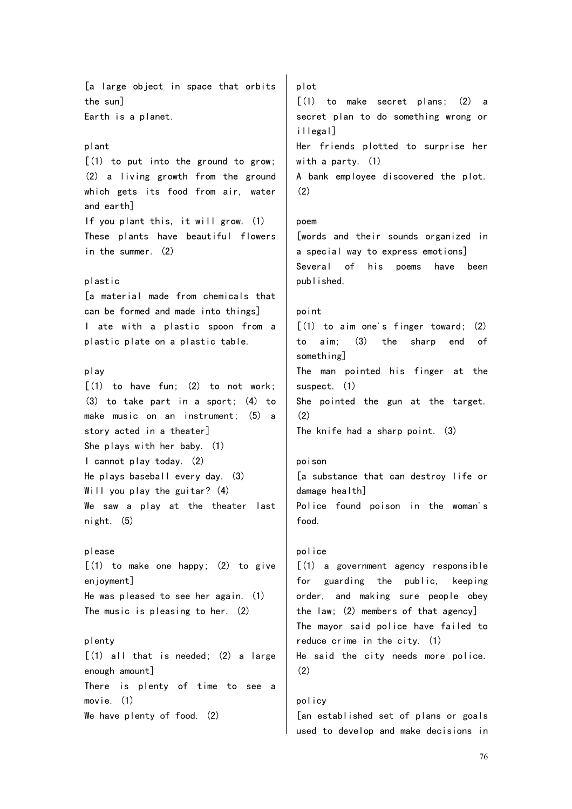[a large object in space that orbits the sun] Earth is a planet. plant  $[(1)$  to put into the ground to grow; (2) a living growth from the ground which gets its food from air, water and earth] If you plant this, it will grow. (1) These plants have beautiful flowers in the summer. (2) plastic [a material made from chemicals that can be formed and made into things] I ate with a plastic spoon from a plastic plate on a plastic table. play  $[(1)$  to have fun:  $(2)$  to not work; (3) to take part in a sport; (4) to make music on an instrument; (5) a story acted in a theater] She plays with her baby. (1) I cannot play today. (2) He plays baseball every day. (3) Will you play the guitar? (4) We saw a play at the theater last night. (5) please  $[(1)$  to make one happy;  $(2)$  to give enjoyment] He was pleased to see her again. (1) The music is pleasing to her. (2) plenty  $[(1)$  all that is needed;  $(2)$  a large enough amount] There is plenty of time to see a movie. (1) We have plenty of food. (2) plot [(1) to make secret plans; (2) a secret plan to do something wrong or illegal] Her friends plotted to surprise her with a party. (1) A bank employee discovered the plot. (2) poem [words and their sounds organized in a special way to express emotions] Several of his poems have been published. point  $(1)$  to aim one's finger toward;  $(2)$ to aim; (3) the sharp end of something] The man pointed his finger at the suspect. (1) She pointed the gun at the target. (2) The knife had a sharp point. (3) poison [a substance that can destroy life or damage health] Police found poison in the woman's food. police [(1) a government agency responsible for guarding the public, keeping order, and making sure people obey the law; (2) members of that agency] The mayor said police have failed to reduce crime in the city. (1) He said the city needs more police. (2) policy [an established set of plans or goals

used to develop and make decisions in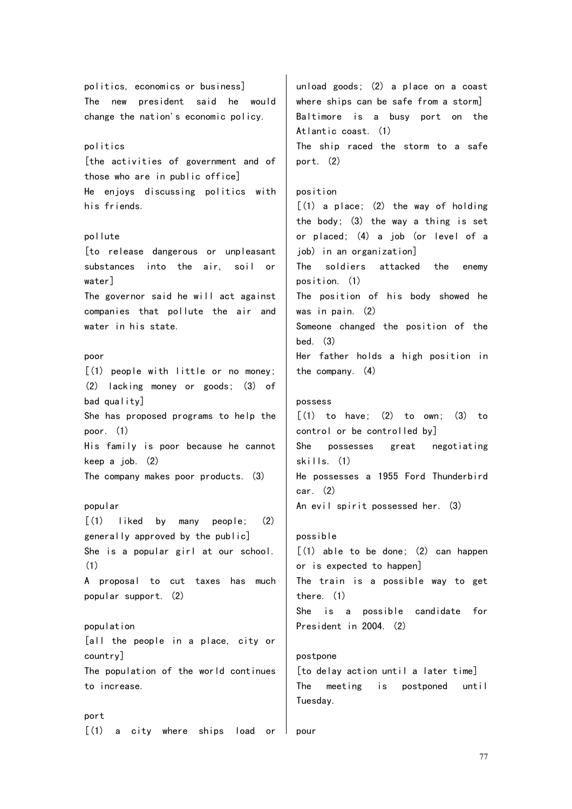politics, economics or business] The new president said he would change the nation's economic policy. politics [the activities of government and of those who are in public office] He enjoys discussing politics with his friends. pollute [to release dangerous or unpleasant substances into the air, soil or water] The governor said he will act against companies that pollute the air and water in his state. poor [(1) people with little or no money; (2) lacking money or goods; (3) of bad quality] She has proposed programs to help the poor. (1) His family is poor because he cannot keep a job. (2) The company makes poor products. (3) popular [(1) liked by many people; (2) generally approved by the public] She is a popular girl at our school. (1) A proposal to cut taxes has much popular support. (2) population [all the people in a place, city or country] The population of the world continues to increase. port [(1) a city where ships load or unload goods; (2) a place on a coast where ships can be safe from a storm] Baltimore is a busy port on the Atlantic coast. (1) The ship raced the storm to a safe port. (2) position  $[(1)$  a place;  $(2)$  the way of holding the body; (3) the way a thing is set or placed; (4) a job (or level of a job) in an organization] The soldiers attacked the enemy position. (1) The position of his body showed he was in pain. (2) Someone changed the position of the bed. (3) Her father holds a high position in the company. (4) possess  $\lceil$  (1) to have; (2) to own; (3) to control or be controlled by] She possesses great negotiating skills. (1) He possesses a 1955 Ford Thunderbird  $car$   $(2)$ An evil spirit possessed her. (3) possible [(1) able to be done; (2) can happen or is expected to happen] The train is a possible way to get there. (1) She is a possible candidate for President in 2004. (2) postpone [to delay action until a later time] The meeting is postponed until Tuesday. pour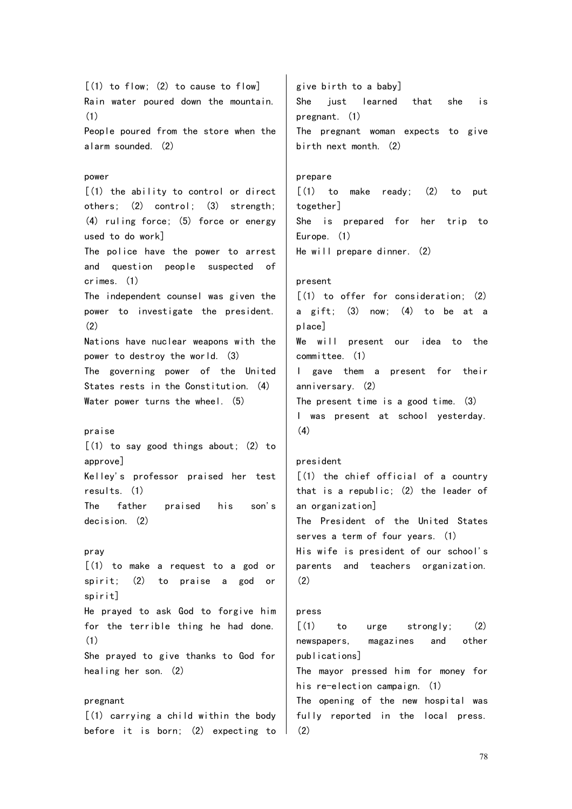$[(1)$  to flow;  $(2)$  to cause to flow] Rain water poured down the mountain. (1) People poured from the store when the alarm sounded. (2) power  $(1)$  the ability to control or direct others; (2) control; (3) strength; (4) ruling force; (5) force or energy used to do work] The police have the power to arrest and question people suspected of crimes. (1) The independent counsel was given the power to investigate the president. (2) Nations have nuclear weapons with the power to destroy the world. (3) The governing power of the United States rests in the Constitution. (4) Water power turns the wheel. (5) praise [(1) to say good things about; (2) to approve] Kelley's professor praised her test results. (1) The father praised his son's decision. (2) pray [(1) to make a request to a god or spirit; (2) to praise a god or spirit] He prayed to ask God to forgive him for the terrible thing he had done. (1) She prayed to give thanks to God for healing her son. (2) pregnant [(1) carrying a child within the body before it is born; (2) expecting to give birth to a baby] She just learned that she is pregnant. (1) The pregnant woman expects to give birth next month. (2) prepare  $\lceil$  (1) to make ready; (2) to put together] She is prepared for her trip to Europe. (1) He will prepare dinner. (2) present [(1) to offer for consideration; (2) a gift; (3) now; (4) to be at a place] We will present our idea to the committee. (1) I gave them a present for their anniversary. (2) The present time is a good time. (3) I was present at school yesterday. (4) president [(1) the chief official of a country that is a republic; (2) the leader of an organization] The President of the United States serves a term of four years. (1) His wife is president of our school's parents and teachers organization. (2) press  $[(1)$  to urge strongly;  $(2)$ newspapers, magazines and other publications] The mayor pressed him for money for his re-election campaign. (1) The opening of the new hospital was fully reported in the local press. (2)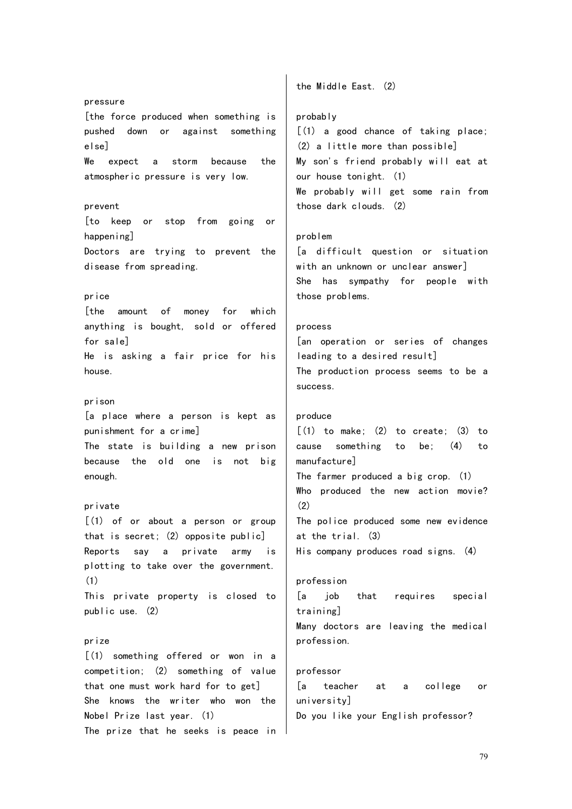pressure [the force produced when something is pushed down or against something else] We expect a storm because the atmospheric pressure is very low. prevent [to keep or stop from going or happening] Doctors are trying to prevent the disease from spreading. price [the amount of money for which anything is bought, sold or offered for sale] He is asking a fair price for his house. prison [a place where a person is kept as punishment for a crime] The state is building a new prison because the old one is not big enough. private  $[(1)$  of or about a person or group that is secret; (2) opposite public] Reports say a private army is plotting to take over the government. (1) This private property is closed to public use. (2) prize [(1) something offered or won in a competition; (2) something of value that one must work hard for to get] She knows the writer who won the Nobel Prize last year. (1) The prize that he seeks is peace in

the Middle East. (2)

## probably

[(1) a good chance of taking place; (2) a little more than possible] My son's friend probably will eat at our house tonight. (1) We probably will get some rain from those dark clouds. (2)

## problem

[a difficult question or situation with an unknown or unclear answer] She has sympathy for people with those problems.

#### process

[an operation or series of changes leading to a desired result] The production process seems to be a success.

## produce

 $[(1)$  to make;  $(2)$  to create;  $(3)$  to cause something to be; (4) to manufacture] The farmer produced a big crop. (1) Who produced the new action movie? (2) The police produced some new evidence at the trial. (3) His company produces road signs. (4)

#### profession

[a job that requires special training] Many doctors are leaving the medical profession.

#### professor

[a teacher at a college or university] Do you like your English professor?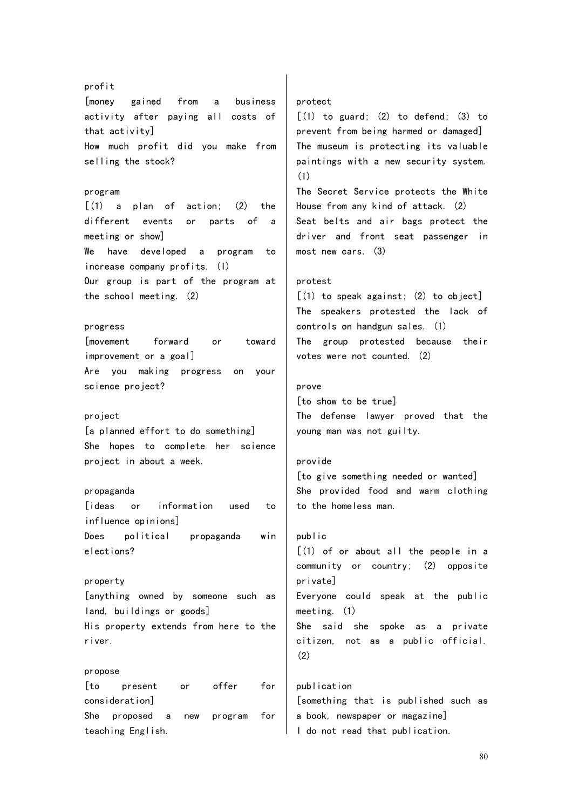# profit [money gained from a business activity after paying all costs of that activity] How much profit did you make from selling the stock? program  $\lceil$  (1) a plan of action; (2) the different events or parts of a meeting or show] We have developed a program to increase company profits. (1) Our group is part of the program at the school meeting. (2) progress [movement forward or toward improvement or a goal] Are you making progress on your science project? project [a planned effort to do something] She hopes to complete her science project in about a week. propaganda [ideas or information used to influence opinions] Does political propaganda win elections? property [anything owned by someone such as land, buildings or goods] His property extends from here to the river. propose [to present or offer for consideration] She proposed a new program for teaching English. (1) prove public (2) publication

#### protect

 $\lceil$ (1) to guard; (2) to defend; (3) to prevent from being harmed or damaged] The museum is protecting its valuable paintings with a new security system.

The Secret Service protects the White House from any kind of attack. (2) Seat belts and air bags protect the driver and front seat passenger in most new cars. (3)

## protest

[(1) to speak against; (2) to object] The speakers protested the lack of controls on handgun sales. (1) The group protested because their votes were not counted. (2)

[to show to be true] The defense lawyer proved that the young man was not guilty.

#### provide

[to give something needed or wanted] She provided food and warm clothing to the homeless man.

# [(1) of or about all the people in a community or country; (2) opposite private] Everyone could speak at the public meeting. (1) She said she spoke as a private citizen, not as a public official.

[something that is published such as a book, newspaper or magazine] I do not read that publication.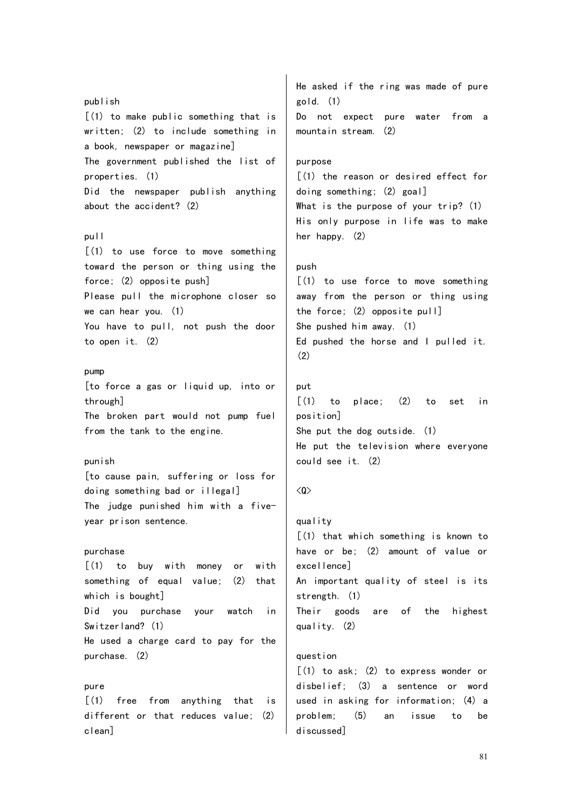publish [(1) to make public something that is written; (2) to include something in a book, newspaper or magazine] The government published the list of properties. (1) Did the newspaper publish anything about the accident? (2) pull [(1) to use force to move something toward the person or thing using the force; (2) opposite push] Please pull the microphone closer so we can hear you. (1) You have to pull, not push the door to open it. (2) pump [to force a gas or liquid up, into or through] The broken part would not pump fuel from the tank to the engine. punish [to cause pain, suffering or loss for doing something bad or illegal] The judge punished him with a fiveyear prison sentence. purchase  $(1)$  to buy with money or with something of equal value; (2) that which is bought] Did you purchase your watch in Switzerland? (1) He used a charge card to pay for the purchase. (2) pure [(1) free from anything that is different or that reduces value; (2) clean] He asked if the ring was made of pure gold. (1) Do not expect pure water from a mountain stream. (2) purpose [(1) the reason or desired effect for doing something; (2) goal] What is the purpose of your trip? (1) His only purpose in life was to make her happy. (2) push [(1) to use force to move something away from the person or thing using the force; (2) opposite pull] She pushed him away. (1) Ed pushed the horse and I pulled it. (2) put [(1) to place; (2) to set in position] She put the dog outside. (1) He put the television where everyone could see it. (2)  $\langle 0 \rangle$ quality [(1) that which something is known to have or be; (2) amount of value or excellence] An important quality of steel is its strength. (1) Their goods are of the highest quality. (2) question  $[(1)$  to ask;  $(2)$  to express wonder or disbelief; (3) a sentence or word used in asking for information; (4) a problem; (5) an issue to be discussed]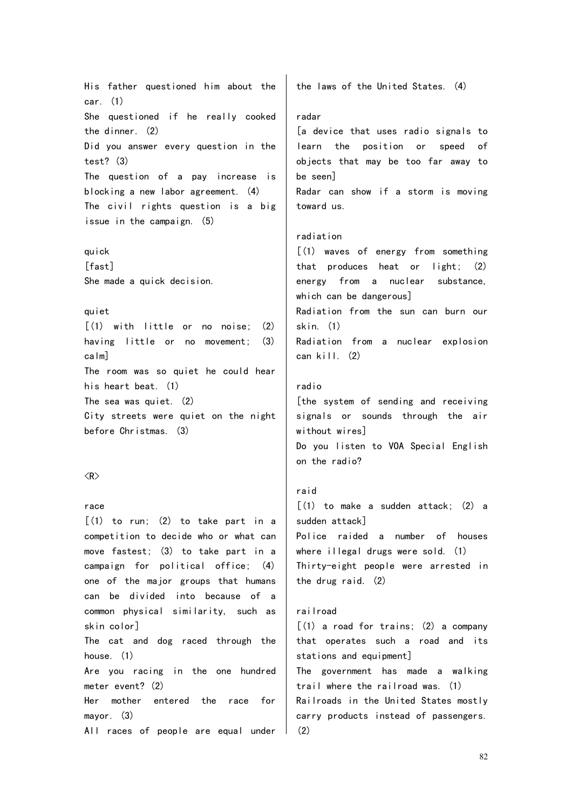His father questioned him about the car. (1) She questioned if he really cooked the dinner. (2) Did you answer every question in the test? (3) The question of a pay increase is blocking a new labor agreement. (4) The civil rights question is a big issue in the campaign. (5)

quick  $[fast]$ She made a quick decision.

## quiet

 $\lceil$  (1) with little or no noise; (2) having little or no movement; (3) calm] The room was so quiet he could hear his heart beat. (1) The sea was quiet. (2) City streets were quiet on the night before Christmas. (3)

#### $\langle R \rangle$

#### race

 $[(1)$  to run;  $(2)$  to take part in a competition to decide who or what can move fastest; (3) to take part in a campaign for political office; (4) one of the major groups that humans can be divided into because of a common physical similarity, such as skin color] The cat and dog raced through the house. (1) Are you racing in the one hundred meter event? (2) Her mother entered the race for mayor. (3)

All races of people are equal under

the laws of the United States. (4)

## radar

[a device that uses radio signals to learn the position or speed of objects that may be too far away to be seen] Radar can show if a storm is moving toward us.

## radiation

[(1) waves of energy from something that produces heat or light; (2) energy from a nuclear substance, which can be dangerous] Radiation from the sun can burn our skin. (1) Radiation from a nuclear explosion can kill. (2)

## radio

[the system of sending and receiving signals or sounds through the air without wires] Do you listen to VOA Special English on the radio?

# raid  $\lceil$ (1) to make a sudden attack; (2) a sudden attack] Police raided a number of houses where illegal drugs were sold. (1) Thirty-eight people were arrested in the drug raid. (2)

#### railroad

 $[(1)$  a road for trains;  $(2)$  a company that operates such a road and its stations and equipment] The government has made a walking trail where the railroad was. (1) Railroads in the United States mostly carry products instead of passengers. (2)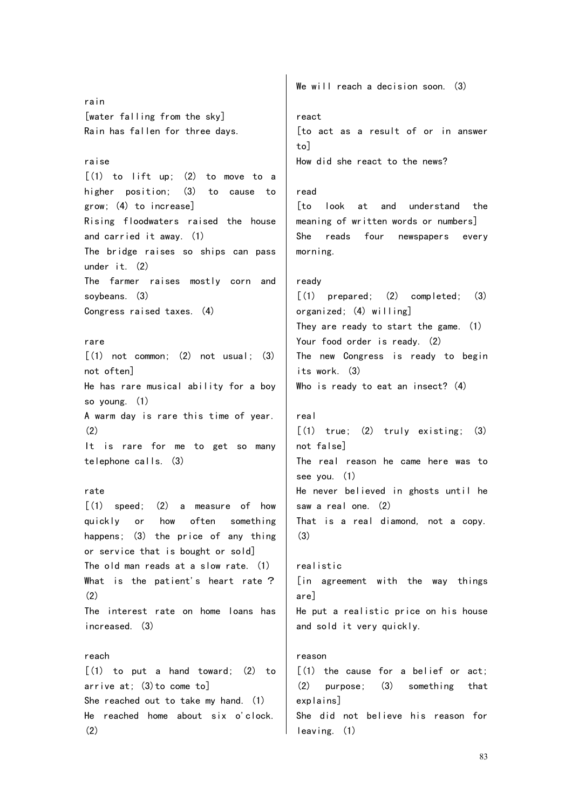rain [water falling from the sky] Rain has fallen for three days. raise  $\lceil$ (1) to lift up: (2) to move to a higher position; (3) to cause to grow; (4) to increase] Rising floodwaters raised the house and carried it away. (1) The bridge raises so ships can pass under it. (2) The farmer raises mostly corn and soybeans. (3) Congress raised taxes. (4) rare  $\lceil$ (1) not common: (2) not usual: (3) not often] He has rare musical ability for a boy so young. (1) A warm day is rare this time of year. (2) It is rare for me to get so many telephone calls. (3) rate  $\lceil$  (1) speed; (2) a measure of how quickly or how often something happens; (3) the price of any thing or service that is bought or sold] The old man reads at a slow rate. (1) What is the patient's heart rate?  $(2)$ The interest rate on home loans has increased. (3) reach  $[(1)$  to put a hand toward;  $(2)$  to arrive at; (3)to come to] She reached out to take my hand. (1) He reached home about six o'clock. (2) We will reach a decision soon. (3) react [to act as a result of or in answer  $to$ How did she react to the news? read [to look at and understand the meaning of written words or numbers] She reads four newspapers every morning. ready [(1) prepared; (2) completed; (3) organized; (4) willing] They are ready to start the game. (1) Your food order is ready. (2) The new Congress is ready to begin its work. (3) Who is ready to eat an insect? (4) real  $[(1)$  true;  $(2)$  truly existing;  $(3)$ not false] The real reason he came here was to see you. (1) He never believed in ghosts until he saw a real one. (2) That is a real diamond, not a copy. (3) realistic [in agreement with the way things are] He put a realistic price on his house and sold it very quickly. reason  $(1)$  the cause for a belief or act: (2) purpose; (3) something that explains] She did not believe his reason for leaving. (1)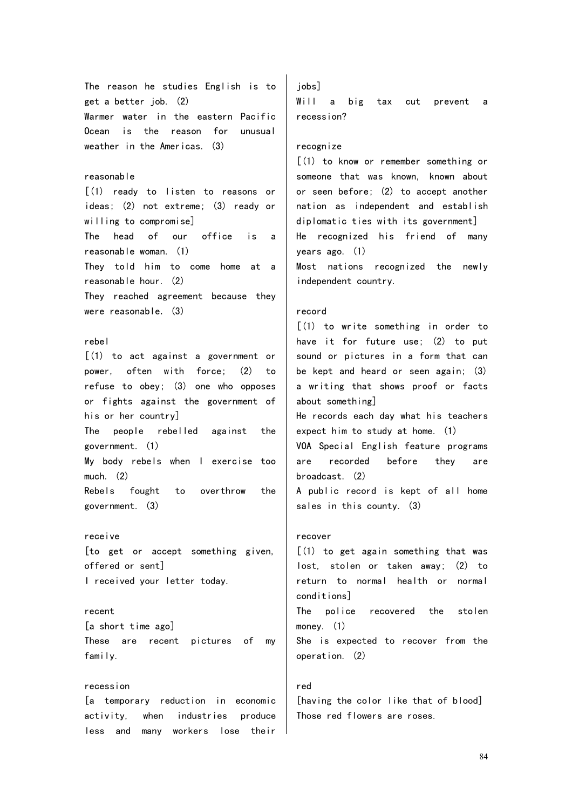The reason he studies English is to get a better job. (2) Warmer water in the eastern Pacific Ocean is the reason for unusual weather in the Americas. (3) reasonable [(1) ready to listen to reasons or ideas; (2) not extreme; (3) ready or willing to compromise] The head of our office is a reasonable woman. (1) They told him to come home at a reasonable hour. (2) They reached agreement because they were reasonable.  $(3)$ rebel [(1) to act against a government or power, often with force; (2) to refuse to obey; (3) one who opposes or fights against the government of his or her country] The people rebelled against the government. (1) My body rebels when I exercise too much. (2) Rebels fought to overthrow the government. (3) receive [to get or accept something given, offered or sent] I received your letter today. recent [a short time ago] These are recent pictures of my family. recession

[a temporary reduction in economic activity, when industries produce less and many workers lose their

jobs] Will a big tax cut prevent a recession?

## recognize

[(1) to know or remember something or someone that was known, known about or seen before; (2) to accept another nation as independent and establish diplomatic ties with its government] He recognized his friend of many years ago. (1) Most nations recognized the newly independent country.

## record

[(1) to write something in order to have it for future use; (2) to put sound or pictures in a form that can be kept and heard or seen again; (3) a writing that shows proof or facts about something] He records each day what his teachers

expect him to study at home. (1) VOA Special English feature programs

are recorded before they are broadcast. (2)

A public record is kept of all home sales in this county. (3)

#### recover

[(1) to get again something that was lost, stolen or taken away; (2) to return to normal health or normal conditions]

The police recovered the stolen money. (1)

She is expected to recover from the operation. (2)

#### red

[having the color like that of blood] Those red flowers are roses.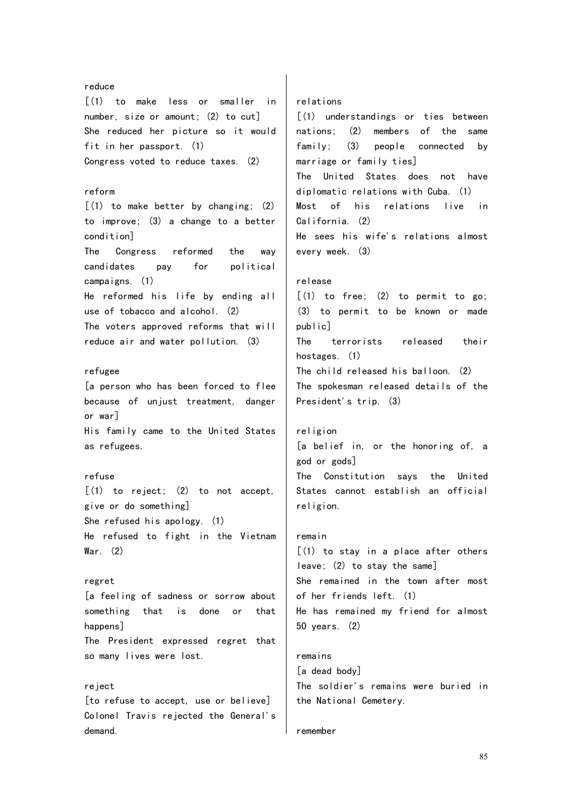#### reduce [(1) to make less or smaller in number, size or amount; (2) to cut] She reduced her picture so it would fit in her passport. (1) Congress voted to reduce taxes. (2) reform [(1) to make better by changing; (2) to improve; (3) a change to a better condition] The Congress reformed the way candidates pay for political campaigns. (1) He reformed his life by ending all use of tobacco and alcohol. (2) The voters approved reforms that will reduce air and water pollution. (3) refugee [a person who has been forced to flee because of unjust treatment, danger or war] His family came to the United States as refugees. refuse  $\lceil$ (1) to reject; (2) to not accept. give or do something] She refused his apology. (1) He refused to fight in the Vietnam War. (2) regret [a feeling of sadness or sorrow about something that is done or that happens] The President expressed regret that so many lives were lost. reject [to refuse to accept, use or believe] Colonel Travis rejected the General's relations [(1) understandings or ties between nations; (2) members of the same family; (3) people connected by marriage or family ties] The United States does not have diplomatic relations with Cuba. (1) Most of his relations live in California. (2) He sees his wife's relations almost every week. (3) release  $\lceil$ (1) to free; (2) to permit to go; (3) to permit to be known or made public] The terrorists released their hostages. (1) The child released his balloon. (2) The spokesman released details of the President's trip. (3) religion [a belief in, or the honoring of, a god or gods] The Constitution says the United States cannot establish an official religion. remain [(1) to stay in a place after others leave; (2) to stay the same] She remained in the town after most of her friends left. (1) He has remained my friend for almost 50 years. (2) remains [a dead body] The soldier's remains were buried in the National Cemetery.

#### remember

demand.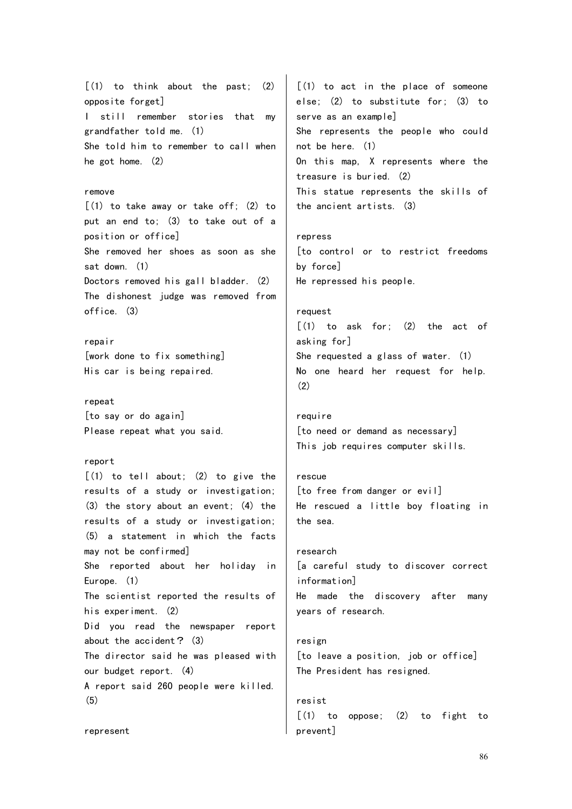$[(1)$  to think about the past;  $(2)$ opposite forget] I still remember stories that my grandfather told me. (1) She told him to remember to call when he got home. (2) remove [(1) to take away or take off; (2) to put an end to; (3) to take out of a position or office] She removed her shoes as soon as she sat down. (1) Doctors removed his gall bladder. (2) The dishonest judge was removed from office. (3) repair [work done to fix something] His car is being repaired. repeat [to say or do again] Please repeat what you said. report  $[(1)$  to tell about;  $(2)$  to give the results of a study or investigation; (3) the story about an event; (4) the results of a study or investigation; (5) a statement in which the facts may not be confirmed] She reported about her holiday in Europe. (1) The scientist reported the results of his experiment. (2) Did you read the newspaper report about the accident? (3) The director said he was pleased with our budget report. (4) A report said 260 people were killed. (5) [(1) to act in the place of someone else; (2) to substitute for; (3) to serve as an example] She represents the people who could not be here. (1) On this map, X represents where the treasure is buried. (2) This statue represents the skills of the ancient artists. (3) repress [to control or to restrict freedoms by force] He repressed his people. request  $\lceil$ (1) to ask for; (2) the act of asking for] She requested a glass of water. (1) No one heard her request for help.  $(2)$ require [to need or demand as necessary] This job requires computer skills. rescue [to free from danger or evil] He rescued a little boy floating in the sea. research [a careful study to discover correct information] He made the discovery after many years of research. resign [to leave a position, job or office] The President has resigned. resist  $[(1)$  to oppose;  $(2)$  to fight to

prevent]

represent

86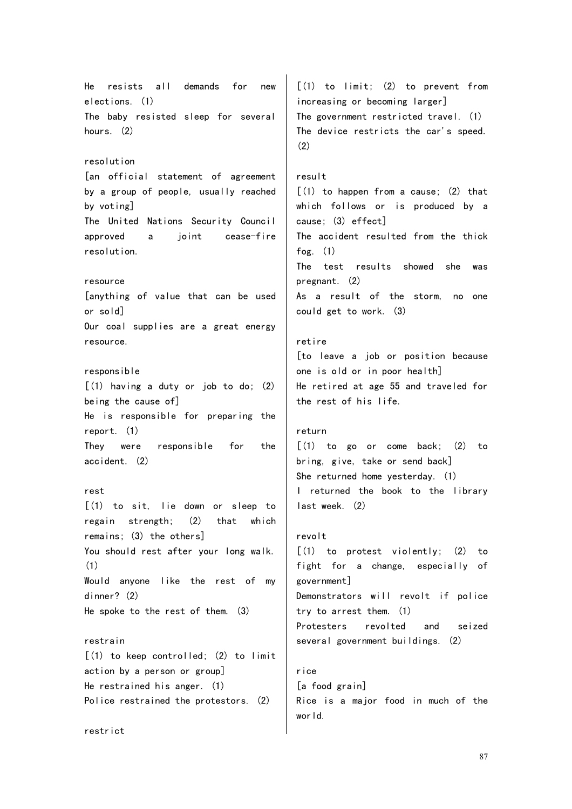He resists all demands for new elections. (1) The baby resisted sleep for several hours. (2) resolution [an official statement of agreement by a group of people, usually reached by voting] The United Nations Security Council approved a joint cease-fire resolution. resource [anything of value that can be used or sold] Our coal supplies are a great energy resource. responsible [(1) having a duty or job to do; (2) being the cause of] He is responsible for preparing the report. (1) They were responsible for the accident. (2) rest [(1) to sit, lie down or sleep to regain strength; (2) that which remains; (3) the others] You should rest after your long walk. (1) Would anyone like the rest of my dinner? (2) He spoke to the rest of them. (3) restrain  $(1)$  to keep controlled;  $(2)$  to limit action by a person or group] He restrained his anger. (1) Police restrained the protestors. (2) restrict [(1) to limit; (2) to prevent from increasing or becoming larger] The government restricted travel. (1) The device restricts the car's speed.  $(2)$ result  $(1)$  to happen from a cause;  $(2)$  that which follows or is produced by a cause; (3) effect] The accident resulted from the thick fog.  $(1)$ The test results showed she was pregnant. (2) As a result of the storm, no one could get to work. (3) retire [to leave a job or position because one is old or in poor health] He retired at age 55 and traveled for the rest of his life. return  $[(1)$  to go or come back;  $(2)$  to bring, give, take or send back] She returned home yesterday. (1) I returned the book to the library last week. (2) revolt [(1) to protest violently; (2) to fight for a change, especially of government] Demonstrators will revolt if police try to arrest them. (1) Protesters revolted and seized several government buildings. (2) rice [a food grain] Rice is a major food in much of the world.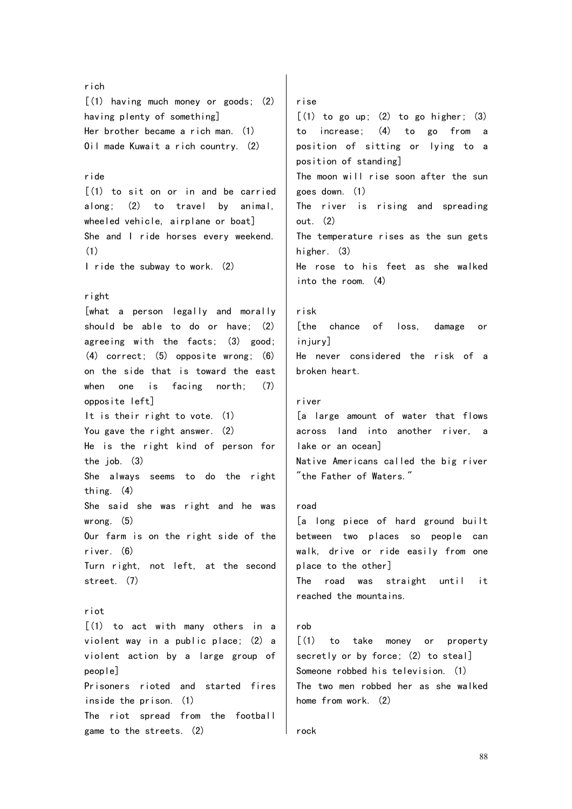rich [(1) having much money or goods; (2) having plenty of something] Her brother became a rich man. (1) Oil made Kuwait a rich country. (2) ride [(1) to sit on or in and be carried along; (2) to travel by animal, wheeled vehicle, airplane or boat] She and I ride horses every weekend. (1) I ride the subway to work. (2) right [what a person legally and morally should be able to do or have; (2) agreeing with the facts; (3) good; (4) correct; (5) opposite wrong; (6) on the side that is toward the east when one is facing north: (7) opposite left] It is their right to vote. (1) You gave the right answer. (2) He is the right kind of person for the job. (3) She always seems to do the right thing. (4) She said she was right and he was wrong. (5) Our farm is on the right side of the river. (6) Turn right, not left, at the second street. (7) riot [(1) to act with many others in a violent way in a public place; (2) a violent action by a large group of people] Prisoners rioted and started fires inside the prison. (1) The riot spread from the football game to the streets. (2) rise  $\lceil$  (1) to go up; (2) to go higher; (3) to increase; (4) to go from a position of sitting or lying to a position of standing] The moon will rise soon after the sun goes down. (1) The river is rising and spreading out. (2) The temperature rises as the sun gets higher. (3) He rose to his feet as she walked into the room. (4) risk [the chance of loss, damage or injury] He never considered the risk of a broken heart. river [a large amount of water that flows across land into another river, lake or an ocean] Native Americans called the big river "the Father of Waters." road [a long piece of hard ground built between two places so people can walk, drive or ride easily from one place to the other] The road was straight until it reached the mountains. rob [(1) to take money or property secretly or by force; (2) to steal] Someone robbed his television. (1) The two men robbed her as she walked home from work. (2) rock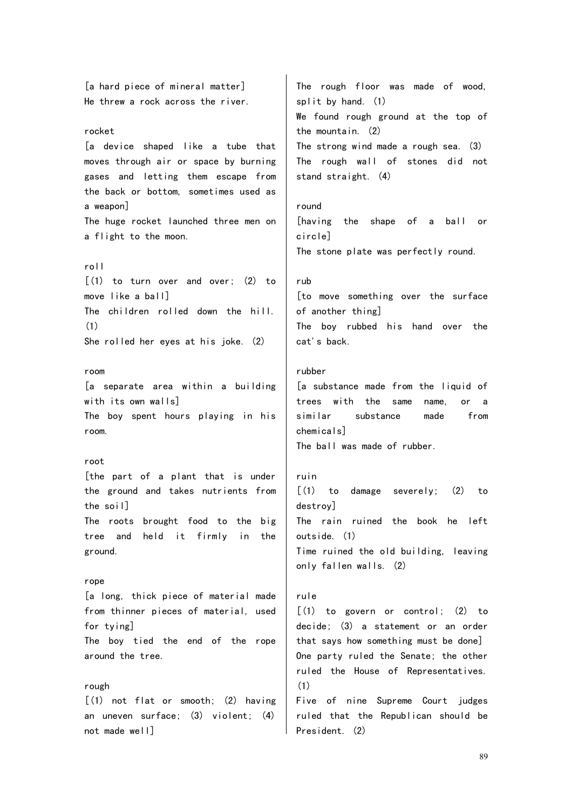[a hard piece of mineral matter] He threw a rock across the river. rocket [a device shaped like a tube that moves through air or space by burning gases and letting them escape from the back or bottom, sometimes used as a weapon] The huge rocket launched three men on a flight to the moon. roll  $[(1)$  to turn over and over;  $(2)$  to move like a ball] The children rolled down the hill. (1) She rolled her eyes at his joke. (2) room [a separate area within a building with its own walls] The boy spent hours playing in his room. root [the part of a plant that is under the ground and takes nutrients from the soil] The roots brought food to the big tree and held it firmly in the ground. rope [a long, thick piece of material made from thinner pieces of material, used for tying] The boy tied the end of the rope around the tree. rough  $(1)$  not flat or smooth:  $(2)$  having an uneven surface; (3) violent; (4) not made well] The rough floor was made of wood, split by hand. (1) We found rough ground at the top of the mountain. (2) The strong wind made a rough sea. (3) The rough wall of stones did not stand straight. (4) round [having the shape of a ball or circle] The stone plate was perfectly round. rub [to move something over the surface of another thing] The boy rubbed his hand over the cat's back. rubber [a substance made from the liquid of trees with the same name, or a similar substance made from chemicals] The ball was made of rubber. ruin  $\lceil$ (1) to damage severely; (2) to destroy] The rain ruined the book he left outside. (1) Time ruined the old building, leaving only fallen walls. (2) rule  $[(1)$  to govern or control;  $(2)$  to decide; (3) a statement or an order that says how something must be done] One party ruled the Senate; the other ruled the House of Representatives. (1) Five of nine Supreme Court judges ruled that the Republican should be President. (2)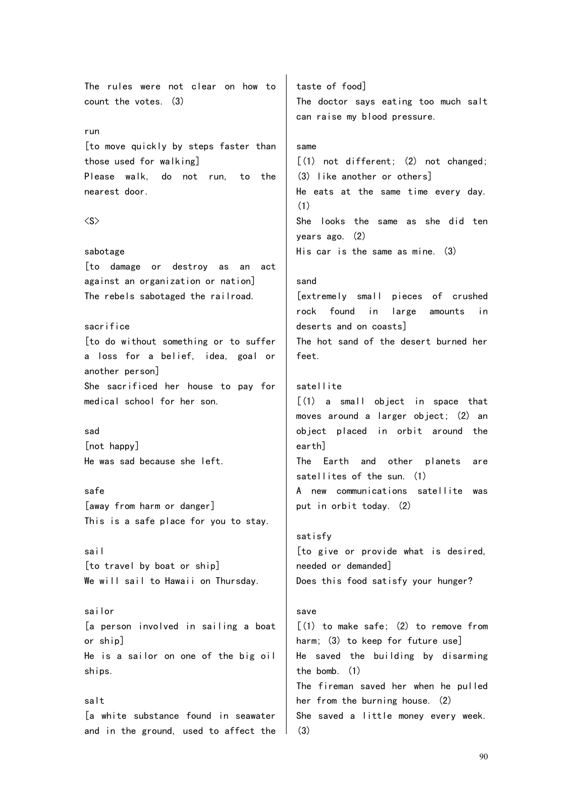The rules were not clear on how to count the votes. (3) run [to move quickly by steps faster than those used for walking] Please walk, do not run, to the nearest door.  $\langle S \rangle$ sabotage [to damage or destroy as an act against an organization or nation] The rebels sabotaged the railroad. sacrifice [to do without something or to suffer a loss for a belief, idea, goal or another person] She sacrificed her house to pay for medical school for her son. sad [not happy] He was sad because she left. safe [away from harm or danger] This is a safe place for you to stay. sail [to travel by boat or ship] We will sail to Hawaii on Thursday. sailor [a person involved in sailing a boat or ship] He is a sailor on one of the big oil ships. salt [a white substance found in seawater same (1) sand feet. satellite earth] satisfy save

and in the ground, used to affect the

taste of food] The doctor says eating too much salt can raise my blood pressure.

[(1) not different; (2) not changed; (3) like another or others] He eats at the same time every day. She looks the same as she did ten years ago. (2) His car is the same as mine. (3)

[extremely small pieces of crushed rock found in large amounts in deserts and on coasts] The hot sand of the desert burned her

[(1) a small object in space that moves around a larger object; (2) an object placed in orbit around the The Earth and other planets are satellites of the sun. (1) A new communications satellite was put in orbit today. (2)

[to give or provide what is desired, needed or demanded] Does this food satisfy your hunger?

[(1) to make safe; (2) to remove from harm; (3) to keep for future use] He saved the building by disarming the bomb. (1) The fireman saved her when he pulled her from the burning house. (2) She saved a little money every week. (3)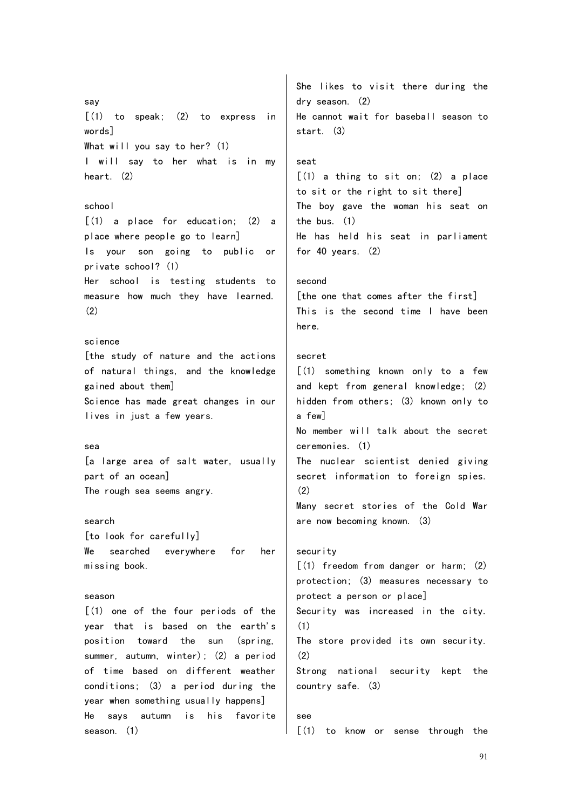say  $\lceil$ (1) to speak; (2) to express in words] What will you say to her? (1) I will say to her what is in my heart. (2) school [(1) a place for education; (2) a place where people go to learn] Is your son going to public or private school? (1) Her school is testing students to measure how much they have learned. (2) science [the study of nature and the actions of natural things, and the knowledge gained about them] Science has made great changes in our lives in just a few years. sea [a large area of salt water, usually part of an ocean] The rough sea seems angry. search [to look for carefully] We searched everywhere for her missing book. season [(1) one of the four periods of the year that is based on the earth's position toward the sun (spring, summer, autumn, winter); (2) a period of time based on different weather conditions; (3) a period during the year when something usually happens] He says autumn is his favorite She likes to visit there during the dry season. (2) He cannot wait for baseball season to start. (3) seat  $[(1)$  a thing to sit on;  $(2)$  a place to sit or the right to sit there] The boy gave the woman his seat on the bus. (1) He has held his seat in parliament for 40 years. (2) second [the one that comes after the first] This is the second time I have been here. secret [(1) something known only to a few and kept from general knowledge; (2) hidden from others; (3) known only to a few] No member will talk about the secret ceremonies. (1) The nuclear scientist denied giving secret information to foreign spies.  $(2)$ Many secret stories of the Cold War are now becoming known. (3) security [(1) freedom from danger or harm; (2) protection; (3) measures necessary to protect a person or place] Security was increased in the city. (1) The store provided its own security. (2) Strong national security kept the country safe. (3) see

season. (1)

[(1) to know or sense through the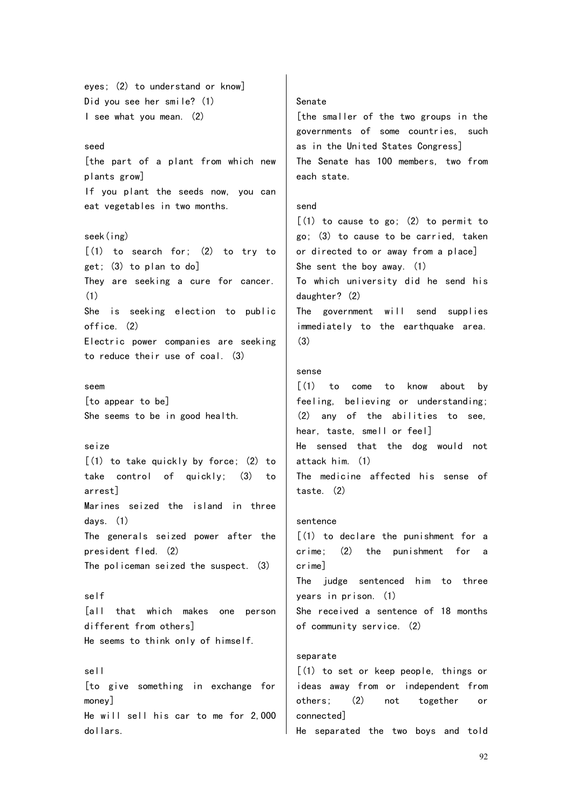eyes; (2) to understand or know] Did you see her smile? (1) I see what you mean. (2)

## seed

[the part of a plant from which new plants grow] If you plant the seeds now, you can eat vegetables in two months.

#### seek(ing)

 $[(1)$  to search for;  $(2)$  to try to get; (3) to plan to do] They are seeking a cure for cancer. (1) She is seeking election to public office. (2) Electric power companies are seeking to reduce their use of coal. (3)

## seem

[to appear to be] She seems to be in good health.

## seize

 $[(1)$  to take quickly by force;  $(2)$  to take control of quickly; (3) to arrest] Marines seized the island in three days. (1) The generals seized power after the president fled. (2) The policeman seized the suspect. (3)

self [all that which makes one person different from others] He seems to think only of himself.

## sell

[to give something in exchange for money] He will sell his car to me for 2,000 dollars.

#### Senate

[the smaller of the two groups in the governments of some countries, such as in the United States Congress] The Senate has 100 members, two from each state.

## send

 $(1)$  to cause to go;  $(2)$  to permit to go; (3) to cause to be carried, taken or directed to or away from a place] She sent the boy away. (1) To which university did he send his daughter? (2) The government will send supplies immediately to the earthquake area. (3)

## sense

 $\lceil$  (1) to come to know about by feeling, believing or understanding; (2) any of the abilities to see, hear, taste, smell or feel] He sensed that the dog would not attack him. (1) The medicine affected his sense of taste. (2)

## sentence

[(1) to declare the punishment for a  $c$ rime;  $(2)$  the punishment for crime] The judge sentenced him to three years in prison. (1) She received a sentence of 18 months of community service. (2)

## separate

[(1) to set or keep people, things or ideas away from or independent from others; (2) not together or connected] He separated the two boys and told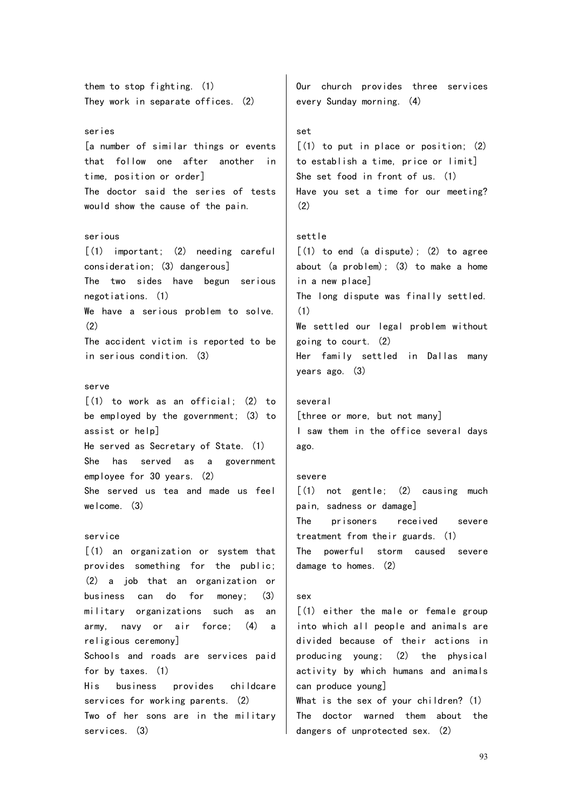them to stop fighting. (1) They work in separate offices. (2)

## series

[a number of similar things or events that follow one after another in time, position or order] The doctor said the series of tests would show the cause of the pain.

## serious

[(1) important; (2) needing careful consideration; (3) dangerous] The two sides have begun serious negotiations. (1) We have a serious problem to solve. (2) The accident victim is reported to be in serious condition. (3)

## serve

[(1) to work as an official; (2) to be employed by the government; (3) to assist or help] He served as Secretary of State. (1) She has served as a government employee for 30 years. (2) She served us tea and made us feel welcome. (3)

#### service

[(1) an organization or system that provides something for the public; (2) a job that an organization or business can do for money; (3) military organizations such as an army, navy or air force; (4) a religious ceremony] Schools and roads are services paid for by taxes. (1) His business provides childcare services for working parents. (2) Two of her sons are in the military services. (3)

Our church provides three services every Sunday morning. (4)

#### set

 $(1)$  to put in place or position;  $(2)$ to establish a time, price or limit] She set food in front of us. (1) Have you set a time for our meeting? (2)

## settle

 $[(1)$  to end (a dispute); (2) to agree about (a problem); (3) to make a home in a new place] The long dispute was finally settled. (1) We settled our legal problem without going to court. (2) Her family settled in Dallas many years ago. (3)

#### several

[three or more, but not many] I saw them in the office several days ago.

#### severe

 $\lceil$ (1) not gentle: (2) causing much pain, sadness or damage] The prisoners received severe treatment from their guards. (1) The powerful storm caused severe damage to homes. (2)

#### sex

[(1) either the male or female group into which all people and animals are divided because of their actions in producing young; (2) the physical activity by which humans and animals can produce young] What is the sex of your children? (1)

The doctor warned them about the dangers of unprotected sex. (2)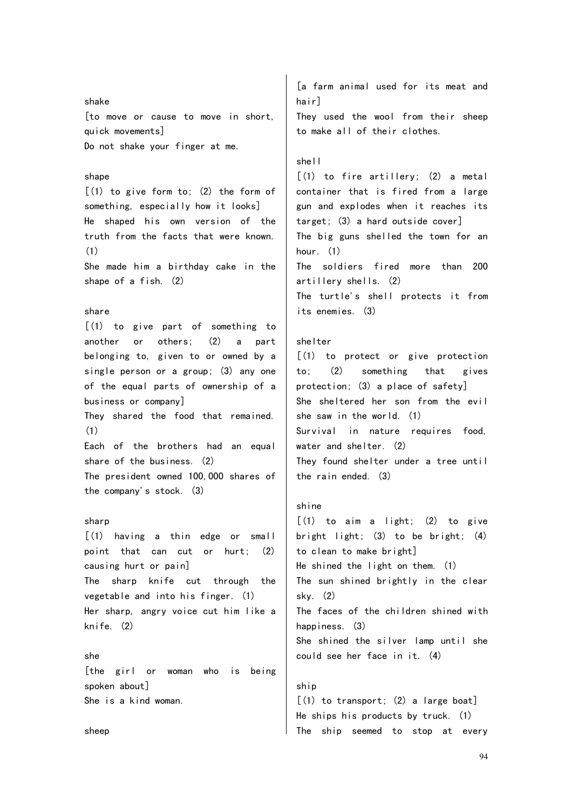shake [to move or cause to move in short, quick movements] Do not shake your finger at me.

## shape

 $(1)$  to give form to:  $(2)$  the form of something, especially how it looks] He shaped his own version of the truth from the facts that were known. (1)

She made him a birthday cake in the shape of a fish. (2)

## share

[(1) to give part of something to another or others; (2) a part belonging to, given to or owned by a single person or a group; (3) any one of the equal parts of ownership of a business or company] They shared the food that remained. (1) Each of the brothers had an equal share of the business. (2)

The president owned 100,000 shares of the company's stock. (3)

## sharp

[(1) having a thin edge or small point that can cut or hurt; (2) causing hurt or pain] The sharp knife cut through the vegetable and into his finger. (1) Her sharp, angry voice cut him like a knife. (2)

## she

[the girl or woman who is being spoken about] She is a kind woman.

[a farm animal used for its meat and hair] They used the wool from their sheep to make all of their clothes.

## shell

 $[(1)$  to fire artillery;  $(2)$  a metal container that is fired from a large gun and explodes when it reaches its target; (3) a hard outside cover] The big guns shelled the town for an hour. (1) The soldiers fired more than 200 artillery shells. (2) The turtle's shell protects it from its enemies. (3)

## shelter

[(1) to protect or give protection to; (2) something that gives protection; (3) a place of safety] She sheltered her son from the evil she saw in the world. (1) Survival in nature requires food, water and shelter. (2) They found shelter under a tree until the rain ended. (3)

## shine

 $[(1)$  to aim a light;  $(2)$  to give bright light; (3) to be bright; (4) to clean to make bright] He shined the light on them. (1) The sun shined brightly in the clear sky. (2) The faces of the children shined with happiness. (3) She shined the silver lamp until she could see her face in it. (4) ship

 $[(1)$  to transport:  $(2)$  a large boat] He ships his products by truck. (1) The ship seemed to stop at every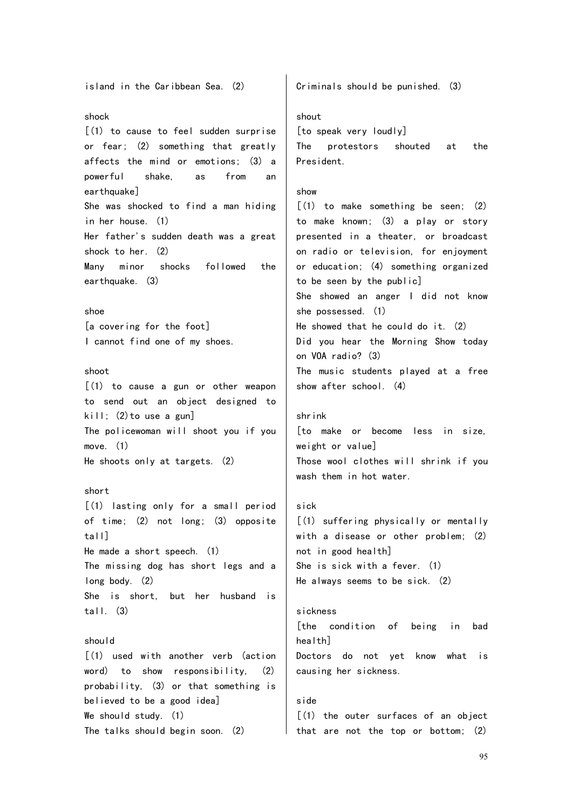island in the Caribbean Sea. (2) shock [(1) to cause to feel sudden surprise or fear; (2) something that greatly affects the mind or emotions; (3) a powerful shake, as from an earthquake] She was shocked to find a man hiding in her house. (1) Her father's sudden death was a great shock to her. (2) Many minor shocks followed the earthquake. (3) shoe [a covering for the foot] I cannot find one of my shoes. shoot  $[(1)$  to cause a gun or other weapon to send out an object designed to kill; (2)to use a gun] The policewoman will shoot you if you move. (1) He shoots only at targets. (2) short [(1) lasting only for a small period of time; (2) not long; (3) opposite tall] He made a short speech. (1) The missing dog has short legs and a long body. (2) She is short, but her husband is tall.  $(3)$ should [(1) used with another verb (action word) to show responsibility, (2) probability, (3) or that something is believed to be a good idea] We should study. (1) Criminals should be punished. (3) shout [to speak very loudly] The protestors shouted at the President. show  $(1)$  to make something be seen;  $(2)$ to make known; (3) a play or story presented in a theater, or broadcast on radio or television, for enjoyment or education; (4) something organized to be seen by the public] She showed an anger I did not know she possessed. (1) He showed that he could do it. (2) Did you hear the Morning Show today on VOA radio? (3) The music students played at a free show after school. (4) shrink [to make or become less in size, weight or value] Those wool clothes will shrink if you wash them in hot water. sick [(1) suffering physically or mentally with a disease or other problem; (2) not in good health] She is sick with a fever. (1) He always seems to be sick. (2) sickness [the condition of being in bad health] Doctors do not yet know what is causing her sickness. side [(1) the outer surfaces of an object

The talks should begin soon. (2)

that are not the top or bottom; (2)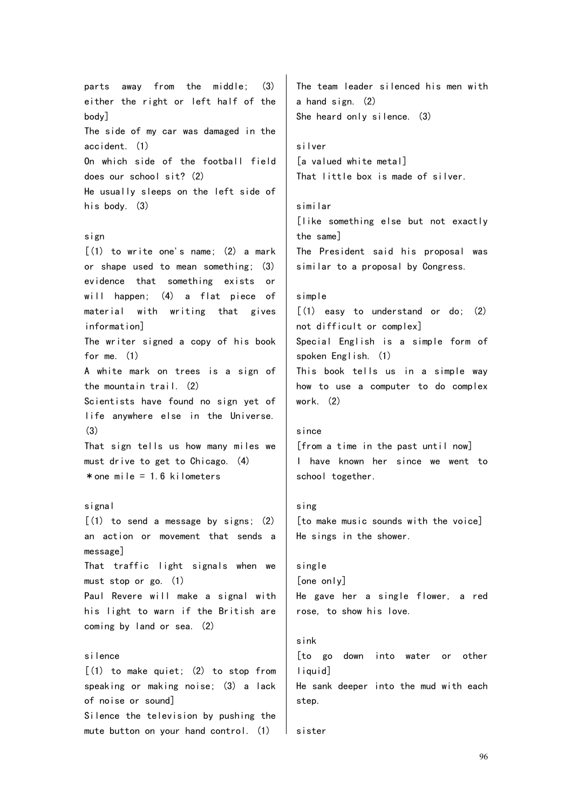parts away from the middle; (3) either the right or left half of the body] The side of my car was damaged in the accident. (1) On which side of the football field does our school sit? (2) He usually sleeps on the left side of his body. (3) sign  $[(1)$  to write one's name;  $(2)$  a mark or shape used to mean something; (3) evidence that something exists or will happen; (4) a flat piece of material with writing that gives information] The writer signed a copy of his book for me. (1) A white mark on trees is a sign of the mountain trail. (2) Scientists have found no sign yet of life anywhere else in the Universe. (3) That sign tells us how many miles we must drive to get to Chicago. (4)  $*$  one mile = 1.6 kilometers signal  $(1)$  to send a message by signs;  $(2)$ an action or movement that sends a message] That traffic light signals when we must stop or go. (1) Paul Revere will make a signal with his light to warn if the British are coming by land or sea. (2) silence [(1) to make quiet; (2) to stop from speaking or making noise; (3) a lack of noise or sound] Silence the television by pushing the mute button on your hand control. (1) The team leader silenced his men with a hand sign. (2) She heard only silence. (3) silver [a valued white metal] That little box is made of silver. similar [like something else but not exactly the same] The President said his proposal was similar to a proposal by Congress. simple  $\lceil$ (1) easy to understand or do: (2) not difficult or complex] Special English is a simple form of spoken English. (1) This book tells us in a simple way how to use a computer to do complex work. (2) since [from a time in the past until now] I have known her since we went to school together. sing [to make music sounds with the voice] He sings in the shower. single [one only] He gave her a single flower, a red rose, to show his love. sink [to go down into water or other liquid] He sank deeper into the mud with each step. sister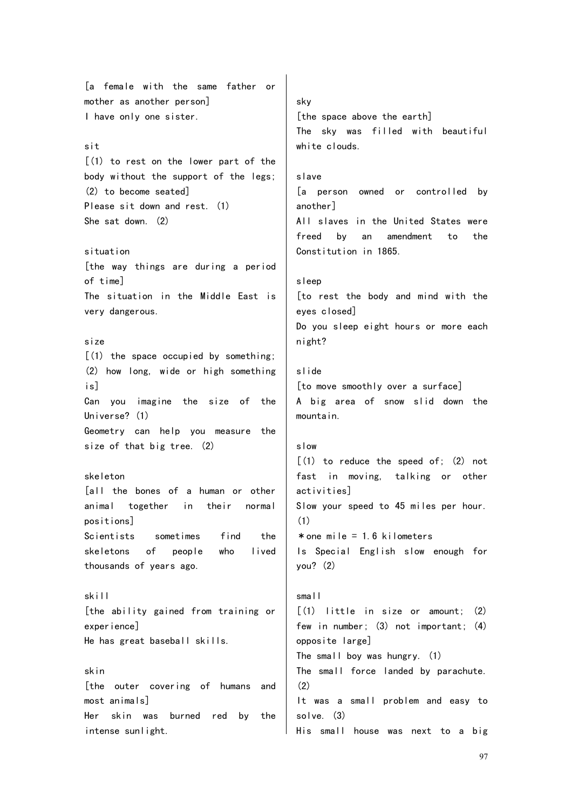[a female with the same father or mother as another person] I have only one sister. sit [(1) to rest on the lower part of the body without the support of the legs; (2) to become seated] Please sit down and rest. (1) She sat down. (2) situation [the way things are during a period of time] The situation in the Middle East is very dangerous. size  $(1)$  the space occupied by something; (2) how long, wide or high something is] Can you imagine the size of the Universe? (1) Geometry can help you measure the size of that big tree. (2) skeleton [all the bones of a human or other animal together in their normal positions] Scientists sometimes find the skeletons of people who lived thousands of years ago. skill [the ability gained from training or experience] He has great baseball skills. skin [the outer covering of humans and most animals] Her skin was burned red by the intense sunlight. sky [the space above the earth] The sky was filled with beautiful white clouds. slave [a person owned or controlled by another] All slaves in the United States were freed by an amendment to the Constitution in 1865. sleep [to rest the body and mind with the eyes closed] Do you sleep eight hours or more each night? slide [to move smoothly over a surface] A big area of snow slid down the mountain. slow  $[(1)$  to reduce the speed of;  $(2)$  not fast in moving, talking or other activities] Slow your speed to 45 miles per hour. (1)  $*$  one mile  $= 1.6$  kilometers Is Special English slow enough for you? (2) small [(1) little in size or amount; (2) few in number; (3) not important; (4) opposite large] The small boy was hungry. (1) The small force landed by parachute. (2) It was a small problem and easy to solve. (3) His small house was next to a big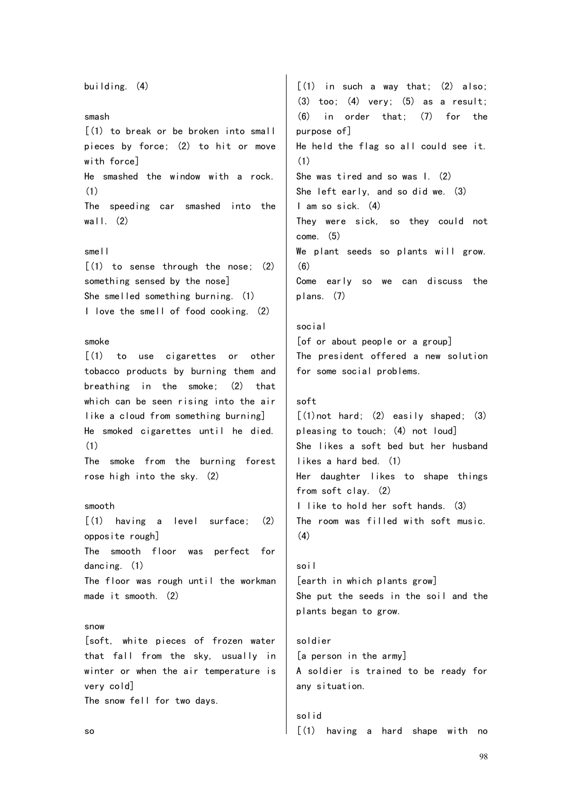building. (4) smash [(1) to break or be broken into small pieces by force; (2) to hit or move with force] He smashed the window with a rock. (1) The speeding car smashed into the wall.  $(2)$ smell  $\lceil$  (1) to sense through the nose; (2) something sensed by the nose] She smelled something burning. (1) I love the smell of food cooking. (2) smoke [(1) to use cigarettes or other tobacco products by burning them and breathing in the smoke; (2) that which can be seen rising into the air like a cloud from something burning] He smoked cigarettes until he died. (1) The smoke from the burning forest rose high into the sky. (2) smooth [(1) having a level surface; (2) opposite rough] The smooth floor was perfect for dancing. (1) The floor was rough until the workman made it smooth. (2) snow [soft, white pieces of frozen water that fall from the sky, usually in winter or when the air temperature is very cold] The snow fell for two days. so  $[(1)$  in such a way that;  $(2)$  also;  $(3)$  too;  $(4)$  very;  $(5)$  as a result; (6) in order that; (7) for the purpose of] He held the flag so all could see it. (1) She was tired and so was I. (2) She left early, and so did we. (3) I am so sick. (4) They were sick, so they could not come. (5) We plant seeds so plants will grow. (6) Come early so we can discuss the plans. (7) social [of or about people or a group] The president offered a new solution for some social problems. soft  $\lceil$  (1) not hard; (2) easily shaped; (3) pleasing to touch; (4) not loud] She likes a soft bed but her husband likes a hard bed. (1) Her daughter likes to shape things from soft clay. (2) I like to hold her soft hands. (3) The room was filled with soft music. (4) soil [earth in which plants grow] She put the seeds in the soil and the plants began to grow. soldier [a person in the army] A soldier is trained to be ready for any situation. solid [(1) having a hard shape with no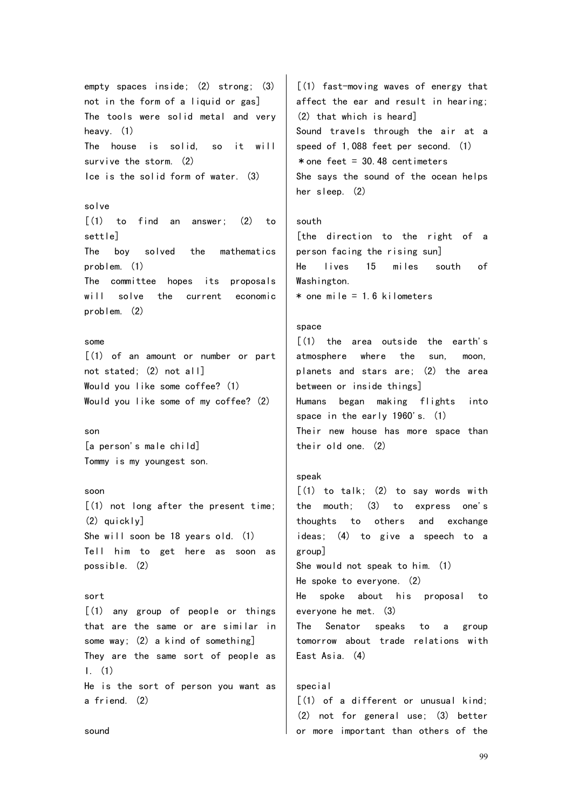empty spaces inside; (2) strong; (3) not in the form of a liquid or gas] The tools were solid metal and very heavy. (1) The house is solid, so it will survive the storm. (2) Ice is the solid form of water. (3)

solve  $\lceil$ (1) to find an answer; (2) to settle] The boy solved the mathematics problem. (1) The committee hopes its proposals will solve the current economic problem. (2)

## some

 $(1)$  of an amount or number or part not stated; (2) not all] Would you like some coffee? (1) Would you like some of my coffee? (2)

son [a person's male child] Tommy is my youngest son.

## soon

[(1) not long after the present time; (2) quickly] She will soon be 18 years old. (1) Tell him to get here as soon as possible. (2)

#### sort

[(1) any group of people or things that are the same or are similar in some way; (2) a kind of something] They are the same sort of people as I. (1) He is the sort of person you want as a friend. (2)

[(1) fast-moving waves of energy that affect the ear and result in hearing; (2) that which is heard] Sound travels through the air at a speed of 1,088 feet per second. (1)  $*$  one feet = 30.48 centimeters She says the sound of the ocean helps her sleep. (2)

## south

[the direction to the right of a person facing the rising sun] He lives 15 miles south of Washington.  $*$  one mile = 1.6 kilometers

## space

 $(1)$  the area outside the earth's atmosphere where the sun, moon, planets and stars are; (2) the area between or inside things] Humans began making flights into space in the early 1960's. (1) Their new house has more space than their old one. (2)

## speak

 $\lceil$ (1) to talk; (2) to say words with the mouth; (3) to express one's thoughts to others and exchange ideas; (4) to give a speech to a group] She would not speak to him. (1) He spoke to everyone. (2) He spoke about his proposal to everyone he met. (3) The Senator speaks to a group tomorrow about trade relations with East Asia. (4) special

 $(1)$  of a different or unusual kind: (2) not for general use; (3) better or more important than others of the

sound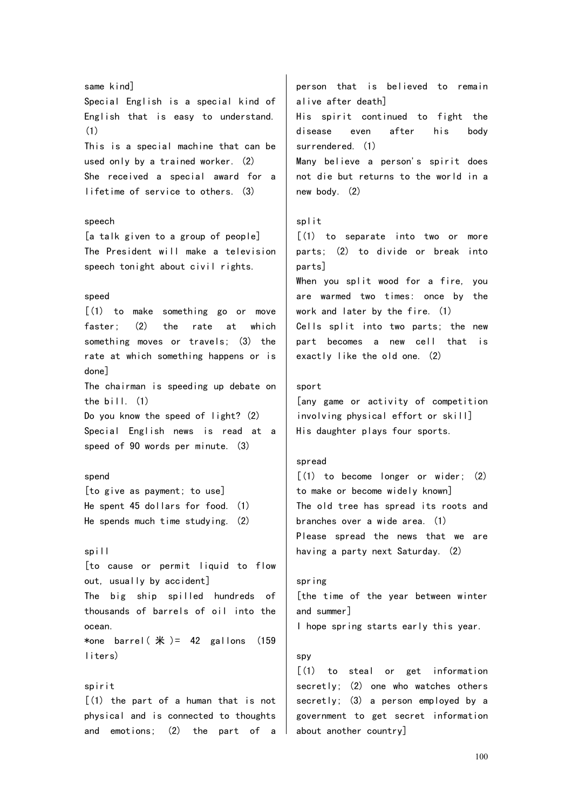same kind] Special English is a special kind of English that is easy to understand. (1) This is a special machine that can be used only by a trained worker. (2) She received a special award for a lifetime of service to others. (3) speech [a talk given to a group of people] The President will make a television speech tonight about civil rights. speed [(1) to make something go or move faster; (2) the rate at which something moves or travels; (3) the rate at which something happens or is done] The chairman is speeding up debate on the bill. (1) Do you know the speed of light? (2) Special English news is read at a speed of 90 words per minute. (3) spend [to give as payment; to use] He spent 45 dollars for food. (1) He spends much time studying. (2) spill [to cause or permit liquid to flow out, usually by accident] The big ship spilled hundreds of thousands of barrels of oil into the ocean. \*one barrel( $\#$ )= 42 gallons (159 liters) spirit  $(1)$  the part of a human that is not physical and is connected to thoughts and emotions; (2) the part of a person that is believed to remain alive after death] His spirit continued to fight the disease even after his body surrendered. (1) Many believe a person's spirit does not die but returns to the world in a new body. (2) split [(1) to separate into two or more parts; (2) to divide or break into parts] When you split wood for a fire, you are warmed two times: once by the work and later by the fire. (1) Cells split into two parts; the new part becomes a new cell that is exactly like the old one. (2) sport [any game or activity of competition involving physical effort or skill] His daughter plays four sports. spread [(1) to become longer or wider; (2) to make or become widely known] The old tree has spread its roots and branches over a wide area. (1) Please spread the news that we are having a party next Saturday. (2) spring [the time of the year between winter and summer] I hope spring starts early this year. spy [(1) to steal or get information secretly; (2) one who watches others secretly; (3) a person employed by a government to get secret information about another country]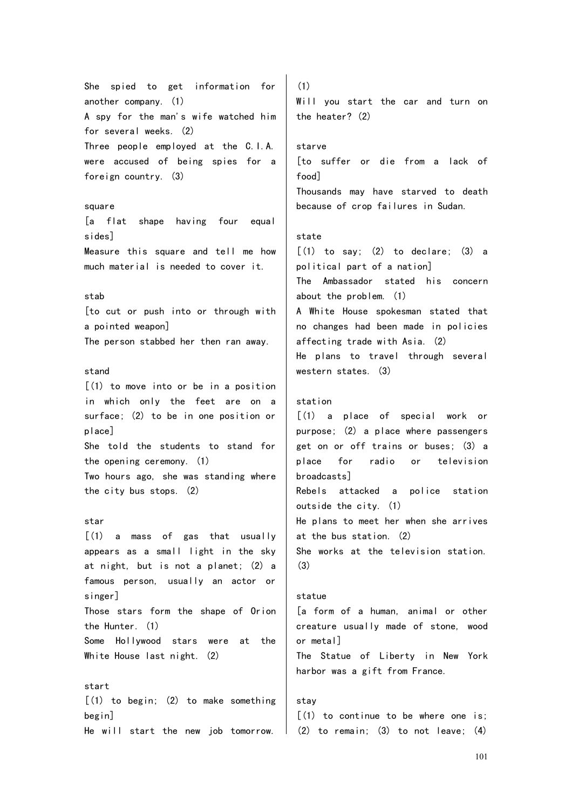She spied to get information for another company. (1) A spy for the man's wife watched him for several weeks. (2) Three people employed at the C.I.A. were accused of being spies for a foreign country. (3) square [a flat shape having four equal sides] Measure this square and tell me how much material is needed to cover it.

## stab

[to cut or push into or through with a pointed weapon] The person stabbed her then ran away.

## stand

 $(1)$  to move into or be in a position in which only the feet are on a surface; (2) to be in one position or place] She told the students to stand for the opening ceremony. (1) Two hours ago, she was standing where

the city bus stops. (2)

## star

start

 $\left[ (1)$  a mass of gas that usually appears as a small light in the sky at night, but is not a planet; (2) a famous person, usually an actor or singer] Those stars form the shape of Orion the Hunter. (1) Some Hollywood stars were at the White House last night. (2)

 $(1)$  to begin;  $(2)$  to make something begin] He will start the new job tomorrow.

(1) Will you start the car and turn on the heater? (2)

## starve

[to suffer or die from a lack of food] Thousands may have starved to death because of crop failures in Sudan.

## state

 $[(1)$  to say;  $(2)$  to declare;  $(3)$  a political part of a nation] The Ambassador stated his concern about the problem. (1) A White House spokesman stated that no changes had been made in policies affecting trade with Asia. (2) He plans to travel through several western states. (3)

#### station

[(1) a place of special work or purpose; (2) a place where passengers get on or off trains or buses; (3) a place for radio or television broadcasts] Rebels attacked a police station outside the city. (1) He plans to meet her when she arrives at the bus station. (2) She works at the television station. (3)

## statue

[a form of a human, animal or other creature usually made of stone, wood or metal] The Statue of Liberty in New York harbor was a gift from France.

## stay

[(1) to continue to be where one is; (2) to remain; (3) to not leave; (4)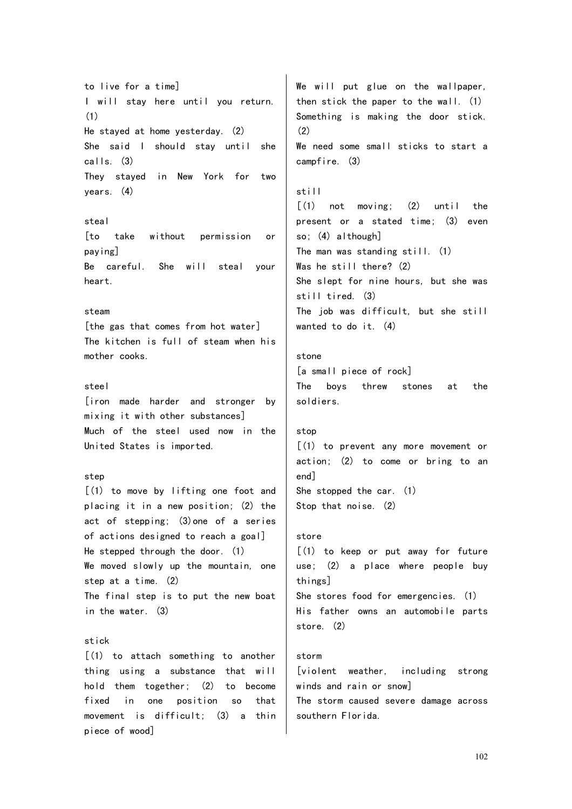to live for a time] I will stay here until you return. (1) He stayed at home yesterday. (2) She said I should stay until she calls. (3) They stayed in New York for two years. (4) steal [to take without permission or paying] Be careful. She will steal your heart. steam [the gas that comes from hot water] The kitchen is full of steam when his mother cooks. steel [iron made harder and stronger by mixing it with other substances] Much of the steel used now in the United States is imported. step [(1) to move by lifting one foot and placing it in a new position; (2) the act of stepping; (3)one of a series of actions designed to reach a goal] He stepped through the door. (1) We moved slowly up the mountain, one step at a time. (2) The final step is to put the new boat in the water. (3) stick [(1) to attach something to another thing using a substance that will hold them together; (2) to become fixed in one position so that movement is difficult; (3) a thin piece of wood] We will put glue on the wallpaper, then stick the paper to the wall. (1) Something is making the door stick. (2) We need some small sticks to start a campfire. (3) still [(1) not moving; (2) until the present or a stated time; (3) even so; (4) although] The man was standing still. (1) Was he still there? (2) She slept for nine hours, but she was still tired. (3) The job was difficult, but she still wanted to do it. (4) stone [a small piece of rock] The boys threw stones at the soldiers. stop [(1) to prevent any more movement or action; (2) to come or bring to an end] She stopped the car. (1) Stop that noise. (2) store [(1) to keep or put away for future use; (2) a place where people buy things] She stores food for emergencies. (1) His father owns an automobile parts store. (2) storm [violent weather, including strong winds and rain or snow] The storm caused severe damage across southern Florida.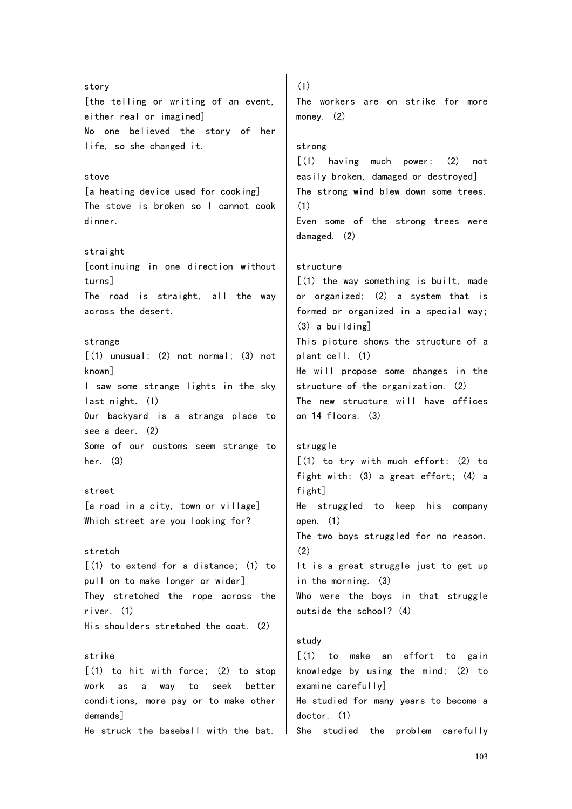story [the telling or writing of an event, either real or imagined] No one believed the story of her life, so she changed it. stove [a heating device used for cooking] The stove is broken so I cannot cook dinner. straight [continuing in one direction without turns] The road is straight, all the way across the desert. strange  $[(1)$  unusual;  $(2)$  not normal;  $(3)$  not known] I saw some strange lights in the sky last night. (1) Our backyard is a strange place to see a deer. (2) Some of our customs seem strange to her. (3) street [a road in a city, town or village] Which street are you looking for? stretch  $(1)$  to extend for a distance:  $(1)$  to pull on to make longer or wider] They stretched the rope across the river. (1) His shoulders stretched the coat. (2) strike  $[(1)$  to hit with force;  $(2)$  to stop work as a way to seek better conditions, more pay or to make other demands] He struck the baseball with the bat. (1) The workers are on strike for more money. (2) strong [(1) having much power; (2) not easily broken, damaged or destroyed] The strong wind blew down some trees. (1) Even some of the strong trees were damaged. (2) structure  $(1)$  the way something is built, made or organized; (2) a system that is formed or organized in a special way; (3) a building] This picture shows the structure of a plant cell. (1) He will propose some changes in the structure of the organization. (2) The new structure will have offices on 14 floors. (3) struggle  $(1)$  to try with much effort;  $(2)$  to fight with; (3) a great effort; (4) a fight] He struggled to keep his company open. (1) The two boys struggled for no reason. (2) It is a great struggle just to get up in the morning. (3) Who were the boys in that struggle outside the school? (4) study  $\lceil$ (1) to make an effort to gain knowledge by using the mind; (2) to examine carefully] He studied for many years to become a doctor. (1) She studied the problem carefully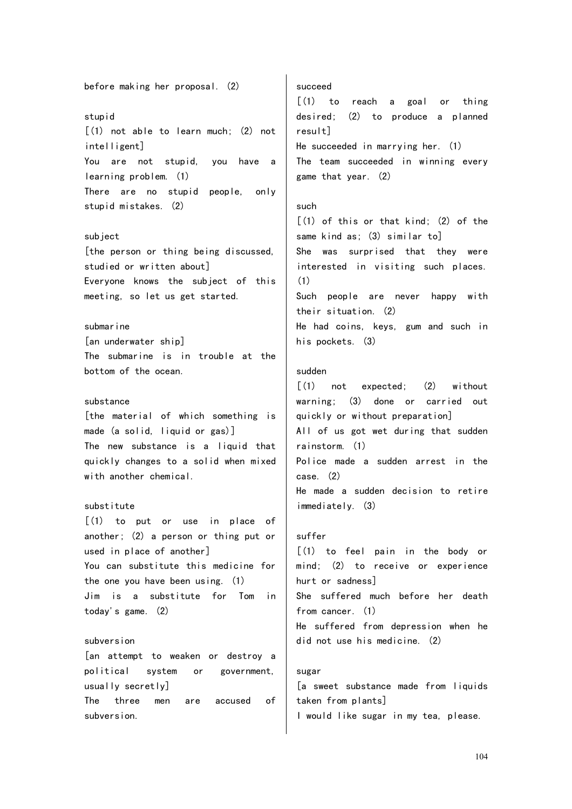# before making her proposal. (2) stupid [(1) not able to learn much; (2) not intelligent] You are not stupid, you have a learning problem. (1) There are no stupid people, only stupid mistakes. (2)

#### subject

[the person or thing being discussed, studied or written about] Everyone knows the subject of this meeting, so let us get started.

submarine [an underwater ship] The submarine is in trouble at the bottom of the ocean.

#### substance

[the material of which something is made (a solid, liquid or gas)] The new substance is a liquid that quickly changes to a solid when mixed with another chemical.

## substitute

[(1) to put or use in place of another; (2) a person or thing put or used in place of another] You can substitute this medicine for the one you have been using. (1) Jim is a substitute for Tom in today's game. (2)

#### subversion

[an attempt to weaken or destroy a political system or government, usually secretly]

The three men are accused of subversion.

## succeed

[(1) to reach a goal or thing desired; (2) to produce a planned result] He succeeded in marrying her. (1) The team succeeded in winning every game that year. (2)

## such

 $(1)$  of this or that kind;  $(2)$  of the same kind as; (3) similar to] She was surprised that they were interested in visiting such places. (1) Such people are never happy with their situation. (2)

He had coins, keys, gum and such in his pockets. (3)

## sudden

[(1) not expected; (2) without warning; (3) done or carried out quickly or without preparation] All of us got wet during that sudden rainstorm. (1) Police made a sudden arrest in the case. (2) He made a sudden decision to retire immediately. (3)

## suffer

[(1) to feel pain in the body or mind; (2) to receive or experience hurt or sadness] She suffered much before her death from cancer. (1) He suffered from depression when he did not use his medicine. (2)

## sugar

[a sweet substance made from liquids taken from plants] I would like sugar in my tea, please.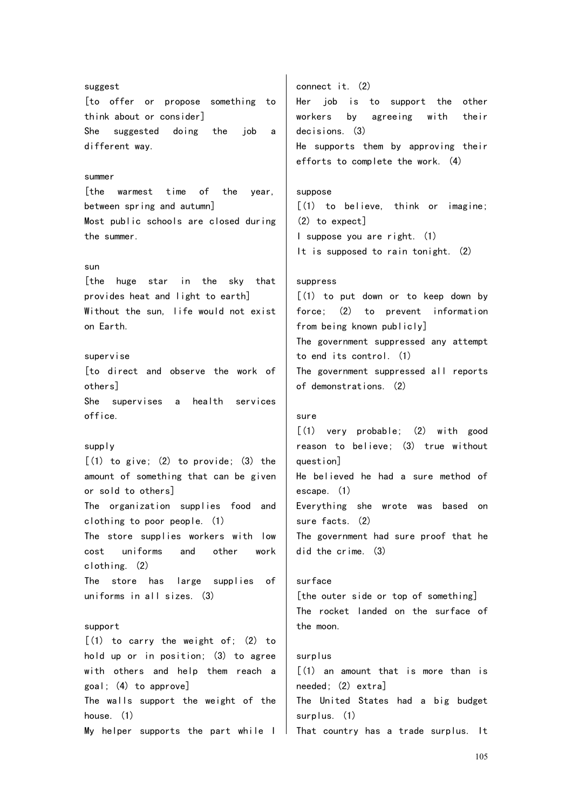suggest [to offer or propose something to think about or consider] She suggested doing the job a different way. summer [the warmest time of the year, between spring and autumn] Most public schools are closed during the summer. sun [the huge star in the sky that provides heat and light to earth] Without the sun, life would not exist on Earth. supervise [to direct and observe the work of others] She supervises a health services office. supply  $[(1)$  to give;  $(2)$  to provide;  $(3)$  the amount of something that can be given or sold to others] The organization supplies food and clothing to poor people. (1) The store supplies workers with low cost uniforms and other work clothing. (2) The store has large supplies of uniforms in all sizes. (3) support  $[(1)$  to carry the weight of;  $(2)$  to hold up or in position; (3) to agree with others and help them reach a goal; (4) to approve] The walls support the weight of the house. (1) My helper supports the part while I That country has a trade surplus. It connect it. (2) Her job is to support the other workers by agreeing with their decisions. (3) He supports them by approving their efforts to complete the work. (4) suppose [(1) to believe, think or imagine; (2) to expect] I suppose you are right. (1) It is supposed to rain tonight. (2) suppress [(1) to put down or to keep down by force; (2) to prevent information from being known publicly] The government suppressed any attempt to end its control. (1) The government suppressed all reports of demonstrations. (2) sure [(1) very probable; (2) with good reason to believe; (3) true without question] He believed he had a sure method of escape. (1) Everything she wrote was based on sure facts. (2) The government had sure proof that he did the crime. (3) surface [the outer side or top of something] The rocket landed on the surface of the moon. surplus [(1) an amount that is more than is needed; (2) extra] The United States had a big budget surplus. (1)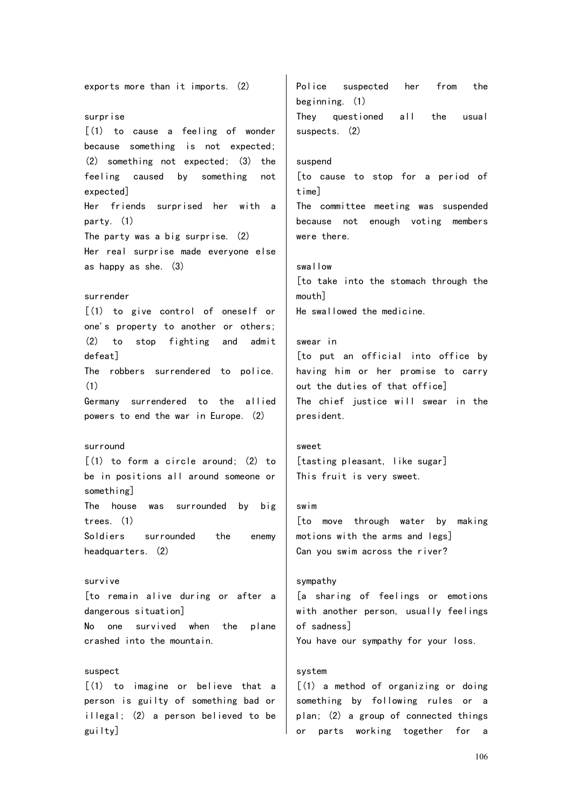exports more than it imports. (2) surprise [(1) to cause a feeling of wonder because something is not expected; (2) something not expected; (3) the feeling caused by something not expected] Her friends surprised her with a party. (1) The party was a big surprise. (2) Her real surprise made everyone else as happy as she. (3) surrender [(1) to give control of oneself or one's property to another or others; (2) to stop fighting and admit defeat] The robbers surrendered to police. (1) Germany surrendered to the allied powers to end the war in Europe. (2) surround  $\lceil$  (1) to form a circle around: (2) to be in positions all around someone or something] The house was surrounded by big trees. (1) Soldiers surrounded the enemy headquarters. (2) survive [to remain alive during or after a dangerous situation] No one survived when the plane crashed into the mountain. suspect [(1) to imagine or believe that a person is guilty of something bad or illegal; (2) a person believed to be guilty] Police suspected her from the beginning. (1) They questioned all the usual suspects. (2) suspend [to cause to stop for a period of time] The committee meeting was suspended because not enough voting members were there. swallow [to take into the stomach through the mouth] He swallowed the medicine. swear in [to put an official into office by having him or her promise to carry out the duties of that office] The chief justice will swear in the president. sweet [tasting pleasant, like sugar] This fruit is very sweet. swim [to move through water by making motions with the arms and legs] Can you swim across the river? sympathy [a sharing of feelings or emotions with another person, usually feelings of sadness] You have our sympathy for your loss. system [(1) a method of organizing or doing something by following rules or a plan; (2) a group of connected things or parts working together for a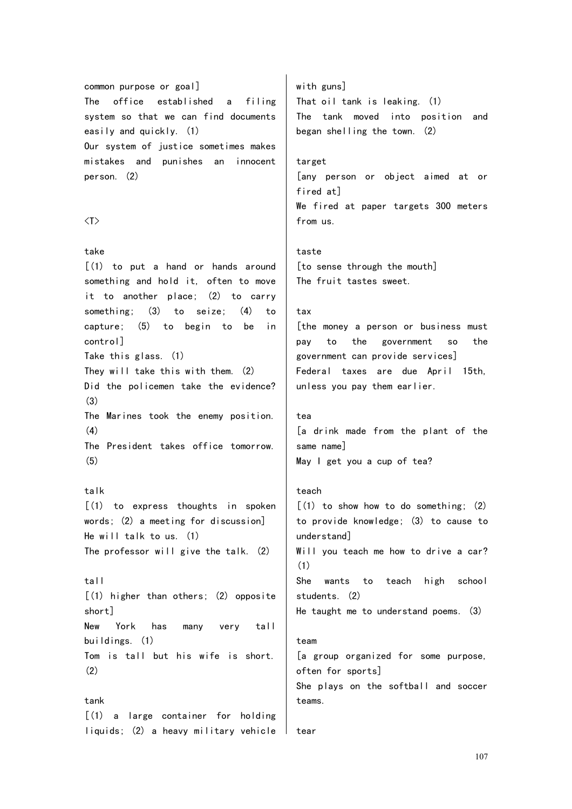common purpose or goal] The office established a filing system so that we can find documents easily and quickly. (1) Our system of justice sometimes makes mistakes and punishes an innocent person. (2)

#### $\langle T \rangle$

## take

 $\lceil$  (1) to put a hand or hands around something and hold it, often to move it to another place; (2) to carry something; (3) to seize; (4) to capture; (5) to begin to be in control] Take this glass. (1) They will take this with them. (2) Did the policemen take the evidence? (3) The Marines took the enemy position. (4) The President takes office tomorrow. (5)

## talk

[(1) to express thoughts in spoken words; (2) a meeting for discussion] He will talk to us. (1) The professor will give the talk. (2)

tall

[(1) higher than others; (2) opposite short] New York has many very tall buildings. (1)

Tom is tall but his wife is short. (2)

tank [(1) a large container for holding liquids; (2) a heavy military vehicle with guns] That oil tank is leaking. (1) The tank moved into position and began shelling the town. (2)

## target

[any person or object aimed at or fired at] We fired at paper targets 300 meters from us.

taste [to sense through the mouth] The fruit tastes sweet.

## tax

[the money a person or business must pay to the government so the government can provide services] Federal taxes are due April 15th, unless you pay them earlier.

```
tea
```
[a drink made from the plant of the same name] May I get you a cup of tea?

## teach

 $(1)$  to show how to do something;  $(2)$ to provide knowledge; (3) to cause to understand] Will you teach me how to drive a car? (1) She wants to teach high school students. (2) He taught me to understand poems. (3) team [a group organized for some purpose, often for sports]

She plays on the softball and soccer teams.

```
tear
```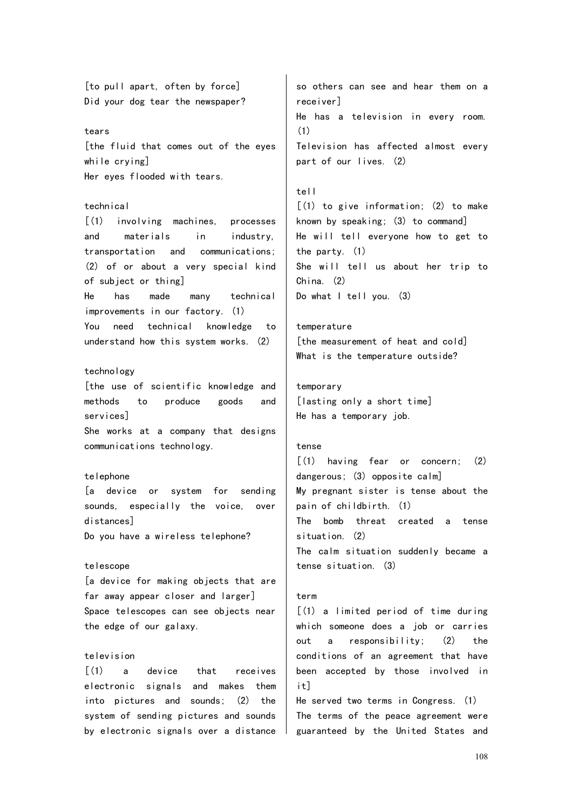[to pull apart, often by force] Did your dog tear the newspaper?

#### tears

[the fluid that comes out of the eyes while crying] Her eyes flooded with tears.

## technical

[(1) involving machines, processes and materials in industry, transportation and communications; (2) of or about a very special kind of subject or thing] He has made many technical improvements in our factory. (1)

You need technical knowledge to understand how this system works. (2)

#### technology

[the use of scientific knowledge and methods to produce goods and services] She works at a company that designs communications technology.

#### telephone

[a device or system for sending sounds, especially the voice, over distances] Do you have a wireless telephone?

#### telescope

[a device for making objects that are far away appear closer and larger] Space telescopes can see objects near the edge of our galaxy.

## television

[(1) a device that receives electronic signals and makes them into pictures and sounds; (2) the system of sending pictures and sounds by electronic signals over a distance

so others can see and hear them on a receiver] He has a television in every room. (1) Television has affected almost every part of our lives. (2)

## tell

 $(1)$  to give information;  $(2)$  to make known by speaking; (3) to command] He will tell everyone how to get to the party. (1) She will tell us about her trip to China. (2) Do what I tell you. (3)

#### temperature

[the measurement of heat and cold] What is the temperature outside?

## temporary

[lasting only a short time] He has a temporary job.

## tense

[(1) having fear or concern; (2) dangerous; (3) opposite calm] My pregnant sister is tense about the pain of childbirth. (1) The bomb threat created a tense situation. (2) The calm situation suddenly became a tense situation. (3)

#### term

[(1) a limited period of time during which someone does a job or carries out a responsibility; (2) the conditions of an agreement that have been accepted by those involved in it]

He served two terms in Congress. (1) The terms of the peace agreement were guaranteed by the United States and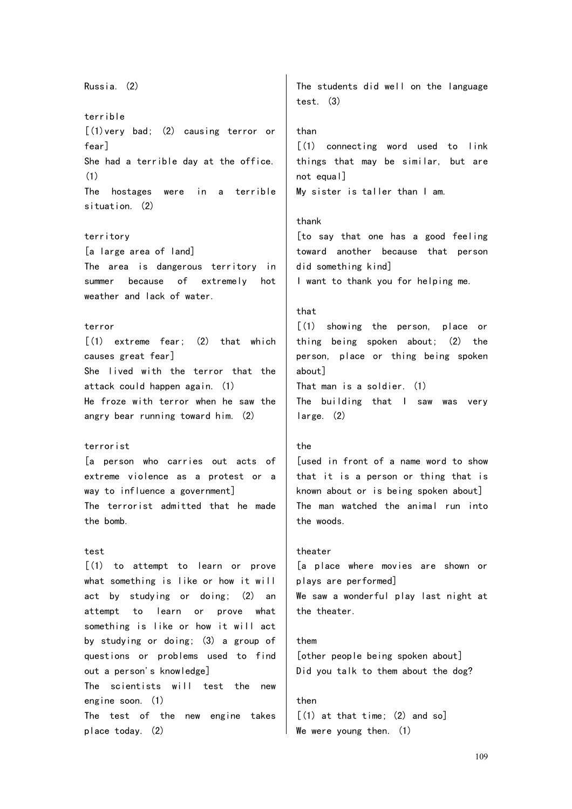Russia. (2) terrible [(1)very bad; (2) causing terror or fear] She had a terrible day at the office. (1) The hostages were in a terrible situation. (2) territory [a large area of land] The area is dangerous territory in summer because of extremely hot weather and lack of water. terror  $(1)$  extreme fear;  $(2)$  that which causes great fear] She lived with the terror that the attack could happen again. (1) He froze with terror when he saw the angry bear running toward him. (2) terrorist [a person who carries out acts of extreme violence as a protest or a way to influence a government] The terrorist admitted that he made the bomb. test [(1) to attempt to learn or prove what something is like or how it will act by studying or doing; (2) an attempt to learn or prove what something is like or how it will act by studying or doing; (3) a group of questions or problems used to find out a person's knowledge] The scientists will test the new engine soon. (1) The test of the new engine takes place today. (2) The students did well on the language test. (3) than [(1) connecting word used to link things that may be similar, but are not equal] My sister is taller than I am. thank [to say that one has a good feeling toward another because that person did something kind] I want to thank you for helping me. that [(1) showing the person, place or thing being spoken about; (2) the person, place or thing being spoken about] That man is a soldier. (1) The building that I saw was very large. (2) the [used in front of a name word to show that it is a person or thing that is known about or is being spoken about] The man watched the animal run into the woods. theater [a place where movies are shown or plays are performed] We saw a wonderful play last night at the theater. them [other people being spoken about] Did you talk to them about the dog? then  $[(1)$  at that time;  $(2)$  and so] We were young then. (1)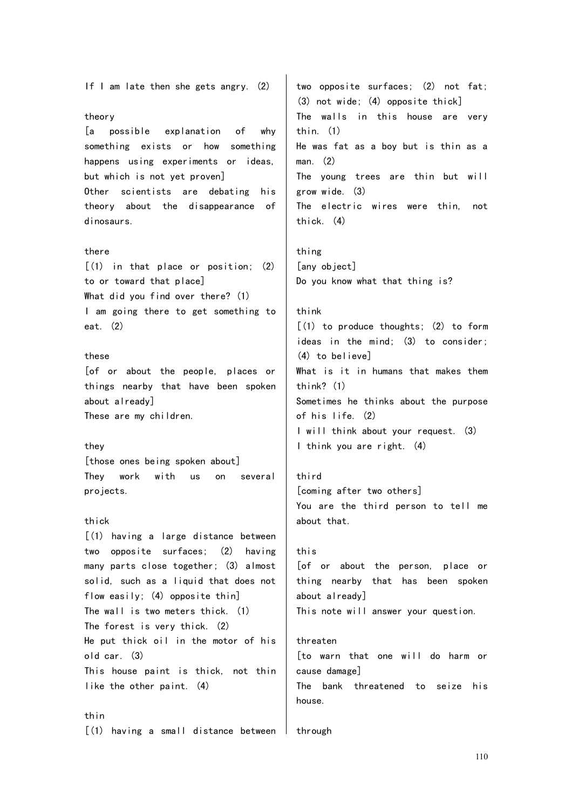If I am late then she gets angry. (2) theory [a possible explanation of why something exists or how something happens using experiments or ideas, but which is not yet proven] Other scientists are debating his theory about the disappearance of dinosaurs. there [(1) in that place or position; (2) to or toward that place] What did you find over there? (1) I am going there to get something to eat. (2) these [of or about the people, places or things nearby that have been spoken about already] These are my children. they [those ones being spoken about] They work with us on several projects. thick [(1) having a large distance between two opposite surfaces; (2) having many parts close together; (3) almost solid, such as a liquid that does not flow easily; (4) opposite thin] The wall is two meters thick. (1) The forest is very thick. (2) He put thick oil in the motor of his old car. (3) This house paint is thick, not thin like the other paint. (4) thin two opposite surfaces; (2) not fat; (3) not wide; (4) opposite thick] The walls in this house are very thin. (1) He was fat as a boy but is thin as a man. (2) The young trees are thin but will grow wide. (3) The electric wires were thin, not thick. (4) thing [any object] Do you know what that thing is? think [(1) to produce thoughts; (2) to form ideas in the mind; (3) to consider; (4) to believe] What is it in humans that makes them think? (1) Sometimes he thinks about the purpose of his life. (2) I will think about your request. (3) I think you are right. (4) third [coming after two others] You are the third person to tell me about that. this [of or about the person, place or thing nearby that has been spoken about already] This note will answer your question. threaten [to warn that one will do harm or cause damage] The bank threatened to seize his house. | through

# [(1) having a small distance between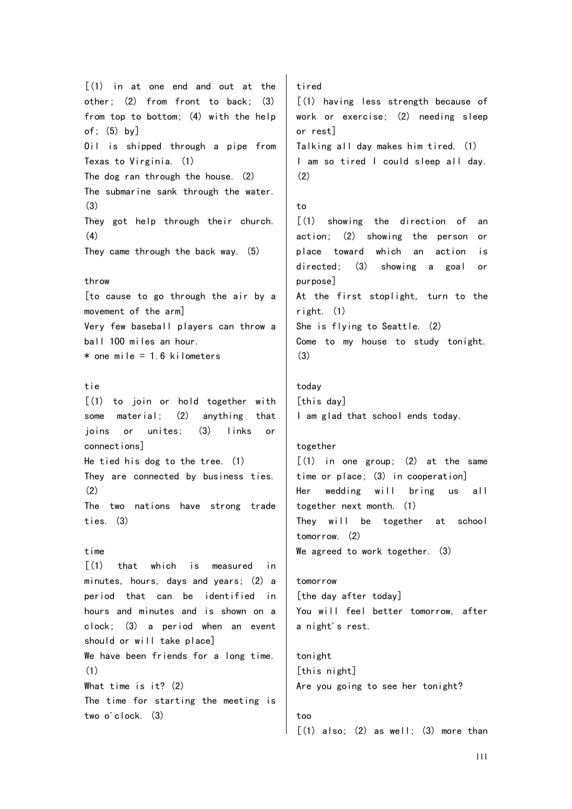$(1)$  in at one end and out at the other; (2) from front to back; (3) from top to bottom; (4) with the help of; (5) by] Oil is shipped through a pipe from Texas to Virginia. (1) The dog ran through the house. (2) The submarine sank through the water. (3) They got help through their church. (4) They came through the back way. (5) throw [to cause to go through the air by a movement of the arm] Very few baseball players can throw a ball 100 miles an hour.  $*$  one mile = 1.6 kilometers tie [(1) to join or hold together with some material; (2) anything that joins or unites; (3) links or connections] He tied his dog to the tree. (1) They are connected by business ties.  $(2)$ The two nations have strong trade ties. (3) time  $\lceil$ (1) that which is measured in minutes, hours, days and years; (2) a period that can be identified in hours and minutes and is shown on a clock; (3) a period when an event should or will take place] We have been friends for a long time. (1) What time is it? (2) The time for starting the meeting is two o'clock. (3) tired [(1) having less strength because of work or exercise; (2) needing sleep or rest] Talking all day makes him tired. (1) I am so tired I could sleep all day. (2) to  $\lceil$ (1) showing the direction of an action; (2) showing the person or place toward which an action is directed; (3) showing a goal or purpose] At the first stoplight, turn to the right. (1) She is flying to Seattle. (2) Come to my house to study tonight. (3) today [this day] I am glad that school ends today. together  $\lceil$ (1) in one group; (2) at the same time or place; (3) in cooperation] Her wedding will bring us all together next month. (1) They will be together at school tomorrow. (2) We agreed to work together. (3) tomorrow [the day after today] You will feel better tomorrow, after a night's rest. tonight [this night] Are you going to see her tonight? too

 $\lceil$  (1) also; (2) as well; (3) more than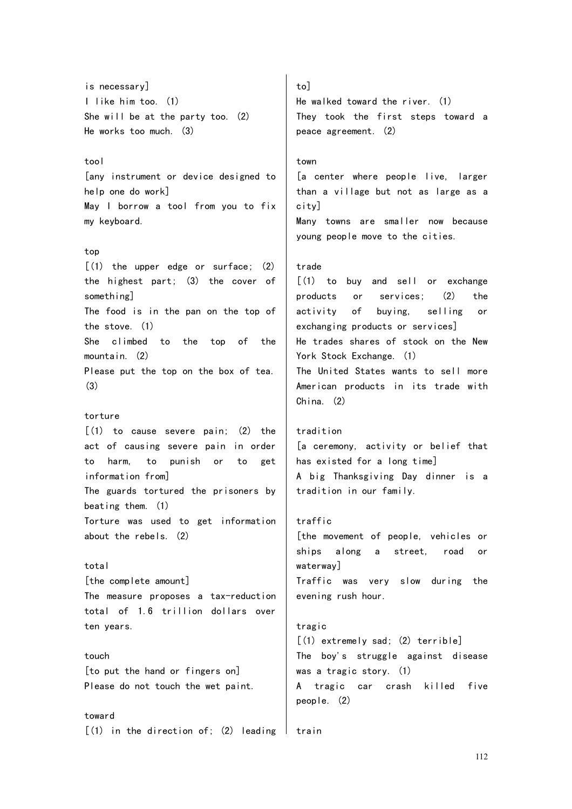is necessary] I like him too. (1) She will be at the party too. (2) He works too much. (3)

### tool

[any instrument or device designed to help one do work] May I borrow a tool from you to fix my keyboard.

# top

 $(1)$  the upper edge or surface;  $(2)$ the highest part; (3) the cover of something] The food is in the pan on the top of the stove. (1) She climbed to the top of the mountain. (2) Please put the top on the box of tea. (3)

### torture

 $(1)$  to cause severe pain;  $(2)$  the act of causing severe pain in order to harm, to punish or to get information from] The guards tortured the prisoners by beating them. (1) Torture was used to get information about the rebels. (2)

# total

[the complete amount] The measure proposes a tax-reduction total of 1.6 trillion dollars over ten years.

touch [to put the hand or fingers on] Please do not touch the wet paint.

### toward

 $[(1)$  in the direction of; (2) leading I train

to] He walked toward the river. (1) They took the first steps toward a peace agreement. (2)

# town

[a center where people live, larger than a village but not as large as a city] Many towns are smaller now because

young people move to the cities.

### trade

[(1) to buy and sell or exchange products or services; (2) the activity of buying, selling or exchanging products or services] He trades shares of stock on the New York Stock Exchange. (1) The United States wants to sell more American products in its trade with China. (2)

#### tradition

[a ceremony, activity or belief that has existed for a long time] A big Thanksgiving Day dinner is a tradition in our family.

# traffic

[the movement of people, vehicles or ships along a street, road or waterway] Traffic was very slow during the evening rush hour.

# tragic

[(1) extremely sad; (2) terrible] The boy's struggle against disease was a tragic story. (1) A tragic car crash killed five people. (2)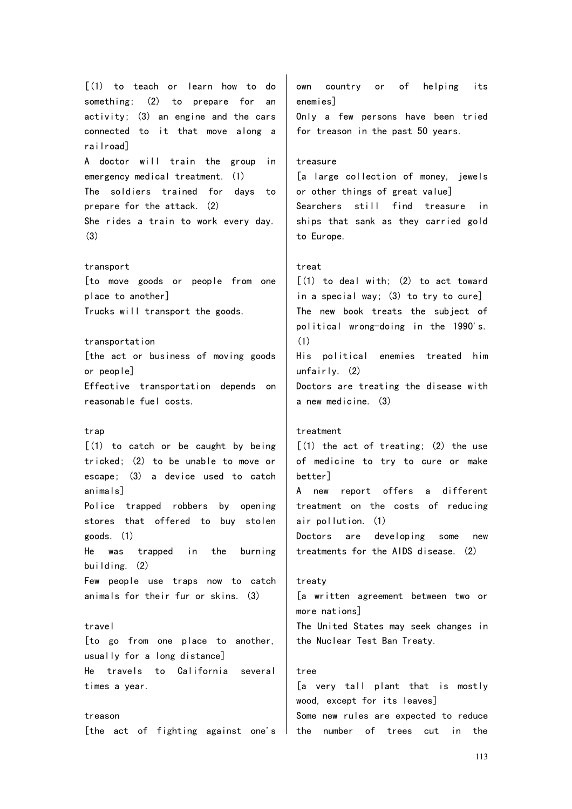[(1) to teach or learn how to do something; (2) to prepare for an activity; (3) an engine and the cars connected to it that move along a railroad] A doctor will train the group in emergency medical treatment. (1) The soldiers trained for days to prepare for the attack. (2) She rides a train to work every day. (3) transport [to move goods or people from one place to another] Trucks will transport the goods. transportation [the act or business of moving goods or people] Effective transportation depends on reasonable fuel costs. trap [(1) to catch or be caught by being tricked; (2) to be unable to move or escape; (3) a device used to catch animals] Police trapped robbers by opening stores that offered to buy stolen

goods. (1) He was trapped in the burning building. (2) Few people use traps now to catch animals for their fur or skins. (3)

# travel

[to go from one place to another, usually for a long distance] He travels to California several times a year.

treason [the act of fighting against one's own country or of helping its enemies] Only a few persons have been tried for treason in the past 50 years.

# treasure

[a large collection of money, jewels or other things of great value] Searchers still find treasure in ships that sank as they carried gold to Europe.

# treat

 $[(1)$  to deal with;  $(2)$  to act toward in a special way; (3) to try to cure] The new book treats the subject of political wrong-doing in the 1990's. (1) His political enemies treated him unfairly. (2) Doctors are treating the disease with

a new medicine. (3)

### treatment

 $(1)$  the act of treating;  $(2)$  the use of medicine to try to cure or make better] A new report offers a different

treatment on the costs of reducing air pollution. (1)

Doctors are developing some new treatments for the AIDS disease. (2)

### treaty

[a written agreement between two or more nations] The United States may seek changes in the Nuclear Test Ban Treaty.

### tree

[a very tall plant that is mostly wood, except for its leaves] Some new rules are expected to reduce the number of trees cut in the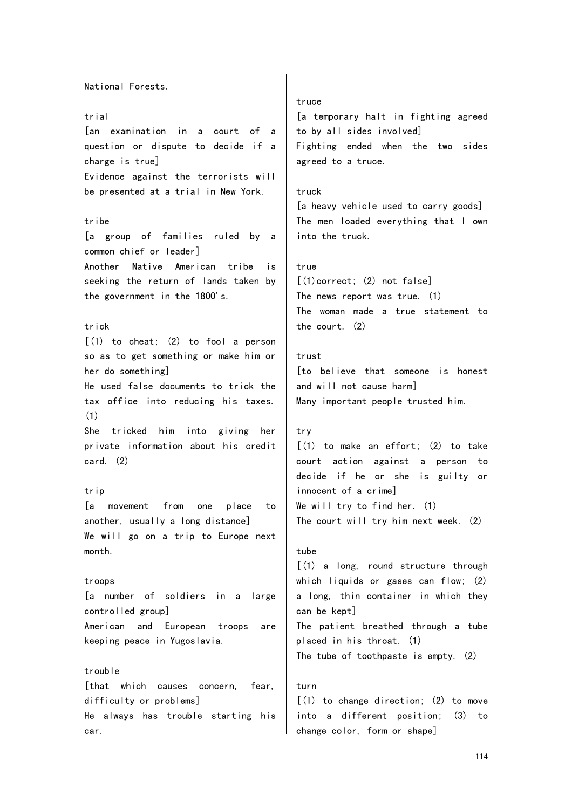National Forests. trial [an examination in a court of a question or dispute to decide if a charge is true] Evidence against the terrorists will be presented at a trial in New York. tribe [a group of families ruled by a common chief or leader] Another Native American tribe is seeking the return of lands taken by the government in the 1800's. trick [(1) to cheat; (2) to fool a person so as to get something or make him or her do something] He used false documents to trick the tax office into reducing his taxes. (1) She tricked him into giving her private information about his credit card. (2) trin [a movement from one place to another, usually a long distance] We will go on a trip to Europe next month. troops [a number of soldiers in a large controlled group] American and European troops are keeping peace in Yugoslavia. trouble [that which causes concern, fear, difficulty or problems] He always has trouble starting his car.

### truce

[a temporary halt in fighting agreed to by all sides involved] Fighting ended when the two sides agreed to a truce.

### truck

[a heavy vehicle used to carry goods] The men loaded everything that I own into the truck.

#### true

 $[(1)$ correct:  $(2)$  not false] The news report was true. (1) The woman made a true statement to the court. (2)

### trust

[to believe that someone is honest and will not cause harm] Many important people trusted him.

#### try

[(1) to make an effort; (2) to take court action against a person to decide if he or she is guilty or innocent of a crime] We will try to find her. (1) The court will try him next week. (2)

# tube

[(1) a long, round structure through which liquids or gases can flow; (2) a long, thin container in which they can be kept] The patient breathed through a tube placed in his throat. (1) The tube of toothpaste is empty. (2)

# turn

 $(1)$  to change direction:  $(2)$  to move into a different position; (3) to change color, form or shape]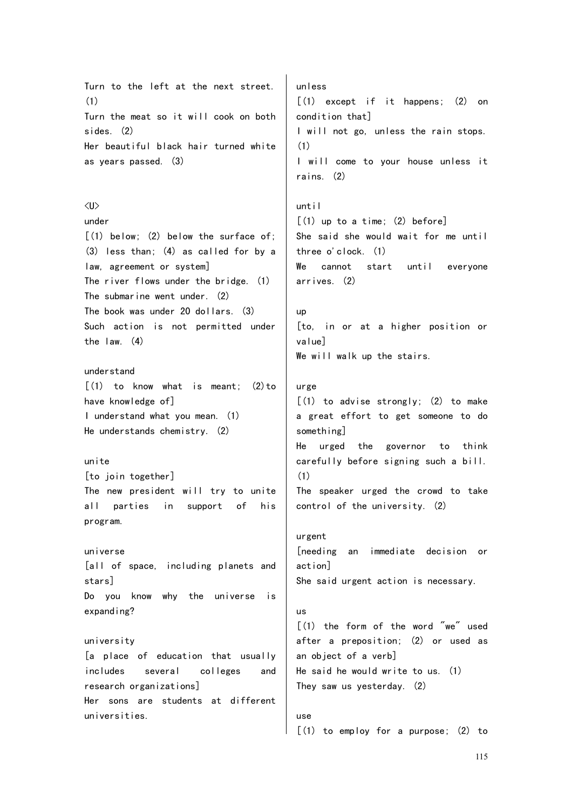Turn to the left at the next street. (1) Turn the meat so it will cook on both sides. (2) Her beautiful black hair turned white as years passed. (3) <U> under [(1) below; (2) below the surface of; (3) less than; (4) as called for by a law, agreement or system] The river flows under the bridge. (1) The submarine went under. (2) The book was under 20 dollars. (3) Such action is not permitted under the law. (4) understand  $\lceil$ (1) to know what is meant: (2) to have knowledge of] I understand what you mean. (1) He understands chemistry. (2) unite [to join together] The new president will try to unite all parties in support of his program. universe [all of space, including planets and stars] Do you know why the universe is expanding? university [a place of education that usually includes several colleges and research organizations] Her sons are students at different universities. unless [(1) except if it happens; (2) on condition that] I will not go, unless the rain stops. (1) I will come to your house unless it rains. (2) until [(1) up to a time; (2) before] She said she would wait for me until three o'clock. (1) We cannot start until everyone arrives. (2) up [to, in or at a higher position or value] We will walk up the stairs. urge  $[(1)$  to advise strongly;  $(2)$  to make a great effort to get someone to do something] He urged the governor to think carefully before signing such a bill. (1) The speaker urged the crowd to take control of the university. (2) urgent [needing an immediate decision or action] She said urgent action is necessary. us [(1) the form of the word "we" used after a preposition; (2) or used as an object of a verb] He said he would write to us. (1) They saw us yesterday. (2) use  $(1)$  to employ for a purpose;  $(2)$  to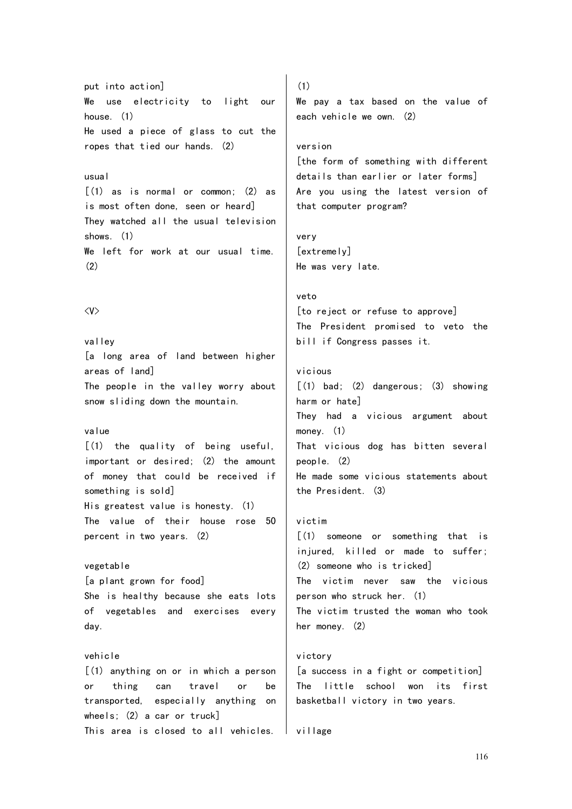put into action] We use electricity to light our house. (1) He used a piece of glass to cut the ropes that tied our hands. (2)

# usual

 $\lceil$  (1) as is normal or common: (2) as is most often done, seen or heard] They watched all the usual television shows. (1) We left for work at our usual time. (2)

### $\langle V \rangle$

valley [a long area of land between higher areas of land] The people in the valley worry about snow sliding down the mountain.

### value

[(1) the quality of being useful, important or desired; (2) the amount of money that could be received if something is sold] His greatest value is honesty. (1) The value of their house rose 50 percent in two years. (2)

# vegetable

[a plant grown for food] She is healthy because she eats lots of vegetables and exercises every day.

### vehicle

[(1) anything on or in which a person or thing can travel or be transported, especially anything on wheels; (2) a car or truck] This area is closed to all vehicles.

(1)

We pay a tax based on the value of each vehicle we own. (2)

#### version

[the form of something with different details than earlier or later forms] Are you using the latest version of that computer program?

# very [extremely] He was very late.

#### veto

[to reject or refuse to approve] The President promised to veto the bill if Congress passes it.

### vicious

 $[(1)$  bad;  $(2)$  dangerous;  $(3)$  showing harm or hate] They had a vicious argument about money. (1) That vicious dog has bitten several people. (2) He made some vicious statements about the President. (3)

# victim

[(1) someone or something that is injured, killed or made to suffer; (2) someone who is tricked] The victim never saw the vicious person who struck her. (1) The victim trusted the woman who took her money. (2)

# victory

[a success in a fight or competition] The little school won its first basketball victory in two years.

village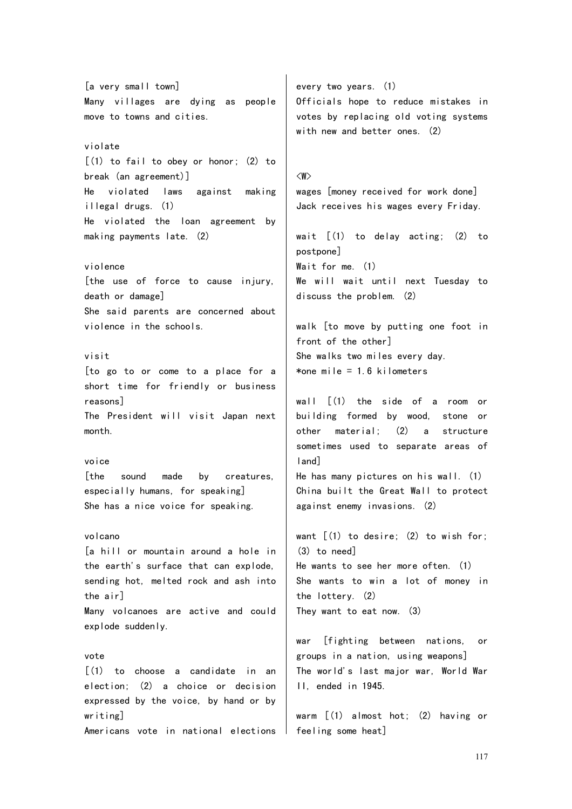[a very small town] Many villages are dying as people move to towns and cities. violate [(1) to fail to obey or honor; (2) to break (an agreement)] He violated laws against making illegal drugs. (1) He violated the loan agreement by making payments late. (2) violence [the use of force to cause injury, death or damage] She said parents are concerned about violence in the schools. visit [to go to or come to a place for a short time for friendly or business reasons] The President will visit Japan next month. voice [the sound made by creatures, especially humans, for speaking] She has a nice voice for speaking. volcano [a hill or mountain around a hole in the earth's surface that can explode, sending hot, melted rock and ash into the air] Many volcanoes are active and could explode suddenly. vote  $\lceil$ (1) to choose a candidate in an election; (2) a choice or decision expressed by the voice, by hand or by

Americans vote in national elections

writing]

every two years. (1) Officials hope to reduce mistakes in votes by replacing old voting systems with new and better ones. (2)

<W> wages [money received for work done] Jack receives his wages every Friday.

wait [(1) to delay acting; (2) to postpone] Wait for me. (1) We will wait until next Tuesday to discuss the problem. (2)

walk [to move by putting one foot in front of the other] She walks two miles every day. \*one mile  $= 1.6$  kilometers

wall [(1) the side of a room or building formed by wood, stone or other material; (2) a structure sometimes used to separate areas of land]

He has many pictures on his wall. (1) China built the Great Wall to protect against enemy invasions. (2)

want  $[(1)$  to desire;  $(2)$  to wish for; (3) to need] He wants to see her more often. (1) She wants to win a lot of money in the lottery. (2) They want to eat now. (3)

war [fighting between nations, or groups in a nation, using weapons] The world's last major war, World War II, ended in 1945.

warm [(1) almost hot; (2) having or feeling some heat]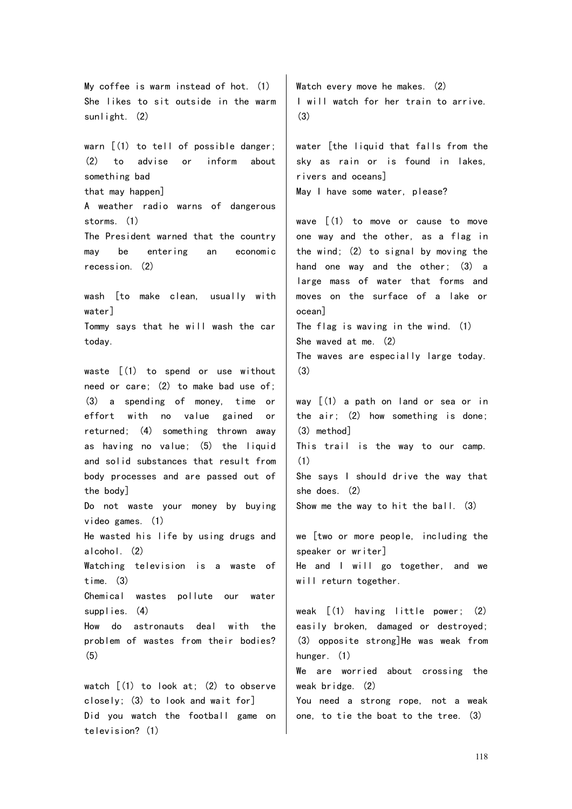My coffee is warm instead of hot. (1) She likes to sit outside in the warm sunlight. (2) warn  $[(1)$  to tell of possible danger; (2) to advise or inform about something bad that may happen] A weather radio warns of dangerous storms. (1) The President warned that the country may be entering an economic recession. (2) wash [to make clean, usually with water] Tommy says that he will wash the car today. waste [(1) to spend or use without need or care; (2) to make bad use of; (3) a spending of money, time or effort with no value gained or returned; (4) something thrown away as having no value; (5) the liquid and solid substances that result from body processes and are passed out of the body] Do not waste your money by buying video games. (1) He wasted his life by using drugs and alcohol. (2) Watching television is a waste of time. (3) Chemical wastes pollute our water supplies. (4) How do astronauts deal with the problem of wastes from their bodies? (5) watch  $[(1)$  to look at;  $(2)$  to observe closely; (3) to look and wait for]

Did you watch the football game on

television? (1)

Watch every move he makes. (2) I will watch for her train to arrive.  $(3)$ 

water [the liquid that falls from the sky as rain or is found in lakes, rivers and oceans] May I have some water, please?

wave [(1) to move or cause to move one way and the other, as a flag in the wind; (2) to signal by moving the hand one way and the other; (3) a large mass of water that forms and moves on the surface of a lake or ocean] The flag is waving in the wind. (1) She waved at me. (2) The waves are especially large today.

(3)

way [(1) a path on land or sea or in the air; (2) how something is done; (3) method] This trail is the way to our camp. (1) She says I should drive the way that she does. (2) Show me the way to hit the ball. (3)

we [two or more people, including the speaker or writer] He and I will go together, and we will return together.

weak [(1) having little power; (2) easily broken, damaged or destroyed; (3) opposite strong]He was weak from hunger. (1) We are worried about crossing the weak bridge. (2) You need a strong rope, not a weak one, to tie the boat to the tree. (3)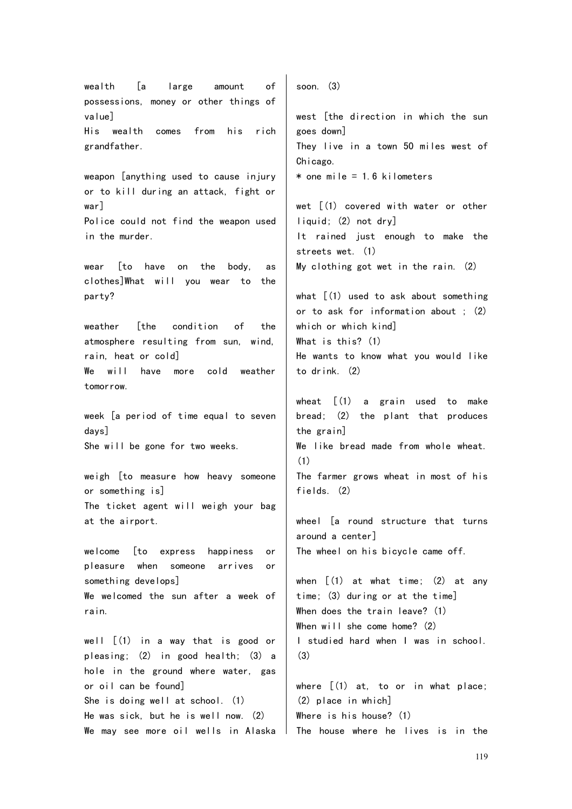wealth [a large amount of possessions, money or other things of value] His wealth comes from his rich grandfather. weapon [anything used to cause injury or to kill during an attack, fight or war] Police could not find the weapon used in the murder. wear [to have on the body, as clothes]What will you wear to the party? weather [the condition of the atmosphere resulting from sun, wind, rain, heat or cold] We will have more cold weather tomorrow. week [a period of time equal to seven days] She will be gone for two weeks. weigh [to measure how heavy someone or something is] The ticket agent will weigh your bag at the airport. welcome [to express happiness or pleasure when someone arrives or something develops] We welcomed the sun after a week of rain. well [(1) in a way that is good or pleasing; (2) in good health; (3) a hole in the ground where water, gas or oil can be found] She is doing well at school. (1) He was sick, but he is well now. (2) We may see more oil wells in Alaska soon. (3) west [the direction in which the sun goes down] They live in a town 50 miles west of Chicago.  $*$  one mile = 1.6 kilometers wet  $\left[ (1)$  covered with water or other liquid; (2) not dry] It rained just enough to make the streets wet. (1) My clothing got wet in the rain. (2) what  $(1)$  used to ask about something or to ask for information about ; (2) which or which kind] What is this? (1) He wants to know what you would like to drink. (2) wheat [(1) a grain used to make bread; (2) the plant that produces the grain] We like bread made from whole wheat. (1) The farmer grows wheat in most of his fields. (2) wheel [a round structure that turns around a center] The wheel on his bicycle came off. when  $\lceil$  (1) at what time; (2) at any time; (3) during or at the time] When does the train leave? (1) When will she come home? (2) I studied hard when I was in school. (3) where [(1) at, to or in what place; (2) place in which] Where is his house? (1) The house where he lives is in the

119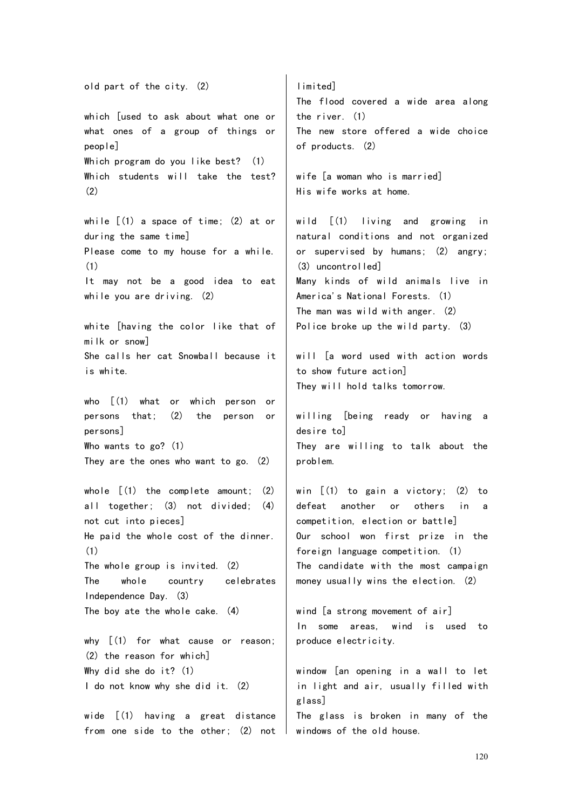old part of the city. (2) which [used to ask about what one or what ones of a group of things or people] Which program do you like best? (1) Which students will take the test? (2) while [(1) a space of time; (2) at or during the same time] Please come to my house for a while. (1) It may not be a good idea to eat while you are driving. (2) white [having the color like that of milk or snow] She calls her cat Snowball because it is white. who [(1) what or which person or persons that; (2) the person or persons] Who wants to go? (1) They are the ones who want to go. (2) whole  $\lceil (1)$  the complete amount:  $(2)$ all together; (3) not divided; (4) not cut into pieces] He paid the whole cost of the dinner. (1) The whole group is invited. (2) The whole country celebrates Independence Day. (3) The boy ate the whole cake. (4) why  $[(1)$  for what cause or reason; (2) the reason for which] Why did she do it? (1) I do not know why she did it. (2) wide [(1) having a great distance problem. glass]

limited] The flood covered a wide area along the river. (1) The new store offered a wide choice of products. (2)

wife [a woman who is married] His wife works at home.

wild [(1) living and growing in natural conditions and not organized or supervised by humans; (2) angry; (3) uncontrolled] Many kinds of wild animals live in America's National Forests. (1) The man was wild with anger. (2) Police broke up the wild party. (3)

will [a word used with action words to show future action] They will hold talks tomorrow.

willing [being ready or having a desire to] They are willing to talk about the

win  $(1)$  to gain a victory; (2) to defeat another or others in a competition, election or battle] Our school won first prize in the foreign language competition. (1) The candidate with the most campaign money usually wins the election. (2)

wind [a strong movement of air] In some areas, wind is used to produce electricity.

from one side to the other; (2) not window [an opening in a wall to let in light and air, usually filled with The glass is broken in many of the windows of the old house.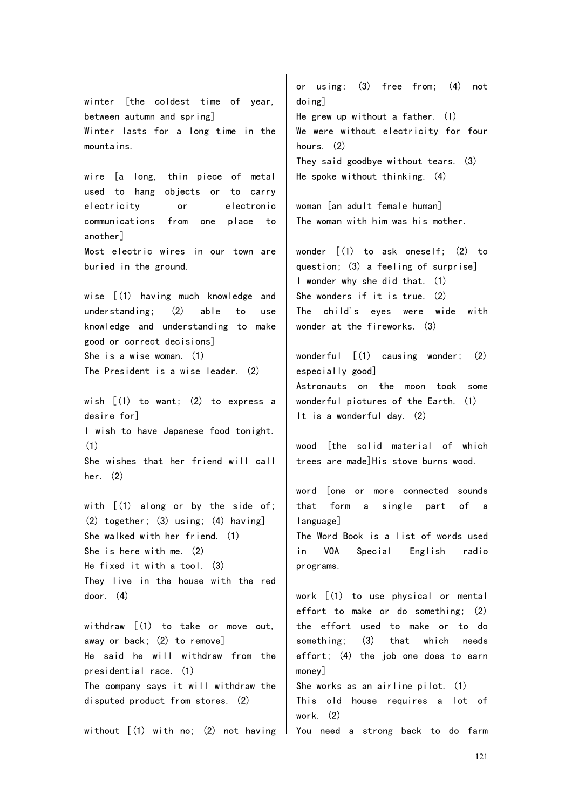winter [the coldest time of year, between autumn and spring] Winter lasts for a long time in the mountains.

wire [a long, thin piece of metal used to hang objects or to carry electricity or electronic communications from one place to another] Most electric wires in our town are buried in the ground.

wise  $(1)$  having much knowledge and understanding; (2) able to use knowledge and understanding to make good or correct decisions] She is a wise woman. (1) The President is a wise leader. (2)

wish [(1) to want; (2) to express a desire for] I wish to have Japanese food tonight. (1) She wishes that her friend will call her. (2)

with  $\lceil$  (1) along or by the side of: (2) together; (3) using; (4) having] She walked with her friend. (1) She is here with me. (2) He fixed it with a tool. (3) They live in the house with the red door. (4)

withdraw [(1) to take or move out, away or back; (2) to remove] He said he will withdraw from the presidential race. (1) The company says it will withdraw the disputed product from stores. (2)

without [(1) with no; (2) not having  $\mid$  You need a strong back to do farm

or using; (3) free from; (4) not doing] He grew up without a father. (1) We were without electricity for four hours. (2) They said goodbye without tears. (3) He spoke without thinking. (4)

woman [an adult female human] The woman with him was his mother.

wonder [(1) to ask oneself; (2) to question; (3) a feeling of surprise] I wonder why she did that. (1) She wonders if it is true. (2) The child's eyes were wide with wonder at the fireworks. (3)

wonderful [(1) causing wonder; (2) especially good] Astronauts on the moon took some wonderful pictures of the Earth. (1) It is a wonderful day. (2)

wood [the solid material of which trees are made]His stove burns wood.

word [one or more connected sounds that form a single part of a language] The Word Book is a list of words used

in VOA Special English radio programs.

work [(1) to use physical or mental effort to make or do something; (2) the effort used to make or to do something; (3) that which needs effort; (4) the job one does to earn money] She works as an airline pilot. (1) This old house requires a lot of work. (2)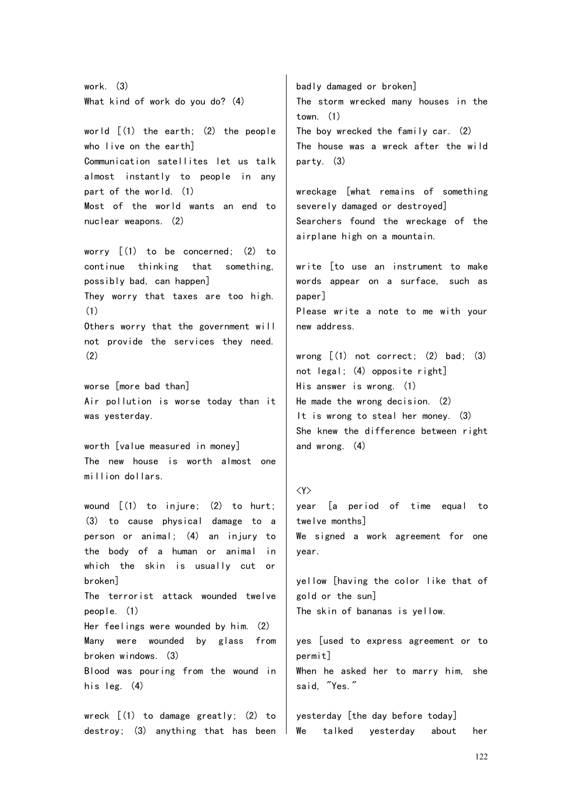work. (3) What kind of work do you do? (4) world [(1) the earth; (2) the people who live on the earth] Communication satellites let us talk almost instantly to people in any part of the world. (1) Most of the world wants an end to nuclear weapons. (2) worry [(1) to be concerned; (2) to continue thinking that something, possibly bad, can happen] They worry that taxes are too high. (1) Others worry that the government will not provide the services they need. (2) worse [more bad than] Air pollution is worse today than it was yesterday. worth [value measured in money] badly damaged or broken] town. (1) The boy wrecked the family car. (2) party. (3) severely damaged or destroyed] airplane high on a mountain. paper] new address. wrong  $(1)$  not correct;  $(2)$  bad;  $(3)$ not legal; (4) opposite right] His answer is wrong. (1) He made the wrong decision. (2) It is wrong to steal her money. (3) She knew the difference between right and wrong. (4)

### <Y>

year [a period of time equal to twelve months] We signed a work agreement for one year.

yellow [having the color like that of gold or the sun] The skin of bananas is yellow.

yes [used to express agreement or to permit] When he asked her to marry him, she said, "Yes."

yesterday [the day before today] We talked vesterday about her

The new house is worth almost one million dollars.

wound [(1) to injure; (2) to hurt; (3) to cause physical damage to a person or animal; (4) an injury to the body of a human or animal in which the skin is usually cut or broken] The terrorist attack wounded twelve people. (1) Her feelings were wounded by him. (2) Many were wounded by glass from broken windows. (3) Blood was pouring from the wound in his leg. (4)

wreck [(1) to damage greatly; (2) to destroy; (3) anything that has been The storm wrecked many houses in the The house was a wreck after the wild

wreckage [what remains of something Searchers found the wreckage of the

write [to use an instrument to make words appear on a surface, such as Please write a note to me with your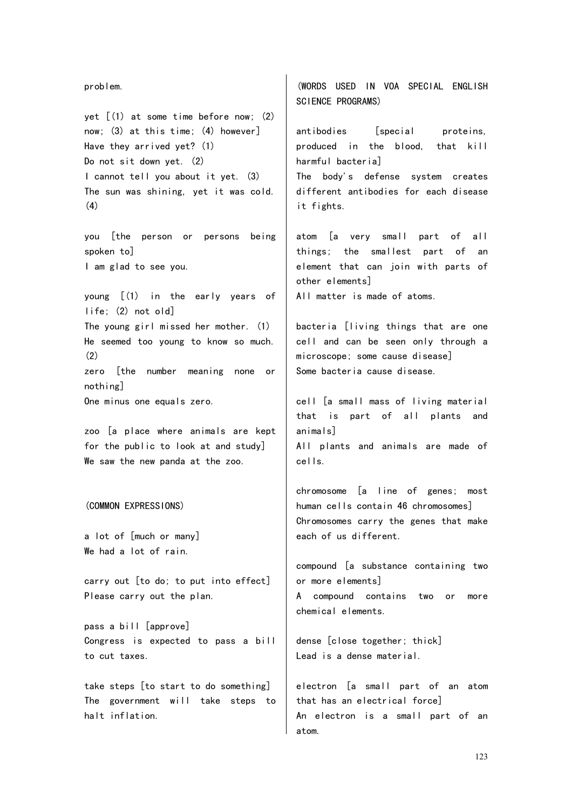problem. vet  $(1)$  at some time before now:  $(2)$ now; (3) at this time; (4) however] Have they arrived yet? (1) Do not sit down yet. (2) I cannot tell you about it yet. (3) The sun was shining, yet it was cold. (4) you [the person or persons being spoken to] I am glad to see you. young [(1) in the early years of life; (2) not old] The young girl missed her mother. (1) He seemed too young to know so much.  $(2)$ zero [the number meaning none or nothing] One minus one equals zero. zoo [a place where animals are kept for the public to look at and study] We saw the new panda at the zoo. (COMMON EXPRESSIONS) a lot of [much or many] We had a lot of rain. carry out [to do; to put into effect] Please carry out the plan. pass a bill [approve] Congress is expected to pass a bill to cut taxes. take steps [to start to do something] The government will take steps to halt inflation. (WORDS USED IN VOA SPECIAL ENGLISH SCIENCE PROGRAMS) antibodies [special proteins, produced in the blood, that kill harmful bacteria] The body's defense system creates different antibodies for each disease it fights. atom [a very small part of all things; the smallest part of an element that can join with parts of other elements] All matter is made of atoms. bacteria [living things that are one cell and can be seen only through a microscope; some cause disease] Some bacteria cause disease. cell [a small mass of living material that is part of all plants and animals] All plants and animals are made of cells. chromosome [a line of genes; most human cells contain 46 chromosomes] Chromosomes carry the genes that make each of us different. compound [a substance containing two or more elements] A compound contains two or more chemical elements. dense [close together; thick] Lead is a dense material. electron [a small part of an atom that has an electrical force] An electron is a small part of an atom.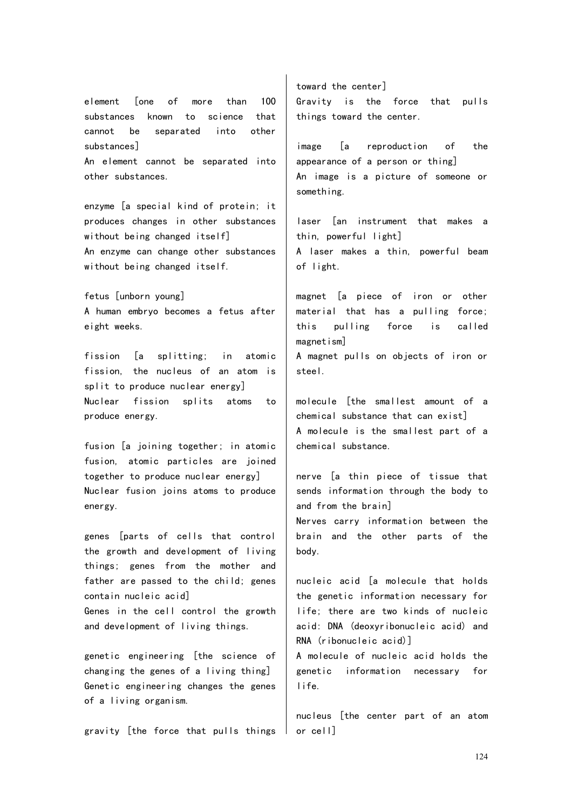element [one of more than 100 substances known to science that cannot be separated into other substances] An element cannot be separated into other substances.

enzyme [a special kind of protein; it produces changes in other substances without being changed itself] An enzyme can change other substances without being changed itself.

fetus [unborn young] A human embryo becomes a fetus after eight weeks.

fission [a splitting; in atomic fission, the nucleus of an atom is split to produce nuclear energy] Nuclear fission splits atoms to produce energy.

fusion [a joining together; in atomic fusion, atomic particles are joined together to produce nuclear energy] Nuclear fusion joins atoms to produce energy.

genes [parts of cells that control the growth and development of living things; genes from the mother and father are passed to the child; genes contain nucleic acid]

Genes in the cell control the growth and development of living things.

genetic engineering [the science of changing the genes of a living thing] Genetic engineering changes the genes of a living organism.

gravity [the force that pulls things

toward the center] Gravity is the force that pulls things toward the center.

image [a reproduction of the appearance of a person or thing] An image is a picture of someone or something.

laser [an instrument that makes a thin, powerful light] A laser makes a thin, powerful beam of light.

magnet [a piece of iron or other material that has a pulling force; this pulling force is called magnetism]

A magnet pulls on objects of iron or steel.

molecule [the smallest amount of a chemical substance that can exist] A molecule is the smallest part of a chemical substance.

nerve [a thin piece of tissue that sends information through the body to and from the brain] Nerves carry information between the brain and the other parts of the body.

nucleic acid [a molecule that holds the genetic information necessary for life; there are two kinds of nucleic acid: DNA (deoxyribonucleic acid) and RNA (ribonucleic acid)]

A molecule of nucleic acid holds the genetic information necessary for life.

nucleus [the center part of an atom or cell]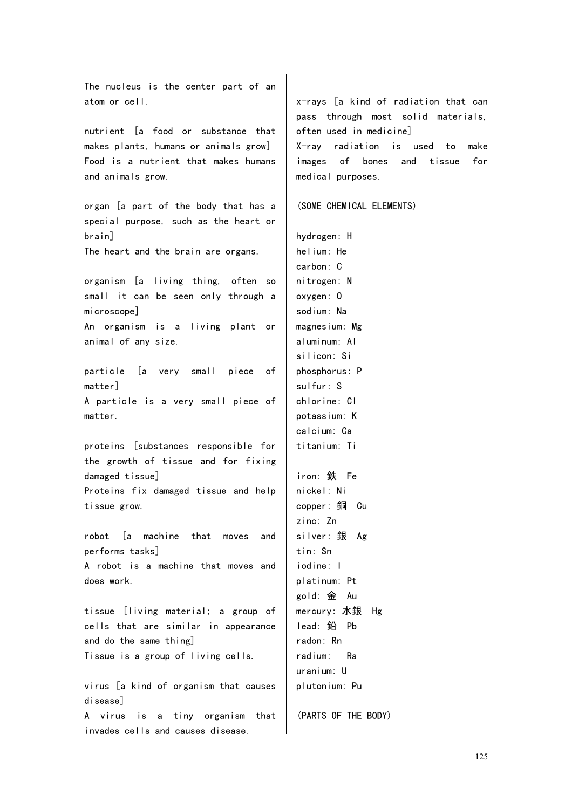The nucleus is the center part of an atom or cell.

nutrient [a food or substance that makes plants, humans or animals grow] Food is a nutrient that makes humans and animals grow.

organ [a part of the body that has a special purpose, such as the heart or brain]

The heart and the brain are organs.

organism [a living thing, often so small it can be seen only through a microscope]

An organism is a living plant or animal of any size.

particle [a very small piece of matter] A particle is a very small piece of matter.

proteins [substances responsible for the growth of tissue and for fixing damaged tissue] Proteins fix damaged tissue and help tissue grow.

robot [a machine that moves and performs tasks] A robot is a machine that moves and does work.

tissue [living material; a group of cells that are similar in appearance and do the same thing] Tissue is a group of living cells.

virus [a kind of organism that causes disease] A virus is a tiny organism that invades cells and causes disease.

x-rays [a kind of radiation that can pass through most solid materials, often used in medicine]

X-ray radiation is used to make images of bones and tissue for medical purposes.

(SOME CHEMICAL ELEMENTS)

hydrogen: H helium: He carbon: C nitrogen: N oxygen: O sodium: Na magnesium: Mg aluminum: Al silicon: Si phosphorus: P sulfur: S chlorine: Cl potassium: K calcium: Ca titanium: Ti iron: 鉄 Fe

nickel: Ni copper: 銅 Cu zinc: Zn silver: 銀 Ag tin: Sn iodine: I platinum: Pt gold: 金 Au mercury: 水銀 Hg lead: 鉛 Pb radon: Rn radium: Ra uranium: U plutonium: Pu

(PARTS OF THE BODY)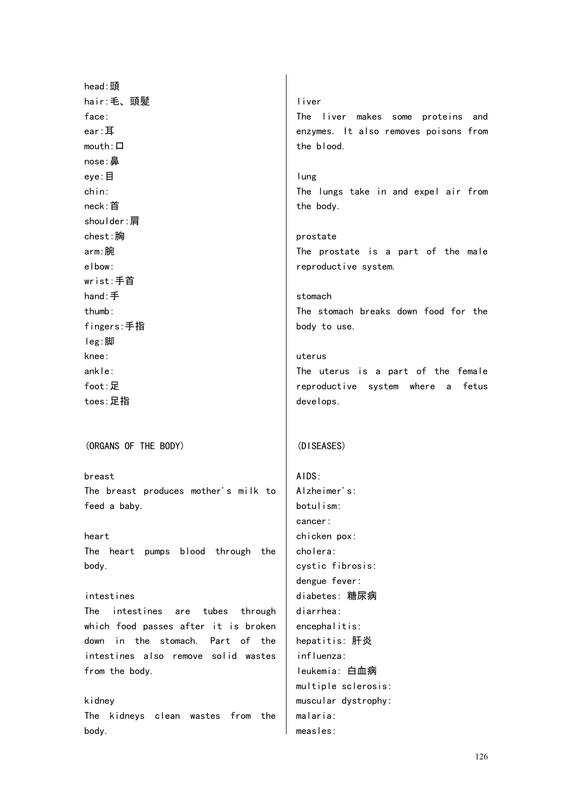head:頭 hair:毛、頭髪 face: ear:耳 mouth: 口 nose:鼻 eye:目 chin: neck:首 shoulder:肩 chest:胸 arm:腕 elbow: wrist:手首 hand:手 thumb: fingers:手指 leg:脚 knee: ankle: foot:足 toes:足指 (ORGANS OF THE BODY) breast The breast produces mother's milk to feed a baby. heart The heart pumps blood through the body. intestines The intestines are tubes through which food passes after it is broken down in the stomach. Part of the intestines also remove solid wastes from the body. kidney The kidneys clean wastes from the body. liver The liver makes some proteins and enzymes. It also removes poisons from the blood. lung The lungs take in and expel air from the body. prostate The prostate is a part of the male reproductive system. stomach The stomach breaks down food for the body to use. uterus The uterus is a part of the female reproductive system where a fetus develops. (DISEASES) AIDS: Alzheimer's: botulism: cancer: chicken pox: cholera: cystic fibrosis: dengue fever: diabetes: 糖尿病 diarrhea: encephalitis: hepatitis: 肝炎 influenza: leukemia: 白血病 multiple sclerosis: muscular dystrophy: malaria: measles: